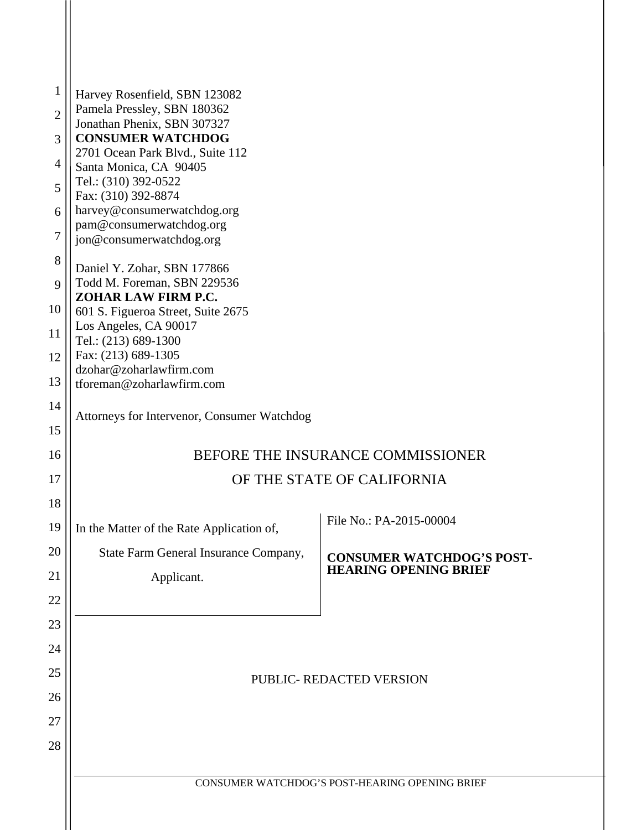| $\mathbf{1}$   | Harvey Rosenfield, SBN 123082                                                                                              |                                                                  |  |  |  |
|----------------|----------------------------------------------------------------------------------------------------------------------------|------------------------------------------------------------------|--|--|--|
| $\overline{2}$ | Pamela Pressley, SBN 180362                                                                                                |                                                                  |  |  |  |
| 3              | Jonathan Phenix, SBN 307327<br><b>CONSUMER WATCHDOG</b>                                                                    |                                                                  |  |  |  |
| $\overline{4}$ | 2701 Ocean Park Blvd., Suite 112<br>Santa Monica, CA 90405<br>Tel.: (310) 392-0522                                         |                                                                  |  |  |  |
| 5              |                                                                                                                            |                                                                  |  |  |  |
| 6              | Fax: (310) 392-8874<br>harvey@consumerwatchdog.org                                                                         |                                                                  |  |  |  |
| 7              | pam@consumerwatchdog.org<br>jon@consumerwatchdog.org                                                                       |                                                                  |  |  |  |
| 8              | Daniel Y. Zohar, SBN 177866                                                                                                |                                                                  |  |  |  |
| 9              | Todd M. Foreman, SBN 229536<br>ZOHAR LAW FIRM P.C.                                                                         |                                                                  |  |  |  |
| 10             | 601 S. Figueroa Street, Suite 2675                                                                                         |                                                                  |  |  |  |
| 11             | Los Angeles, CA 90017<br>Tel.: (213) 689-1300                                                                              |                                                                  |  |  |  |
| 12             | Fax: (213) 689-1305<br>dzohar@zoharlawfirm.com<br>tforeman@zoharlawfirm.com<br>Attorneys for Intervenor, Consumer Watchdog |                                                                  |  |  |  |
| 13             |                                                                                                                            |                                                                  |  |  |  |
| 14             |                                                                                                                            |                                                                  |  |  |  |
| 15             |                                                                                                                            |                                                                  |  |  |  |
| 16             |                                                                                                                            | BEFORE THE INSURANCE COMMISSIONER                                |  |  |  |
| 17             | OF THE STATE OF CALIFORNIA                                                                                                 |                                                                  |  |  |  |
| 18             |                                                                                                                            | File No.: PA-2015-00004                                          |  |  |  |
| 19             | In the Matter of the Rate Application of,                                                                                  |                                                                  |  |  |  |
| 20             | State Farm General Insurance Company,                                                                                      | <b>CONSUMER WATCHDOG'S POST-</b><br><b>HEARING OPENING BRIEF</b> |  |  |  |
| 21<br>22       | Applicant.                                                                                                                 |                                                                  |  |  |  |
| 23             |                                                                                                                            |                                                                  |  |  |  |
| 24             |                                                                                                                            |                                                                  |  |  |  |
| 25             | PUBLIC- REDACTED VERSION                                                                                                   |                                                                  |  |  |  |
| 26             |                                                                                                                            |                                                                  |  |  |  |
| 27             |                                                                                                                            |                                                                  |  |  |  |
| 28             |                                                                                                                            |                                                                  |  |  |  |
|                |                                                                                                                            |                                                                  |  |  |  |
|                |                                                                                                                            | CONSUMER WATCHDOG'S POST-HEARING OPENING BRIEF                   |  |  |  |
|                |                                                                                                                            |                                                                  |  |  |  |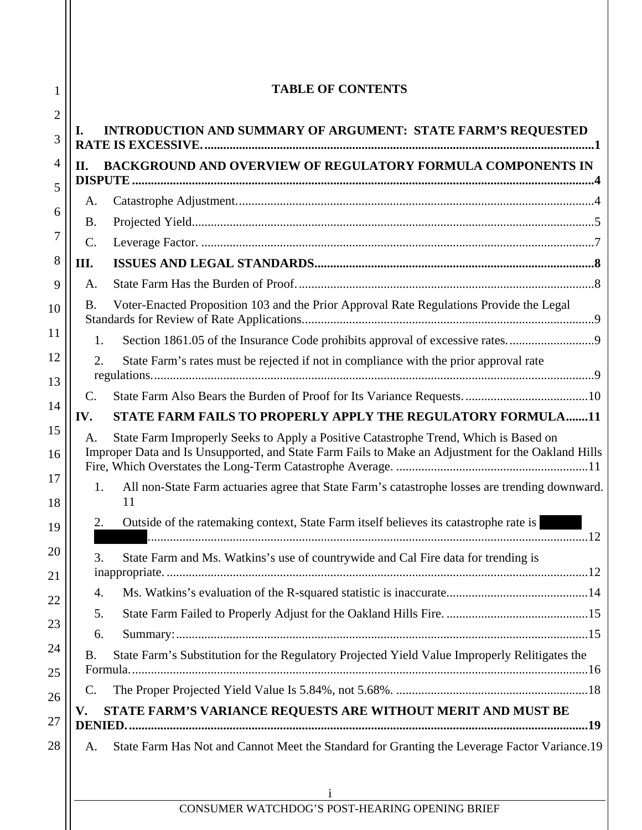| INTRODUCTION AND SUMMARY OF ARGUMENT: STATE FARM'S REQUESTED<br>BACKGROUND AND OVERVIEW OF REGULATORY FORMULA COMPONENTS IN<br>Voter-Enacted Proposition 103 and the Prior Approval Rate Regulations Provide the Legal<br>Section 1861.05 of the Insurance Code prohibits approval of excessive rates<br>State Farm's rates must be rejected if not in compliance with the prior approval rate |  |  |
|------------------------------------------------------------------------------------------------------------------------------------------------------------------------------------------------------------------------------------------------------------------------------------------------------------------------------------------------------------------------------------------------|--|--|
|                                                                                                                                                                                                                                                                                                                                                                                                |  |  |
|                                                                                                                                                                                                                                                                                                                                                                                                |  |  |
|                                                                                                                                                                                                                                                                                                                                                                                                |  |  |
|                                                                                                                                                                                                                                                                                                                                                                                                |  |  |
|                                                                                                                                                                                                                                                                                                                                                                                                |  |  |
|                                                                                                                                                                                                                                                                                                                                                                                                |  |  |
|                                                                                                                                                                                                                                                                                                                                                                                                |  |  |
|                                                                                                                                                                                                                                                                                                                                                                                                |  |  |
|                                                                                                                                                                                                                                                                                                                                                                                                |  |  |
|                                                                                                                                                                                                                                                                                                                                                                                                |  |  |
|                                                                                                                                                                                                                                                                                                                                                                                                |  |  |
|                                                                                                                                                                                                                                                                                                                                                                                                |  |  |
| C.<br><b>STATE FARM FAILS TO PROPERLY APPLY THE REGULATORY FORMULA11</b><br>IV.                                                                                                                                                                                                                                                                                                                |  |  |
| State Farm Improperly Seeks to Apply a Positive Catastrophe Trend, Which is Based on<br>А.<br>Improper Data and Is Unsupported, and State Farm Fails to Make an Adjustment for the Oakland Hills                                                                                                                                                                                               |  |  |
| All non-State Farm actuaries agree that State Farm's catastrophe losses are trending downward.<br>11                                                                                                                                                                                                                                                                                           |  |  |
| Outside of the ratemaking context, State Farm itself believes its catastrophe rate is<br>12                                                                                                                                                                                                                                                                                                    |  |  |
| State Farm and Ms. Watkins's use of countrywide and Cal Fire data for trending is                                                                                                                                                                                                                                                                                                              |  |  |
|                                                                                                                                                                                                                                                                                                                                                                                                |  |  |
|                                                                                                                                                                                                                                                                                                                                                                                                |  |  |
|                                                                                                                                                                                                                                                                                                                                                                                                |  |  |
| State Farm's Substitution for the Regulatory Projected Yield Value Improperly Relitigates the                                                                                                                                                                                                                                                                                                  |  |  |
|                                                                                                                                                                                                                                                                                                                                                                                                |  |  |
| STATE FARM'S VARIANCE REQUESTS ARE WITHOUT MERIT AND MUST BE                                                                                                                                                                                                                                                                                                                                   |  |  |
|                                                                                                                                                                                                                                                                                                                                                                                                |  |  |
| State Farm Has Not and Cannot Meet the Standard for Granting the Leverage Factor Variance.19                                                                                                                                                                                                                                                                                                   |  |  |
|                                                                                                                                                                                                                                                                                                                                                                                                |  |  |
| 1<br>CONSUMER WATCHDOG'S POST-HEARING OPENING BRIEF                                                                                                                                                                                                                                                                                                                                            |  |  |
|                                                                                                                                                                                                                                                                                                                                                                                                |  |  |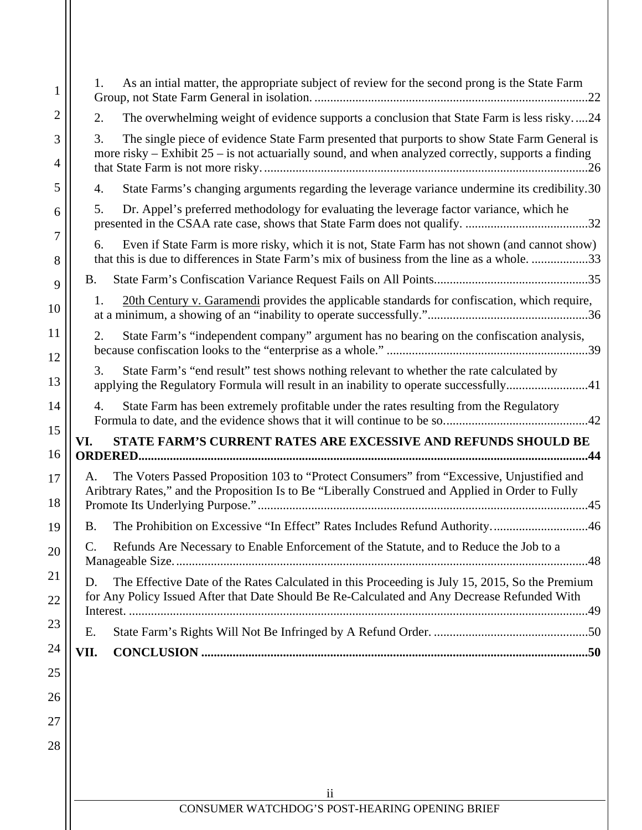| 1                   | As an intial matter, the appropriate subject of review for the second prong is the State Farm<br>1.                                                                                                          |  |  |
|---------------------|--------------------------------------------------------------------------------------------------------------------------------------------------------------------------------------------------------------|--|--|
| $\overline{2}$      | The overwhelming weight of evidence supports a conclusion that State Farm is less risky24<br>2.                                                                                                              |  |  |
| 3<br>4              | The single piece of evidence State Farm presented that purports to show State Farm General is<br>3.<br>more risky – Exhibit $25$ – is not actuarially sound, and when analyzed correctly, supports a finding |  |  |
| 5                   | State Farms's changing arguments regarding the leverage variance undermine its credibility.30<br>4.                                                                                                          |  |  |
| 6                   | Dr. Appel's preferred methodology for evaluating the leverage factor variance, which he<br>5.                                                                                                                |  |  |
| $\overline{7}$<br>8 | Even if State Farm is more risky, which it is not, State Farm has not shown (and cannot show)<br>6.<br>that this is due to differences in State Farm's mix of business from the line as a whole33            |  |  |
| 9                   | B.                                                                                                                                                                                                           |  |  |
| 10                  | 20th Century v. Garamendi provides the applicable standards for confiscation, which require,<br>1.                                                                                                           |  |  |
| 11<br>12            | State Farm's "independent company" argument has no bearing on the confiscation analysis,<br>2.                                                                                                               |  |  |
| 13                  | State Farm's "end result" test shows nothing relevant to whether the rate calculated by<br>3.<br>applying the Regulatory Formula will result in an inability to operate successfully41                       |  |  |
| 14                  | State Farm has been extremely profitable under the rates resulting from the Regulatory<br>4.                                                                                                                 |  |  |
| 15                  | <b>STATE FARM'S CURRENT RATES ARE EXCESSIVE AND REFUNDS SHOULD BE</b><br>VI.                                                                                                                                 |  |  |
| 16                  |                                                                                                                                                                                                              |  |  |
| 17<br>18            | The Voters Passed Proposition 103 to "Protect Consumers" from "Excessive, Unjustified and<br>А.<br>Aribtrary Rates," and the Proposition Is to Be "Liberally Construed and Applied in Order to Fully         |  |  |
| 19                  | The Prohibition on Excessive "In Effect" Rates Includes Refund Authority46<br><b>B.</b>                                                                                                                      |  |  |
| 20                  | Refunds Are Necessary to Enable Enforcement of the Statute, and to Reduce the Job to a<br>C.                                                                                                                 |  |  |
| 21<br>22            | The Effective Date of the Rates Calculated in this Proceeding is July 15, 2015, So the Premium<br>D.<br>for Any Policy Issued After that Date Should Be Re-Calculated and Any Decrease Refunded With         |  |  |
| 23                  |                                                                                                                                                                                                              |  |  |
| 24                  | E.<br>VII.                                                                                                                                                                                                   |  |  |
| 25                  |                                                                                                                                                                                                              |  |  |
| 26                  |                                                                                                                                                                                                              |  |  |
| 27                  |                                                                                                                                                                                                              |  |  |
| 28                  |                                                                                                                                                                                                              |  |  |
|                     |                                                                                                                                                                                                              |  |  |
|                     |                                                                                                                                                                                                              |  |  |
|                     | $\overline{11}$<br>CONSUMER WATCHDOG'S POST-HEARING OPENING BRIEF                                                                                                                                            |  |  |
|                     |                                                                                                                                                                                                              |  |  |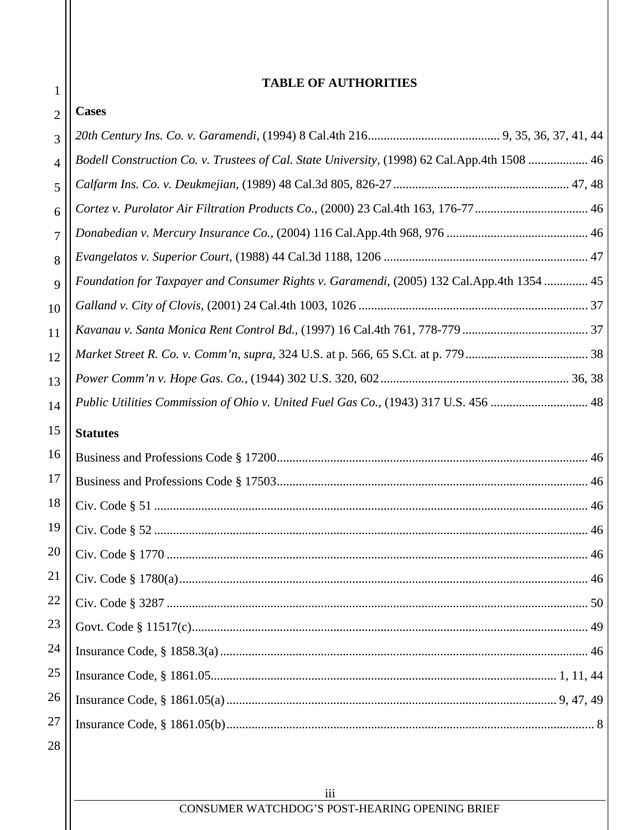# **TABLE OF AUTHORITIES**

| $\overline{2}$ | <b>Cases</b>                                                                                 |  |
|----------------|----------------------------------------------------------------------------------------------|--|
| 3              |                                                                                              |  |
| 4              | Bodell Construction Co. v. Trustees of Cal. State University, (1998) 62 Cal.App.4th 1508  46 |  |
| 5              |                                                                                              |  |
| 6              | Cortez v. Purolator Air Filtration Products Co., (2000) 23 Cal.4th 163, 176-77  46           |  |
| 7              |                                                                                              |  |
| 8              |                                                                                              |  |
| 9              | Foundation for Taxpayer and Consumer Rights v. Garamendi, (2005) 132 Cal.App.4th 1354  45    |  |
| 10             |                                                                                              |  |
| 11             |                                                                                              |  |
| 12             |                                                                                              |  |
| 13             |                                                                                              |  |
| 14             | Public Utilities Commission of Ohio v. United Fuel Gas Co., (1943) 317 U.S. 456  48          |  |
| 15             | <b>Statutes</b>                                                                              |  |
| 16             |                                                                                              |  |
| 17             |                                                                                              |  |
| 18             |                                                                                              |  |
| 19             |                                                                                              |  |
| 20             | Civ. Code § 1770<br>46                                                                       |  |
| 21             |                                                                                              |  |
| 22             |                                                                                              |  |
| 23             |                                                                                              |  |
| 24             |                                                                                              |  |
| $25\,$         |                                                                                              |  |
| 26             |                                                                                              |  |
| 27             |                                                                                              |  |
| 28             |                                                                                              |  |
|                |                                                                                              |  |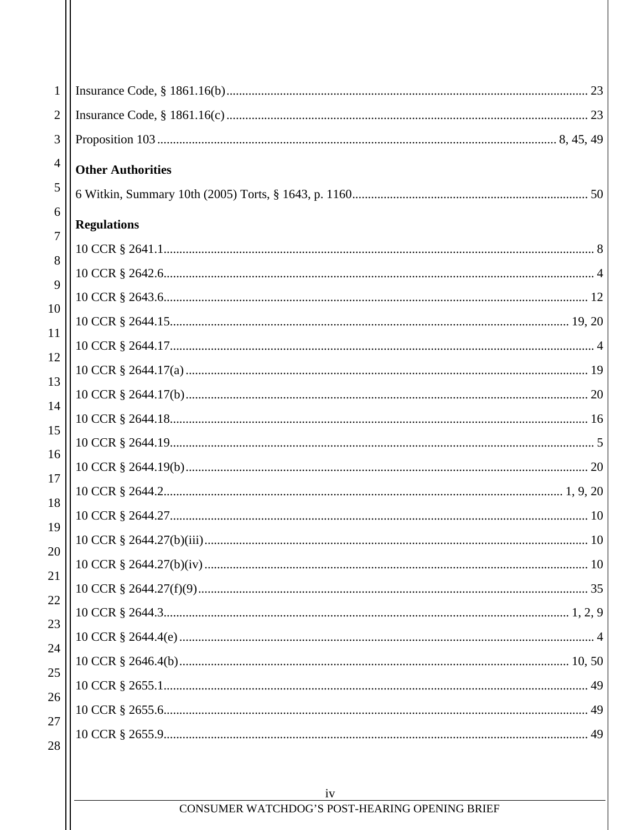| 1              |                          |
|----------------|--------------------------|
| $\overline{2}$ |                          |
| 3              |                          |
| 4              | <b>Other Authorities</b> |
| 5              |                          |
| 6<br>7         | <b>Regulations</b>       |
|                |                          |
| 8              |                          |
| 9              |                          |
| 10             |                          |
| 11             |                          |
| 12             |                          |
| 13             |                          |
| 14             |                          |
| 15             |                          |
| 16             |                          |
| 17             |                          |
| 18             |                          |
| 19             |                          |
| 20<br>21       |                          |
| 22             |                          |
| 23             |                          |
| 24             |                          |
| 25             |                          |
| 26             |                          |
| 27             |                          |
| 28             |                          |
|                |                          |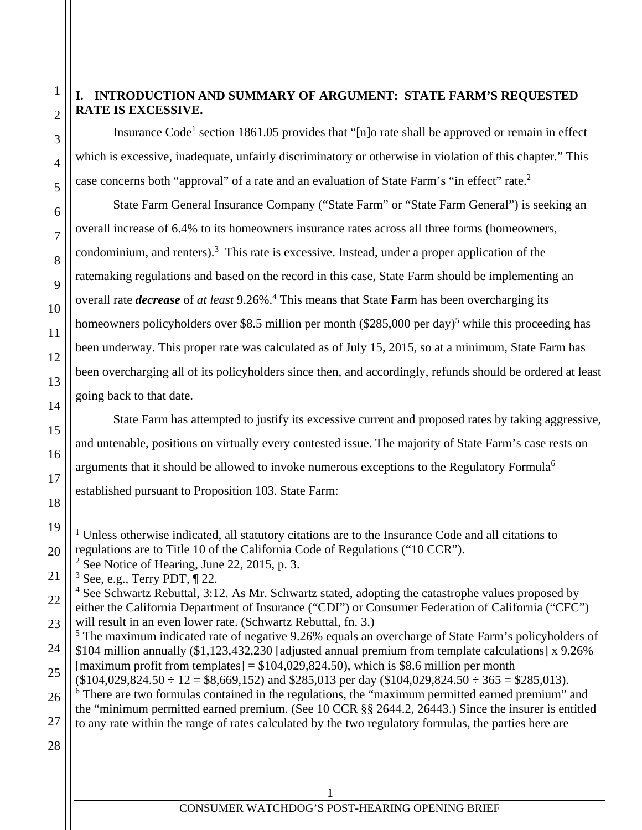# **I. INTRODUCTION AND SUMMARY OF ARGUMENT: STATE FARM'S REQUESTED RATE IS EXCESSIVE.**

Insurance Code<sup>1</sup> section 1861.05 provides that "[n]o rate shall be approved or remain in effect which is excessive, inadequate, unfairly discriminatory or otherwise in violation of this chapter." This case concerns both "approval" of a rate and an evaluation of State Farm's "in effect" rate.<sup>2</sup>

State Farm General Insurance Company ("State Farm" or "State Farm General") is seeking an overall increase of 6.4% to its homeowners insurance rates across all three forms (homeowners, condominium, and renters). $3$  This rate is excessive. Instead, under a proper application of the ratemaking regulations and based on the record in this case, State Farm should be implementing an overall rate *decrease* of *at least* 9.26%.<sup>4</sup> This means that State Farm has been overcharging its homeowners policyholders over \$8.5 million per month (\$285,000 per day)<sup>5</sup> while this proceeding has been underway. This proper rate was calculated as of July 15, 2015, so at a minimum, State Farm has been overcharging all of its policyholders since then, and accordingly, refunds should be ordered at least going back to that date.

State Farm has attempted to justify its excessive current and proposed rates by taking aggressive, and untenable, positions on virtually every contested issue. The majority of State Farm's case rests on arguments that it should be allowed to invoke numerous exceptions to the Regulatory Formula<sup>6</sup> established pursuant to Proposition 103. State Farm:

24 <sup>5</sup> The maximum indicated rate of negative 9.26% equals an overcharge of State Farm's policyholders of \$104 million annually (\$1,123,432,230 [adjusted annual premium from template calculations] x 9.26%

[maximum profit from templates] =  $$104,029,824.50$ , which is \$8.6 million per month

1

2

3

4

5

6

7

8

9

10

11

12

13

14

15

16

17

18

19

l

<sup>&</sup>lt;sup>1</sup> Unless otherwise indicated, all statutory citations are to the Insurance Code and all citations to regulations are to Title 10 of the California Code of Regulations ("10 CCR").

<sup>&</sup>lt;sup>2</sup> See Notice of Hearing, June 22, 2015, p. 3.

 $3$  See, e.g., Terry PDT,  $\P$  22.

 $4$  See Schwartz Rebuttal, 3:12. As Mr. Schwartz stated, adopting the catastrophe values proposed by either the California Department of Insurance ("CDI") or Consumer Federation of California ("CFC") will result in an even lower rate. (Schwartz Rebuttal, fn. 3.)

 $($104,029,824.50 \div 12 = $8,669,152)$  and \$285,013 per day  $($104,029,824.50 \div 365 = $285,013)$ . <sup>6</sup> There are two formulas contained in the regulations, the "maximum permitted earned premium" and the "minimum permitted earned premium. (See 10 CCR §§ 2644.2, 26443.) Since the insurer is entitled to any rate within the range of rates calculated by the two regulatory formulas, the parties here are

<sup>20</sup> 21 22 23 25 26 27 28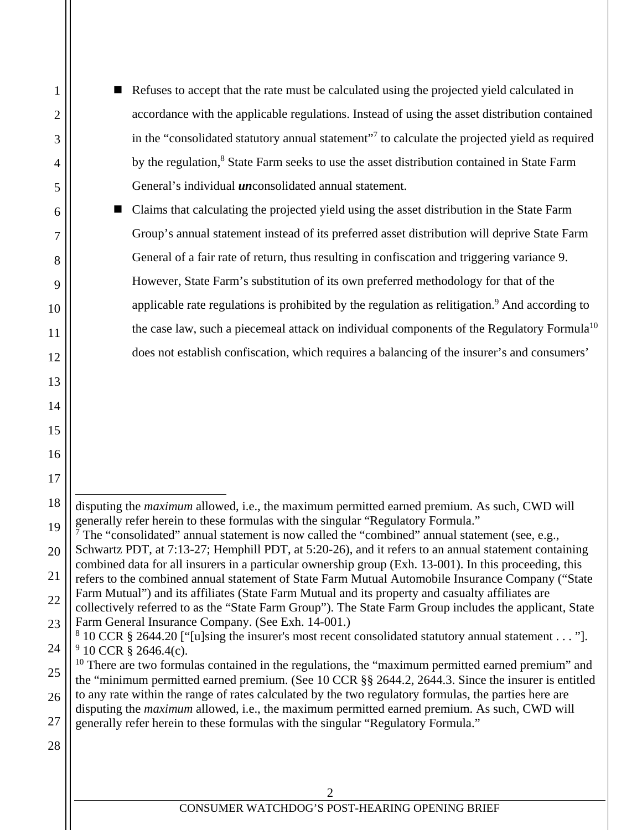| Refuses to accept that the rate must be calculated using the projected yield calculated in                 |  |
|------------------------------------------------------------------------------------------------------------|--|
| accordance with the applicable regulations. Instead of using the asset distribution contained              |  |
| in the "consolidated statutory annual statement" <sup>7</sup> to calculate the projected yield as required |  |
| by the regulation, <sup>8</sup> State Farm seeks to use the asset distribution contained in State Farm     |  |
| General's individual <i>un</i> consolidated annual statement.                                              |  |

■ Claims that calculating the projected yield using the asset distribution in the State Farm Group's annual statement instead of its preferred asset distribution will deprive State Farm General of a fair rate of return, thus resulting in confiscation and triggering variance 9. However, State Farm's substitution of its own preferred methodology for that of the applicable rate regulations is prohibited by the regulation as relitigation.<sup>9</sup> And according to the case law, such a piecemeal attack on individual components of the Regulatory Formula<sup>10</sup> does not establish confiscation, which requires a balancing of the insurer's and consumers'

28

1

2

3

4

5

6

7

8

9

10

11

12

13

14

15

16

17

 $\overline{a}$ disputing the *maximum* allowed, i.e., the maximum permitted earned premium. As such, CWD will generally refer herein to these formulas with the singular "Regulatory Formula."

<sup>19</sup> 20 21 22 23 24 <sup>7</sup> The "consolidated" annual statement is now called the "combined" annual statement (see, e.g., Schwartz PDT, at 7:13-27; Hemphill PDT, at 5:20-26), and it refers to an annual statement containing combined data for all insurers in a particular ownership group (Exh. 13-001). In this proceeding, this refers to the combined annual statement of State Farm Mutual Automobile Insurance Company ("State Farm Mutual") and its affiliates (State Farm Mutual and its property and casualty affiliates are collectively referred to as the "State Farm Group"). The State Farm Group includes the applicant, State Farm General Insurance Company. (See Exh. 14-001.)  $8\,10\,$  CCR  $\S\,2644.20$  ["[u]sing the insurer's most recent consolidated statutory annual statement . . . "].  $9$  10 CCR § 2646.4(c).

<sup>25</sup> 26 27  $10$  There are two formulas contained in the regulations, the "maximum permitted earned premium" and the "minimum permitted earned premium. (See 10 CCR §§ 2644.2, 2644.3. Since the insurer is entitled to any rate within the range of rates calculated by the two regulatory formulas, the parties here are disputing the *maximum* allowed, i.e., the maximum permitted earned premium. As such, CWD will generally refer herein to these formulas with the singular "Regulatory Formula."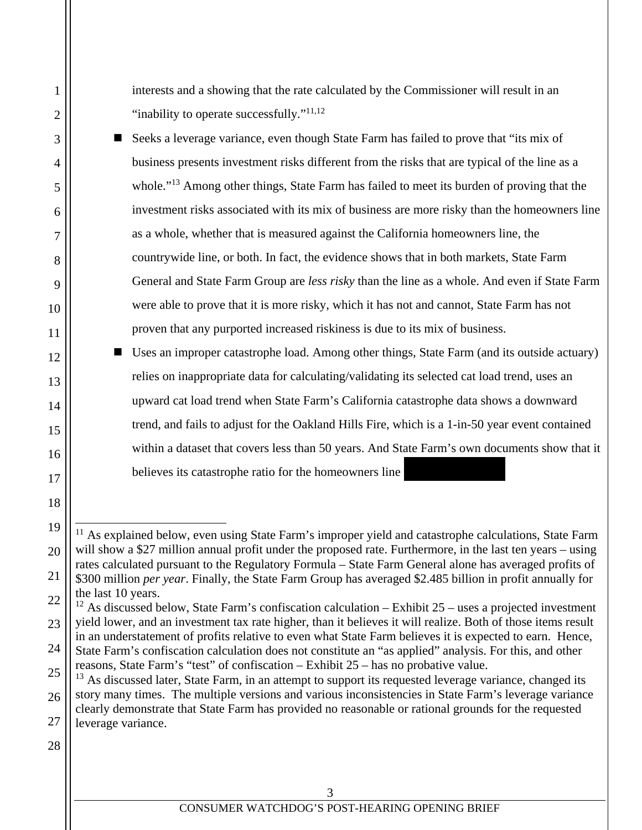interests and a showing that the rate calculated by the Commissioner will result in an "inability to operate successfully."<sup>11,12</sup>

- Seeks a leverage variance, even though State Farm has failed to prove that "its mix of business presents investment risks different from the risks that are typical of the line as a whole."13 Among other things, State Farm has failed to meet its burden of proving that the investment risks associated with its mix of business are more risky than the homeowners line as a whole, whether that is measured against the California homeowners line, the countrywide line, or both. In fact, the evidence shows that in both markets, State Farm General and State Farm Group are *less risky* than the line as a whole. And even if State Farm were able to prove that it is more risky, which it has not and cannot, State Farm has not proven that any purported increased riskiness is due to its mix of business.
- Uses an improper catastrophe load. Among other things, State Farm (and its outside actuary) relies on inappropriate data for calculating/validating its selected cat load trend, uses an upward cat load trend when State Farm's California catastrophe data shows a downward trend, and fails to adjust for the Oakland Hills Fire, which is a 1-in-50 year event contained within a dataset that covers less than 50 years. And State Farm's own documents show that it believes its catastrophe ratio for the homeowners line

28

1

2

3

4

5

6

7

8

9

10

11

12

13

14

15

16

17

18

19

l

20

<sup>&</sup>lt;sup>11</sup> As explained below, even using State Farm's improper yield and catastrophe calculations, State Farm will show a \$27 million annual profit under the proposed rate. Furthermore, in the last ten years – using rates calculated pursuant to the Regulatory Formula – State Farm General alone has averaged profits of \$300 million *per year*. Finally, the State Farm Group has averaged \$2.485 billion in profit annually for the last 10 years.

<sup>22</sup> 23 24 <sup>12</sup> As discussed below, State Farm's confiscation calculation – Exhibit 25 – uses a projected investment yield lower, and an investment tax rate higher, than it believes it will realize. Both of those items result in an understatement of profits relative to even what State Farm believes it is expected to earn. Hence, State Farm's confiscation calculation does not constitute an "as applied" analysis. For this, and other

<sup>25</sup> reasons, State Farm's "test" of confiscation – Exhibit 25 – has no probative value.

<sup>26</sup> 27 <sup>13</sup> As discussed later, State Farm, in an attempt to support its requested leverage variance, changed its story many times. The multiple versions and various inconsistencies in State Farm's leverage variance clearly demonstrate that State Farm has provided no reasonable or rational grounds for the requested leverage variance.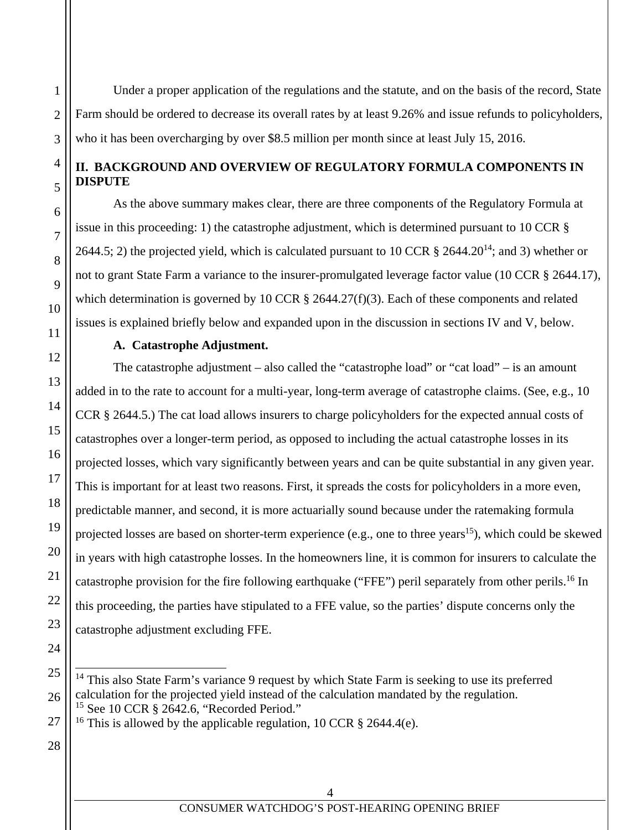Under a proper application of the regulations and the statute, and on the basis of the record, State Farm should be ordered to decrease its overall rates by at least 9.26% and issue refunds to policyholders, who it has been overcharging by over \$8.5 million per month since at least July 15, 2016.

#### **II. BACKGROUND AND OVERVIEW OF REGULATORY FORMULA COMPONENTS IN DISPUTE**

As the above summary makes clear, there are three components of the Regulatory Formula at issue in this proceeding: 1) the catastrophe adjustment, which is determined pursuant to 10 CCR § 2644.5; 2) the projected yield, which is calculated pursuant to 10 CCR  $\S$  2644.20<sup>14</sup>; and 3) whether or not to grant State Farm a variance to the insurer-promulgated leverage factor value (10 CCR § 2644.17), which determination is governed by 10 CCR  $\S$  2644.27(f)(3). Each of these components and related issues is explained briefly below and expanded upon in the discussion in sections IV and V, below.

# **A. Catastrophe Adjustment.**

The catastrophe adjustment – also called the "catastrophe load" or "cat load" – is an amount added in to the rate to account for a multi-year, long-term average of catastrophe claims. (See, e.g., 10 CCR § 2644.5.) The cat load allows insurers to charge policyholders for the expected annual costs of catastrophes over a longer-term period, as opposed to including the actual catastrophe losses in its projected losses, which vary significantly between years and can be quite substantial in any given year. This is important for at least two reasons. First, it spreads the costs for policyholders in a more even, predictable manner, and second, it is more actuarially sound because under the ratemaking formula projected losses are based on shorter-term experience (e.g., one to three years<sup>15</sup>), which could be skewed in years with high catastrophe losses. In the homeowners line, it is common for insurers to calculate the catastrophe provision for the fire following earthquake ("FFE") peril separately from other perils.<sup>16</sup> In this proceeding, the parties have stipulated to a FFE value, so the parties' dispute concerns only the catastrophe adjustment excluding FFE.

1

2

3

4

5

6

7

8

9

10

11

12

13

14

15

16

17

18

19

20

l <sup>14</sup> This also State Farm's variance 9 request by which State Farm is seeking to use its preferred calculation for the projected yield instead of the calculation mandated by the regulation. <sup>15</sup> See 10 CCR § 2642.6, "Recorded Period."

<sup>&</sup>lt;sup>16</sup> This is allowed by the applicable regulation, 10 CCR § 2644.4(e).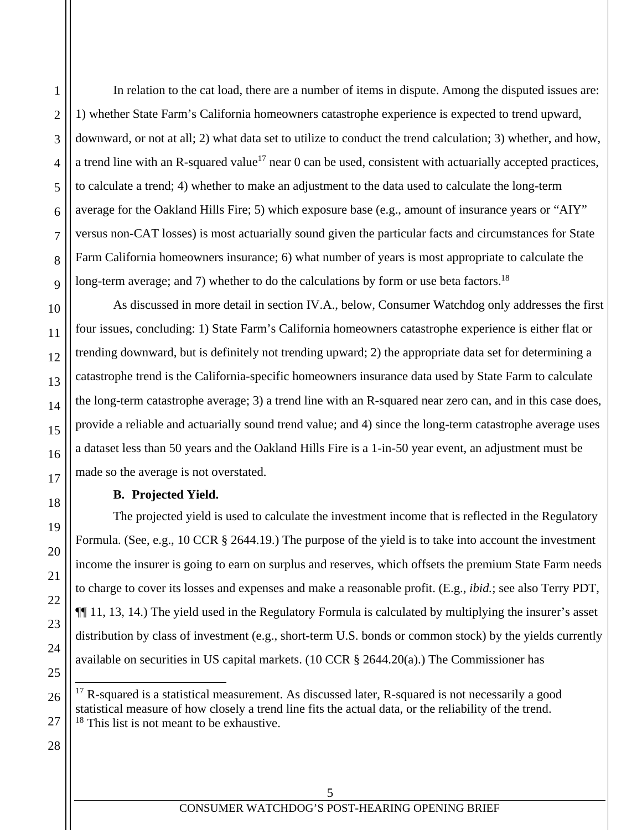In relation to the cat load, there are a number of items in dispute. Among the disputed issues are: 1) whether State Farm's California homeowners catastrophe experience is expected to trend upward, downward, or not at all; 2) what data set to utilize to conduct the trend calculation; 3) whether, and how, a trend line with an R-squared value<sup>17</sup> near 0 can be used, consistent with actuarially accepted practices, to calculate a trend; 4) whether to make an adjustment to the data used to calculate the long-term average for the Oakland Hills Fire; 5) which exposure base (e.g., amount of insurance years or "AIY" versus non-CAT losses) is most actuarially sound given the particular facts and circumstances for State Farm California homeowners insurance; 6) what number of years is most appropriate to calculate the long-term average; and 7) whether to do the calculations by form or use beta factors.<sup>18</sup>

As discussed in more detail in section IV.A., below, Consumer Watchdog only addresses the first four issues, concluding: 1) State Farm's California homeowners catastrophe experience is either flat or trending downward, but is definitely not trending upward; 2) the appropriate data set for determining a catastrophe trend is the California-specific homeowners insurance data used by State Farm to calculate the long-term catastrophe average; 3) a trend line with an R-squared near zero can, and in this case does, provide a reliable and actuarially sound trend value; and 4) since the long-term catastrophe average uses a dataset less than 50 years and the Oakland Hills Fire is a 1-in-50 year event, an adjustment must be made so the average is not overstated.

# **B. Projected Yield.**

The projected yield is used to calculate the investment income that is reflected in the Regulatory Formula. (See, e.g., 10 CCR § 2644.19.) The purpose of the yield is to take into account the investment income the insurer is going to earn on surplus and reserves, which offsets the premium State Farm needs to charge to cover its losses and expenses and make a reasonable profit. (E.g., *ibid.*; see also Terry PDT, ¶¶ 11, 13, 14.) The yield used in the Regulatory Formula is calculated by multiplying the insurer's asset distribution by class of investment (e.g., short-term U.S. bonds or common stock) by the yields currently available on securities in US capital markets. (10 CCR § 2644.20(a).) The Commissioner has

 $\overline{a}$ 

1

 $17$  R-squared is a statistical measurement. As discussed later, R-squared is not necessarily a good statistical measure of how closely a trend line fits the actual data, or the reliability of the trend.  $18$  This list is not meant to be exhaustive.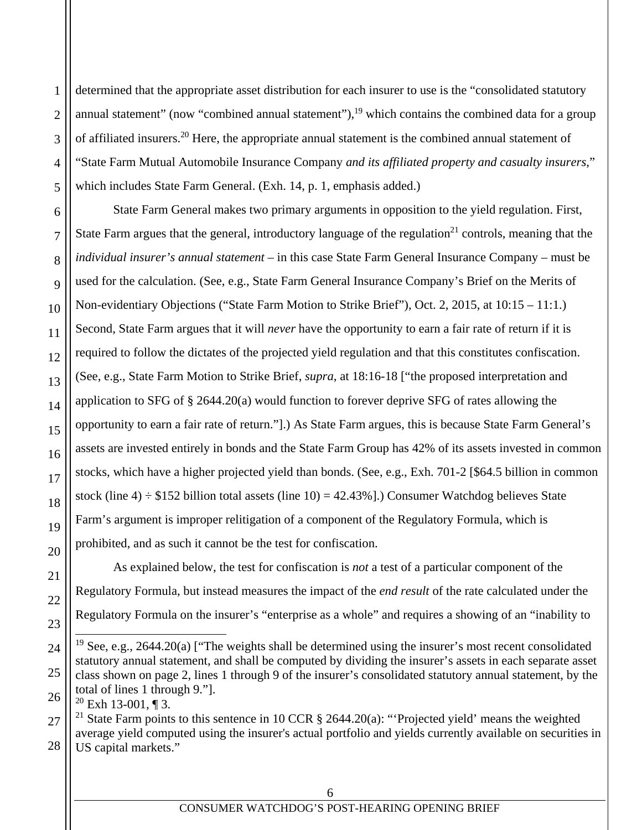determined that the appropriate asset distribution for each insurer to use is the "consolidated statutory annual statement" (now "combined annual statement"), $19$  which contains the combined data for a group of affiliated insurers.20 Here, the appropriate annual statement is the combined annual statement of "State Farm Mutual Automobile Insurance Company *and its affiliated property and casualty insurers*," which includes State Farm General. (Exh. 14, p. 1, emphasis added.)

State Farm General makes two primary arguments in opposition to the yield regulation. First, State Farm argues that the general, introductory language of the regulation<sup>21</sup> controls, meaning that the *individual insurer's annual statement* – in this case State Farm General Insurance Company – must be used for the calculation. (See, e.g., State Farm General Insurance Company's Brief on the Merits of Non-evidentiary Objections ("State Farm Motion to Strike Brief"), Oct. 2, 2015, at 10:15 – 11:1.) Second, State Farm argues that it will *never* have the opportunity to earn a fair rate of return if it is required to follow the dictates of the projected yield regulation and that this constitutes confiscation. (See, e.g., State Farm Motion to Strike Brief, *supra*, at 18:16-18 ["the proposed interpretation and application to SFG of § 2644.20(a) would function to forever deprive SFG of rates allowing the opportunity to earn a fair rate of return."].) As State Farm argues, this is because State Farm General's assets are invested entirely in bonds and the State Farm Group has 42% of its assets invested in common stocks, which have a higher projected yield than bonds. (See, e.g., Exh. 701-2 [\$64.5 billion in common stock (line  $4$ ) ÷ \$152 billion total assets (line 10) = 42.43%].) Consumer Watchdog believes State Farm's argument is improper relitigation of a component of the Regulatory Formula, which is prohibited, and as such it cannot be the test for confiscation.

As explained below, the test for confiscation is *not* a test of a particular component of the Regulatory Formula, but instead measures the impact of the *end result* of the rate calculated under the Regulatory Formula on the insurer's "enterprise as a whole" and requires a showing of an "inability to

1

2

3

4

5

6

7

8

9

10

11

12

13

14

15

16

17

18

19

20

21

22

23

 $\overline{a}$ 

24

25

27 28 <sup>21</sup> State Farm points to this sentence in 10 CCR  $\S$  2644.20(a): "Projected yield' means the weighted average yield computed using the insurer's actual portfolio and yields currently available on securities in US capital markets."

<sup>&</sup>lt;sup>19</sup> See, e.g., 2644.20(a) ["The weights shall be determined using the insurer's most recent consolidated statutory annual statement, and shall be computed by dividing the insurer's assets in each separate asset class shown on page 2, lines 1 through 9 of the insurer's consolidated statutory annual statement, by the total of lines 1 through 9."].

<sup>26</sup>  $20$  Exh 13-001, ¶ 3.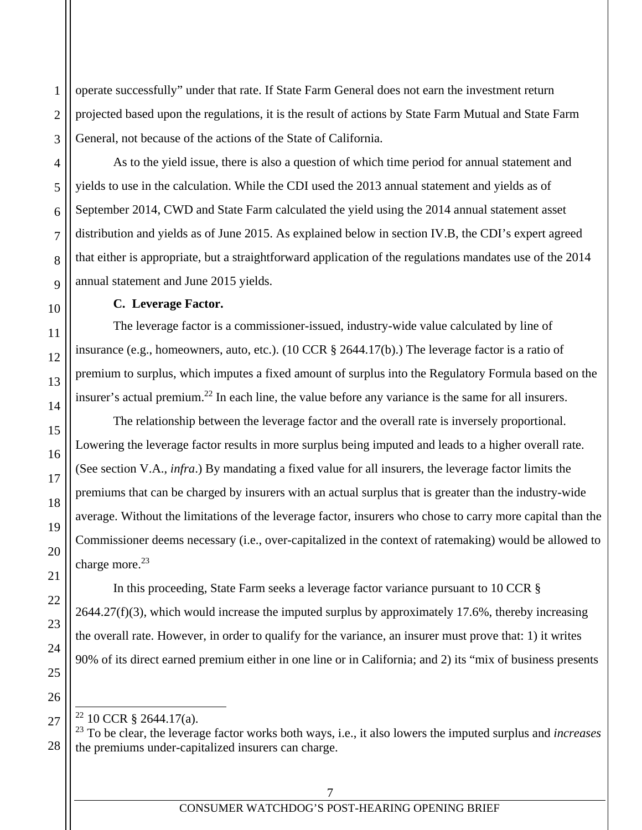operate successfully" under that rate. If State Farm General does not earn the investment return projected based upon the regulations, it is the result of actions by State Farm Mutual and State Farm General, not because of the actions of the State of California.

As to the yield issue, there is also a question of which time period for annual statement and yields to use in the calculation. While the CDI used the 2013 annual statement and yields as of September 2014, CWD and State Farm calculated the yield using the 2014 annual statement asset distribution and yields as of June 2015. As explained below in section IV.B, the CDI's expert agreed that either is appropriate, but a straightforward application of the regulations mandates use of the 2014 annual statement and June 2015 yields.

#### **C. Leverage Factor.**

The leverage factor is a commissioner-issued, industry-wide value calculated by line of insurance (e.g., homeowners, auto, etc.). (10 CCR § 2644.17(b).) The leverage factor is a ratio of premium to surplus, which imputes a fixed amount of surplus into the Regulatory Formula based on the insurer's actual premium.<sup>22</sup> In each line, the value before any variance is the same for all insurers.

The relationship between the leverage factor and the overall rate is inversely proportional. Lowering the leverage factor results in more surplus being imputed and leads to a higher overall rate. (See section V.A., *infra*.) By mandating a fixed value for all insurers, the leverage factor limits the premiums that can be charged by insurers with an actual surplus that is greater than the industry-wide average. Without the limitations of the leverage factor, insurers who chose to carry more capital than the Commissioner deems necessary (i.e., over-capitalized in the context of ratemaking) would be allowed to charge more. $^{23}$ 

In this proceeding, State Farm seeks a leverage factor variance pursuant to 10 CCR §  $2644.27(f)(3)$ , which would increase the imputed surplus by approximately 17.6%, thereby increasing the overall rate. However, in order to qualify for the variance, an insurer must prove that: 1) it writes 90% of its direct earned premium either in one line or in California; and 2) its "mix of business presents

 $\overline{a}$ 

<sup>22 10</sup> CCR § 2644.17(a).

<sup>23</sup> To be clear, the leverage factor works both ways, i.e., it also lowers the imputed surplus and *increases*  the premiums under-capitalized insurers can charge.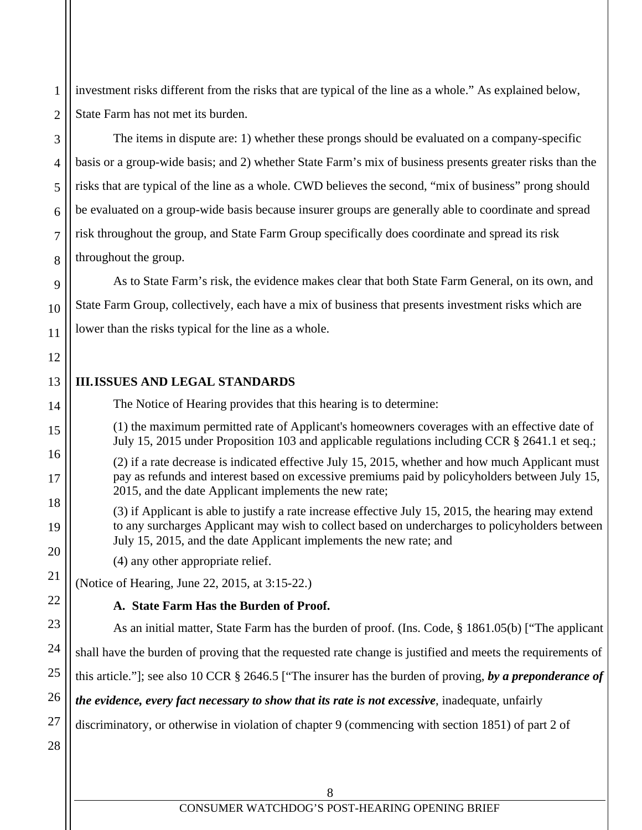investment risks different from the risks that are typical of the line as a whole." As explained below, State Farm has not met its burden.

# The items in dispute are: 1) whether these prongs should be evaluated on a company-specific basis or a group-wide basis; and 2) whether State Farm's mix of business presents greater risks than the risks that are typical of the line as a whole. CWD believes the second, "mix of business" prong should be evaluated on a group-wide basis because insurer groups are generally able to coordinate and spread risk throughout the group, and State Farm Group specifically does coordinate and spread its risk throughout the group.

As to State Farm's risk, the evidence makes clear that both State Farm General, on its own, and State Farm Group, collectively, each have a mix of business that presents investment risks which are lower than the risks typical for the line as a whole.

## **III.ISSUES AND LEGAL STANDARDS**

The Notice of Hearing provides that this hearing is to determine:

(1) the maximum permitted rate of Applicant's homeowners coverages with an effective date of July 15, 2015 under Proposition 103 and applicable regulations including CCR § 2641.1 et seq.;

(2) if a rate decrease is indicated effective July 15, 2015, whether and how much Applicant must pay as refunds and interest based on excessive premiums paid by policyholders between July 15, 2015, and the date Applicant implements the new rate;

(3) if Applicant is able to justify a rate increase effective July 15, 2015, the hearing may extend to any surcharges Applicant may wish to collect based on undercharges to policyholders between July 15, 2015, and the date Applicant implements the new rate; and

(4) any other appropriate relief.

(Notice of Hearing, June 22, 2015, at 3:15-22.)

# **A. State Farm Has the Burden of Proof.**

As an initial matter, State Farm has the burden of proof. (Ins. Code, § 1861.05(b) ["The applicant shall have the burden of proving that the requested rate change is justified and meets the requirements of this article."]; see also 10 CCR § 2646.5 ["The insurer has the burden of proving, *by a preponderance of the evidence, every fact necessary to show that its rate is not excessive*, inadequate, unfairly discriminatory, or otherwise in violation of chapter 9 (commencing with section 1851) of part 2 of

1

2

3

4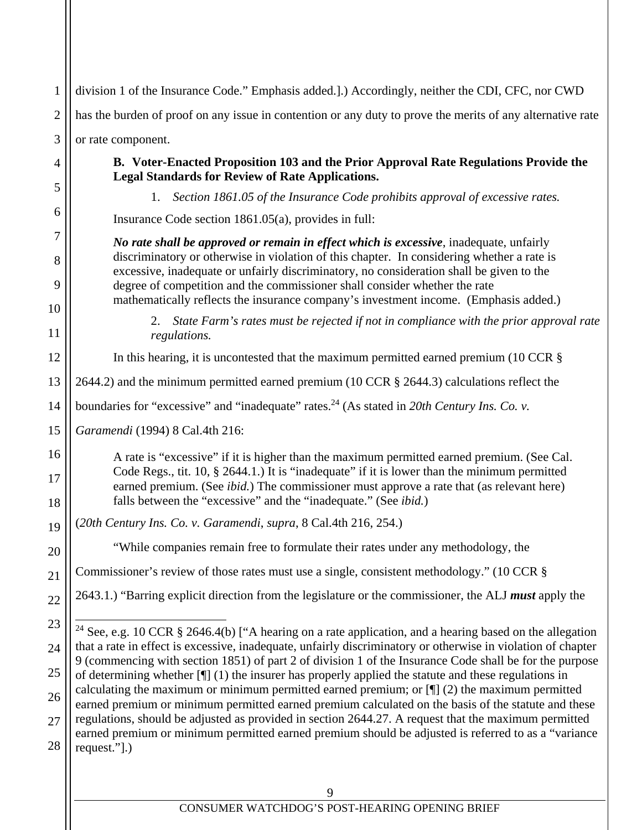| $\mathbf{1}$   | division 1 of the Insurance Code." Emphasis added.].) Accordingly, neither the CDI, CFC, nor CWD                                                                                                                                                                                                                                                                          |  |  |
|----------------|---------------------------------------------------------------------------------------------------------------------------------------------------------------------------------------------------------------------------------------------------------------------------------------------------------------------------------------------------------------------------|--|--|
| $\mathfrak{2}$ | has the burden of proof on any issue in contention or any duty to prove the merits of any alternative rate                                                                                                                                                                                                                                                                |  |  |
| 3              | or rate component.                                                                                                                                                                                                                                                                                                                                                        |  |  |
| 4              | B. Voter-Enacted Proposition 103 and the Prior Approval Rate Regulations Provide the<br><b>Legal Standards for Review of Rate Applications.</b>                                                                                                                                                                                                                           |  |  |
| 5              | Section 1861.05 of the Insurance Code prohibits approval of excessive rates.<br>1.                                                                                                                                                                                                                                                                                        |  |  |
| 6              | Insurance Code section 1861.05(a), provides in full:                                                                                                                                                                                                                                                                                                                      |  |  |
| 7              | No rate shall be approved or remain in effect which is excessive, inadequate, unfairly                                                                                                                                                                                                                                                                                    |  |  |
| 8<br>9         | discriminatory or otherwise in violation of this chapter. In considering whether a rate is<br>excessive, inadequate or unfairly discriminatory, no consideration shall be given to the<br>degree of competition and the commissioner shall consider whether the rate                                                                                                      |  |  |
| 10             | mathematically reflects the insurance company's investment income. (Emphasis added.)                                                                                                                                                                                                                                                                                      |  |  |
| 11             | State Farm's rates must be rejected if not in compliance with the prior approval rate<br>2.<br>regulations.                                                                                                                                                                                                                                                               |  |  |
| 12             | In this hearing, it is uncontested that the maximum permitted earned premium (10 CCR $\S$                                                                                                                                                                                                                                                                                 |  |  |
| 13             | 2644.2) and the minimum permitted earned premium (10 CCR § 2644.3) calculations reflect the                                                                                                                                                                                                                                                                               |  |  |
| 14             | boundaries for "excessive" and "inadequate" rates. <sup>24</sup> (As stated in 20th Century Ins. Co. v.                                                                                                                                                                                                                                                                   |  |  |
| 15             | Garamendi (1994) 8 Cal.4th 216:                                                                                                                                                                                                                                                                                                                                           |  |  |
| 16<br>17<br>18 | A rate is "excessive" if it is higher than the maximum permitted earned premium. (See Cal.<br>Code Regs., tit. 10, § 2644.1.) It is "inadequate" if it is lower than the minimum permitted<br>earned premium. (See <i>ibid.</i> ) The commissioner must approve a rate that (as relevant here)<br>falls between the "excessive" and the "inadequate." (See <i>ibid.</i> ) |  |  |
| 19             | (20th Century Ins. Co. v. Garamendi, supra, 8 Cal.4th 216, 254.)                                                                                                                                                                                                                                                                                                          |  |  |
| 20             | "While companies remain free to formulate their rates under any methodology, the                                                                                                                                                                                                                                                                                          |  |  |
| 21             | Commissioner's review of those rates must use a single, consistent methodology." (10 CCR §                                                                                                                                                                                                                                                                                |  |  |
| $22\,$         | 2643.1.) "Barring explicit direction from the legislature or the commissioner, the ALJ must apply the                                                                                                                                                                                                                                                                     |  |  |
|                |                                                                                                                                                                                                                                                                                                                                                                           |  |  |
| 23             | <sup>24</sup> See, e.g. 10 CCR $\S$ 2646.4(b) ["A hearing on a rate application, and a hearing based on the allegation<br>that a rate in effect is excessive, inadequate, unfairly discriminatory or otherwise in violation of chapter                                                                                                                                    |  |  |
| 24             | 9 (commencing with section 1851) of part 2 of division 1 of the Insurance Code shall be for the purpose                                                                                                                                                                                                                                                                   |  |  |
| 25             | of determining whether $[\P]$ (1) the insurer has properly applied the statute and these regulations in<br>calculating the maximum or minimum permitted earned premium; or $[\P]$ (2) the maximum permitted                                                                                                                                                               |  |  |
| 26             | earned premium or minimum permitted earned premium calculated on the basis of the statute and these                                                                                                                                                                                                                                                                       |  |  |
| 27<br>28       | regulations, should be adjusted as provided in section 2644.27. A request that the maximum permitted<br>earned premium or minimum permitted earned premium should be adjusted is referred to as a "variance<br>request."].)                                                                                                                                               |  |  |
|                | 9                                                                                                                                                                                                                                                                                                                                                                         |  |  |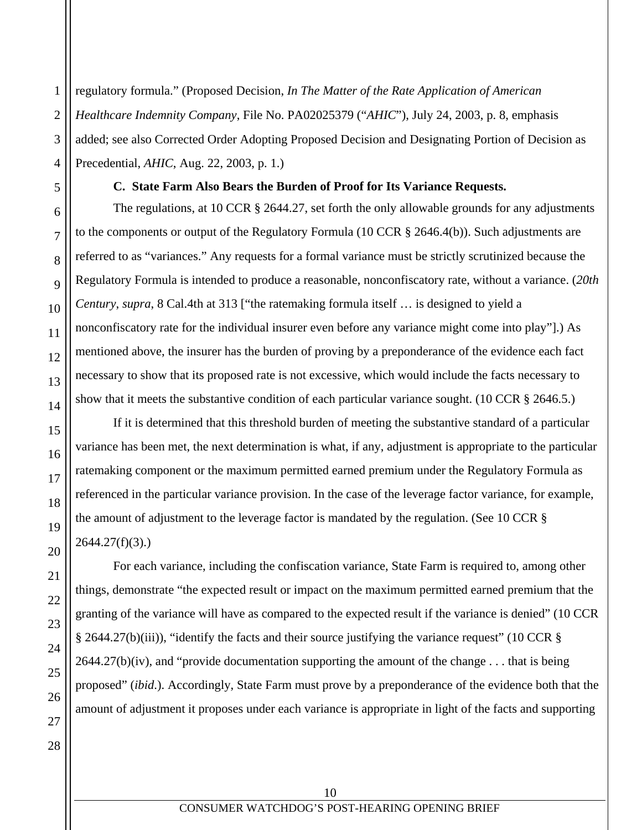regulatory formula." (Proposed Decision, *In The Matter of the Rate Application of American Healthcare Indemnity Company*, File No. PA02025379 ("*AHIC*"), July 24, 2003, p. 8, emphasis added; see also Corrected Order Adopting Proposed Decision and Designating Portion of Decision as Precedential, *AHIC*, Aug. 22, 2003, p. 1.)

# **C. State Farm Also Bears the Burden of Proof for Its Variance Requests.**

The regulations, at 10 CCR § 2644.27, set forth the only allowable grounds for any adjustments to the components or output of the Regulatory Formula (10 CCR § 2646.4(b)). Such adjustments are referred to as "variances." Any requests for a formal variance must be strictly scrutinized because the Regulatory Formula is intended to produce a reasonable, nonconfiscatory rate, without a variance. (*20th Century*, *supra*, 8 Cal.4th at 313 ["the ratemaking formula itself … is designed to yield a nonconfiscatory rate for the individual insurer even before any variance might come into play"].) As mentioned above, the insurer has the burden of proving by a preponderance of the evidence each fact necessary to show that its proposed rate is not excessive, which would include the facts necessary to show that it meets the substantive condition of each particular variance sought. (10 CCR § 2646.5.)

If it is determined that this threshold burden of meeting the substantive standard of a particular variance has been met, the next determination is what, if any, adjustment is appropriate to the particular ratemaking component or the maximum permitted earned premium under the Regulatory Formula as referenced in the particular variance provision. In the case of the leverage factor variance, for example, the amount of adjustment to the leverage factor is mandated by the regulation. (See 10 CCR § 2644.27(f)(3).)

For each variance, including the confiscation variance, State Farm is required to, among other things, demonstrate "the expected result or impact on the maximum permitted earned premium that the granting of the variance will have as compared to the expected result if the variance is denied" (10 CCR § 2644.27(b)(iii)), "identify the facts and their source justifying the variance request" (10 CCR §  $2644.27(b)(iv)$ , and "provide documentation supporting the amount of the change . . . that is being proposed" (*ibid*.). Accordingly, State Farm must prove by a preponderance of the evidence both that the amount of adjustment it proposes under each variance is appropriate in light of the facts and supporting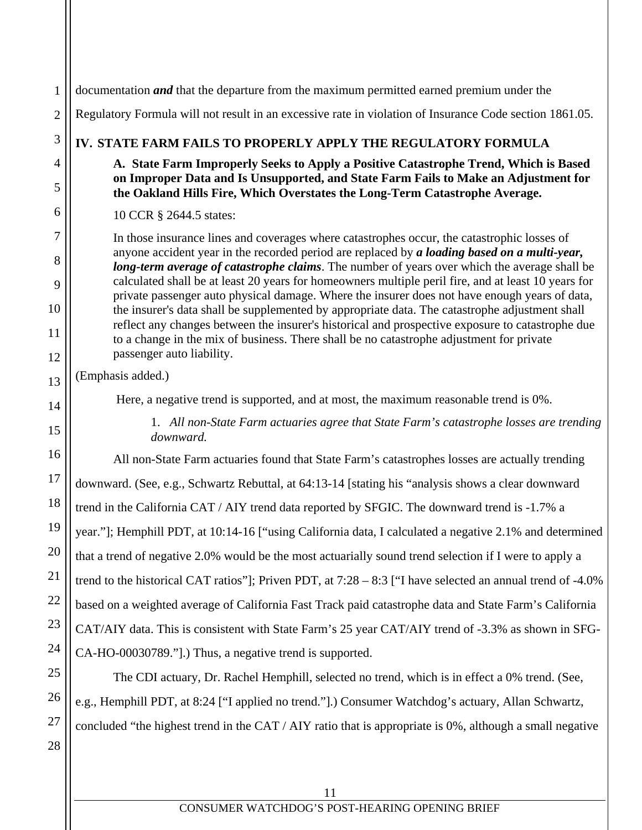| 1              | documentation <i>and</i> that the departure from the maximum permitted earned premium under the                                                                                                      |  |  |
|----------------|------------------------------------------------------------------------------------------------------------------------------------------------------------------------------------------------------|--|--|
| $\mathfrak{2}$ | Regulatory Formula will not result in an excessive rate in violation of Insurance Code section 1861.05.                                                                                              |  |  |
| 3              | IV. STATE FARM FAILS TO PROPERLY APPLY THE REGULATORY FORMULA                                                                                                                                        |  |  |
| 4              | A. State Farm Improperly Seeks to Apply a Positive Catastrophe Trend, Which is Based<br>on Improper Data and Is Unsupported, and State Farm Fails to Make an Adjustment for                          |  |  |
| 5              | the Oakland Hills Fire, Which Overstates the Long-Term Catastrophe Average.                                                                                                                          |  |  |
| 6              | 10 CCR § 2644.5 states:                                                                                                                                                                              |  |  |
| 7              | In those insurance lines and coverages where catastrophes occur, the catastrophic losses of                                                                                                          |  |  |
| 8              | anyone accident year in the recorded period are replaced by a loading based on a multi-year,<br>long-term average of catastrophe claims. The number of years over which the average shall be         |  |  |
| 9              | calculated shall be at least 20 years for homeowners multiple peril fire, and at least 10 years for<br>private passenger auto physical damage. Where the insurer does not have enough years of data, |  |  |
| 10             | the insurer's data shall be supplemented by appropriate data. The catastrophe adjustment shall<br>reflect any changes between the insurer's historical and prospective exposure to catastrophe due   |  |  |
| 11             | to a change in the mix of business. There shall be no catastrophe adjustment for private                                                                                                             |  |  |
| 12             | passenger auto liability.<br>(Emphasis added.)                                                                                                                                                       |  |  |
| 13             |                                                                                                                                                                                                      |  |  |
| 14             | Here, a negative trend is supported, and at most, the maximum reasonable trend is 0%.                                                                                                                |  |  |
| 15             | 1. All non-State Farm actuaries agree that State Farm's catastrophe losses are trending<br>downward.                                                                                                 |  |  |
| 16             | All non-State Farm actuaries found that State Farm's catastrophes losses are actually trending                                                                                                       |  |  |
| 17             | downward. (See, e.g., Schwartz Rebuttal, at 64:13-14 [stating his "analysis shows a clear downward                                                                                                   |  |  |
| 18             | trend in the California CAT / AIY trend data reported by SFGIC. The downward trend is -1.7% a                                                                                                        |  |  |
| 19             | year."]; Hemphill PDT, at 10:14-16 ["using California data, I calculated a negative 2.1% and determined                                                                                              |  |  |
| 20             | that a trend of negative 2.0% would be the most actuarially sound trend selection if I were to apply a                                                                                               |  |  |
| 21             | trend to the historical CAT ratios"]; Priven PDT, at $7:28 - 8:3$ ["I have selected an annual trend of -4.0%                                                                                         |  |  |
| 22             | based on a weighted average of California Fast Track paid catastrophe data and State Farm's California                                                                                               |  |  |
| 23             | CAT/AIY data. This is consistent with State Farm's 25 year CAT/AIY trend of -3.3% as shown in SFG-                                                                                                   |  |  |
| 24             | CA-HO-00030789."].) Thus, a negative trend is supported.                                                                                                                                             |  |  |
| 25             | The CDI actuary, Dr. Rachel Hemphill, selected no trend, which is in effect a 0% trend. (See,                                                                                                        |  |  |
| 26             | e.g., Hemphill PDT, at 8:24 ["I applied no trend."].) Consumer Watchdog's actuary, Allan Schwartz,                                                                                                   |  |  |
| 27             | concluded "the highest trend in the CAT / AIY ratio that is appropriate is 0%, although a small negative                                                                                             |  |  |
| 28             |                                                                                                                                                                                                      |  |  |
|                |                                                                                                                                                                                                      |  |  |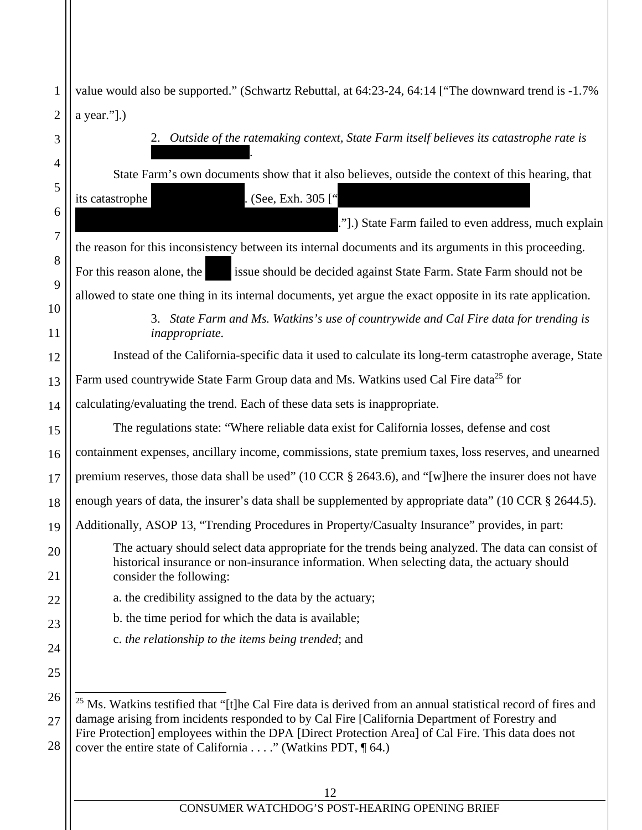| $\mathbf{1}$   | value would also be supported." (Schwartz Rebuttal, at 64:23-24, 64:14 ["The downward trend is -1.7%                    |  |  |
|----------------|-------------------------------------------------------------------------------------------------------------------------|--|--|
| $\overline{2}$ | a year."].)                                                                                                             |  |  |
| 3              | Outside of the ratemaking context, State Farm itself believes its catastrophe rate is<br>2.                             |  |  |
| 4              | State Farm's own documents show that it also believes, outside the context of this hearing, that                        |  |  |
| 5              | . (See, Exh. 305 <sup>["</sup><br>its catastrophe                                                                       |  |  |
| 6              | ."].) State Farm failed to even address, much explain                                                                   |  |  |
| 7              | the reason for this inconsistency between its internal documents and its arguments in this proceeding.                  |  |  |
| 8              |                                                                                                                         |  |  |
| 9              | issue should be decided against State Farm. State Farm should not be<br>For this reason alone, the                      |  |  |
| 10             | allowed to state one thing in its internal documents, yet argue the exact opposite in its rate application.             |  |  |
| 11             | State Farm and Ms. Watkins's use of countrywide and Cal Fire data for trending is<br>3.<br><i>inappropriate.</i>        |  |  |
| 12             | Instead of the California-specific data it used to calculate its long-term catastrophe average, State                   |  |  |
| 13             | Farm used countrywide State Farm Group data and Ms. Watkins used Cal Fire data <sup>25</sup> for                        |  |  |
| 14             | calculating/evaluating the trend. Each of these data sets is inappropriate.                                             |  |  |
| 15             | The regulations state: "Where reliable data exist for California losses, defense and cost                               |  |  |
| 16             | containment expenses, ancillary income, commissions, state premium taxes, loss reserves, and unearned                   |  |  |
| 17             | premium reserves, those data shall be used" (10 CCR § 2643.6), and "[w]here the insurer does not have                   |  |  |
| 18             | enough years of data, the insurer's data shall be supplemented by appropriate data" (10 CCR § 2644.5).                  |  |  |
| 19             | Additionally, ASOP 13, "Trending Procedures in Property/Casualty Insurance" provides, in part:                          |  |  |
| 20             | The actuary should select data appropriate for the trends being analyzed. The data can consist of                       |  |  |
| 21             | historical insurance or non-insurance information. When selecting data, the actuary should<br>consider the following:   |  |  |
| 22             | a. the credibility assigned to the data by the actuary;                                                                 |  |  |
| 23             | b. the time period for which the data is available;                                                                     |  |  |
| 24             | c. the relationship to the items being trended; and                                                                     |  |  |
| 25             |                                                                                                                         |  |  |
| 26             | <sup>25</sup> Ms. Watkins testified that "[t]he Cal Fire data is derived from an annual statistical record of fires and |  |  |
| 27             | damage arising from incidents responded to by Cal Fire [California Department of Forestry and                           |  |  |
| 28             | Fire Protection] employees within the DPA [Direct Protection Area] of Cal Fire. This data does not                      |  |  |
|                | cover the entire state of California " (Watkins PDT, ¶ 64.)                                                             |  |  |
|                | 12                                                                                                                      |  |  |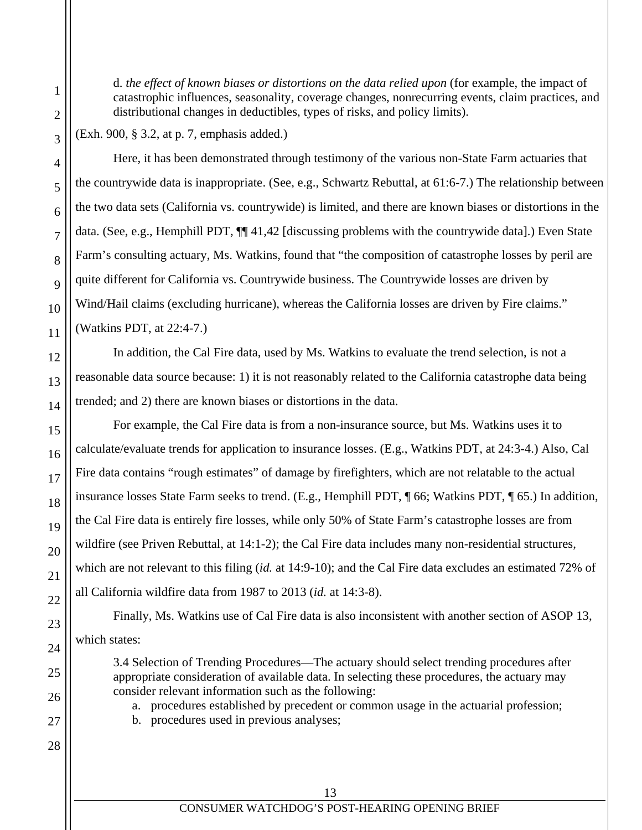d. *the effect of known biases or distortions on the data relied upon* (for example, the impact of catastrophic influences, seasonality, coverage changes, nonrecurring events, claim practices, and distributional changes in deductibles, types of risks, and policy limits).

(Exh. 900, § 3.2, at p. 7, emphasis added.)

Here, it has been demonstrated through testimony of the various non-State Farm actuaries that the countrywide data is inappropriate. (See, e.g., Schwartz Rebuttal, at 61:6-7.) The relationship between the two data sets (California vs. countrywide) is limited, and there are known biases or distortions in the data. (See, e.g., Hemphill PDT,  $\P$  41,42 [discussing problems with the countrywide data].) Even State Farm's consulting actuary, Ms. Watkins, found that "the composition of catastrophe losses by peril are quite different for California vs. Countrywide business. The Countrywide losses are driven by Wind/Hail claims (excluding hurricane), whereas the California losses are driven by Fire claims." (Watkins PDT, at 22:4-7.)

In addition, the Cal Fire data, used by Ms. Watkins to evaluate the trend selection, is not a reasonable data source because: 1) it is not reasonably related to the California catastrophe data being trended; and 2) there are known biases or distortions in the data.

For example, the Cal Fire data is from a non-insurance source, but Ms. Watkins uses it to calculate/evaluate trends for application to insurance losses. (E.g., Watkins PDT, at 24:3-4.) Also, Cal Fire data contains "rough estimates" of damage by firefighters, which are not relatable to the actual insurance losses State Farm seeks to trend. (E.g., Hemphill PDT, ¶ 66; Watkins PDT, ¶ 65.) In addition, the Cal Fire data is entirely fire losses, while only 50% of State Farm's catastrophe losses are from wildfire (see Priven Rebuttal, at 14:1-2); the Cal Fire data includes many non-residential structures, which are not relevant to this filing (*id.* at 14:9-10); and the Cal Fire data excludes an estimated 72% of all California wildfire data from 1987 to 2013 (*id.* at 14:3-8).

Finally, Ms. Watkins use of Cal Fire data is also inconsistent with another section of ASOP 13, which states:

3.4 Selection of Trending Procedures—The actuary should select trending procedures after appropriate consideration of available data. In selecting these procedures, the actuary may consider relevant information such as the following:

a. procedures established by precedent or common usage in the actuarial profession;

b. procedures used in previous analyses;

1

2

3

4

5

6

7

8

9

10

11

12

13

14

15

16

17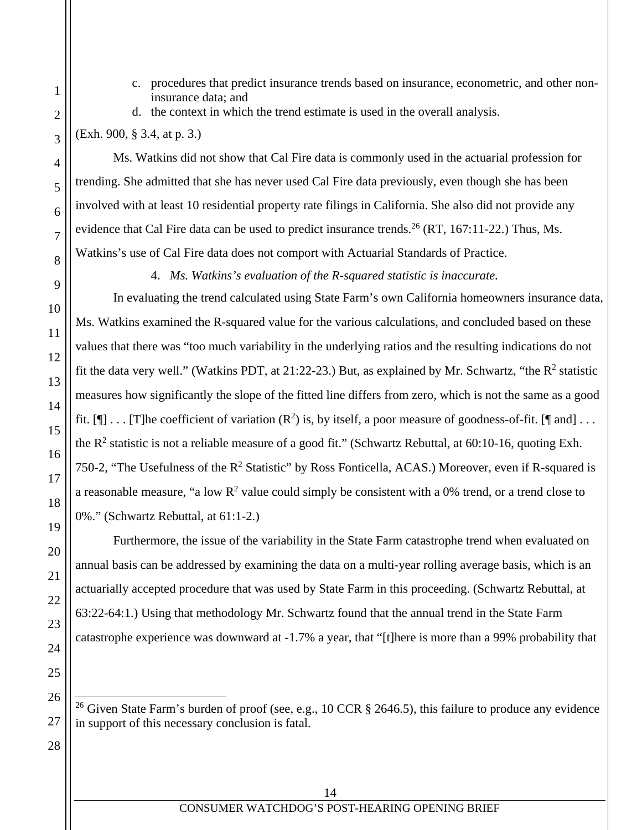- c. procedures that predict insurance trends based on insurance, econometric, and other noninsurance data; and
- d. the context in which the trend estimate is used in the overall analysis.

(Exh. 900, § 3.4, at p. 3.)

1

2

3

4

5

6

7

8

9

10

11

12

13

14

15

16

17

18

19

20

21

22

23

24

25

26

27

28

Ms. Watkins did not show that Cal Fire data is commonly used in the actuarial profession for trending. She admitted that she has never used Cal Fire data previously, even though she has been involved with at least 10 residential property rate filings in California. She also did not provide any evidence that Cal Fire data can be used to predict insurance trends.<sup>26</sup> (RT, 167:11-22.) Thus, Ms. Watkins's use of Cal Fire data does not comport with Actuarial Standards of Practice.

4. *Ms. Watkins's evaluation of the R-squared statistic is inaccurate.* 

In evaluating the trend calculated using State Farm's own California homeowners insurance data, Ms. Watkins examined the R-squared value for the various calculations, and concluded based on these values that there was "too much variability in the underlying ratios and the resulting indications do not fit the data very well." (Watkins PDT, at 21:22-23.) But, as explained by Mr. Schwartz, "the  $R^2$  statistic measures how significantly the slope of the fitted line differs from zero, which is not the same as a good fit.  $[\P] \dots$  [T]he coefficient of variation  $(\mathbb{R}^2)$  is, by itself, a poor measure of goodness-of-fit. [ $\P$  and] ... the  $R^2$  statistic is not a reliable measure of a good fit." (Schwartz Rebuttal, at 60:10-16, quoting Exh. 750-2, "The Usefulness of the  $R^2$  Statistic" by Ross Fonticella, ACAS.) Moreover, even if R-squared is a reasonable measure, "a low  $R^2$  value could simply be consistent with a 0% trend, or a trend close to 0%." (Schwartz Rebuttal, at 61:1-2.)

Furthermore, the issue of the variability in the State Farm catastrophe trend when evaluated on annual basis can be addressed by examining the data on a multi-year rolling average basis, which is an actuarially accepted procedure that was used by State Farm in this proceeding. (Schwartz Rebuttal, at 63:22-64:1.) Using that methodology Mr. Schwartz found that the annual trend in the State Farm catastrophe experience was downward at -1.7% a year, that "[t]here is more than a 99% probability that

 $\overline{a}$ <sup>26</sup> Given State Farm's burden of proof (see, e.g., 10 CCR § 2646.5), this failure to produce any evidence in support of this necessary conclusion is fatal.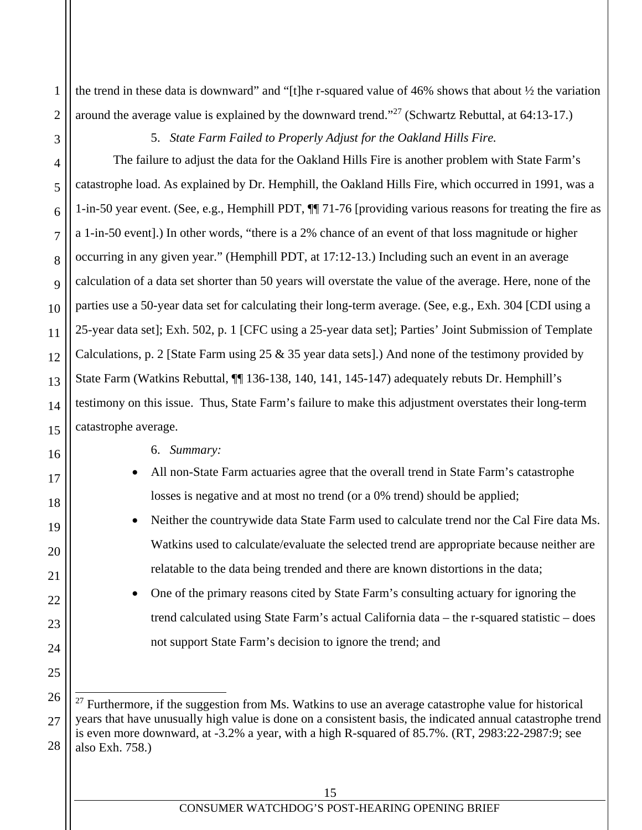the trend in these data is downward" and "[t]he r-squared value of 46% shows that about  $\frac{1}{2}$  the variation around the average value is explained by the downward trend."27 (Schwartz Rebuttal, at 64:13-17.)

1

2

3

4

5

6

7

8

9

10

11

12

13

14

15

16

17

18

19

20

21

22

23

24

25

5. *State Farm Failed to Properly Adjust for the Oakland Hills Fire.* 

The failure to adjust the data for the Oakland Hills Fire is another problem with State Farm's catastrophe load. As explained by Dr. Hemphill, the Oakland Hills Fire, which occurred in 1991, was a 1-in-50 year event. (See, e.g., Hemphill PDT, ¶¶ 71-76 [providing various reasons for treating the fire as a 1-in-50 event].) In other words, "there is a 2% chance of an event of that loss magnitude or higher occurring in any given year." (Hemphill PDT, at 17:12-13.) Including such an event in an average calculation of a data set shorter than 50 years will overstate the value of the average. Here, none of the parties use a 50-year data set for calculating their long-term average. (See, e.g., Exh. 304 [CDI using a 25-year data set]; Exh. 502, p. 1 [CFC using a 25-year data set]; Parties' Joint Submission of Template Calculations, p. 2 [State Farm using 25 & 35 year data sets].) And none of the testimony provided by State Farm (Watkins Rebuttal,  $\P$  136-138, 140, 141, 145-147) adequately rebuts Dr. Hemphill's testimony on this issue. Thus, State Farm's failure to make this adjustment overstates their long-term catastrophe average.

6. *Summary:* 

- All non-State Farm actuaries agree that the overall trend in State Farm's catastrophe losses is negative and at most no trend (or a 0% trend) should be applied;
- Neither the countrywide data State Farm used to calculate trend nor the Cal Fire data Ms. Watkins used to calculate/evaluate the selected trend are appropriate because neither are relatable to the data being trended and there are known distortions in the data;
- One of the primary reasons cited by State Farm's consulting actuary for ignoring the trend calculated using State Farm's actual California data – the r-squared statistic – does not support State Farm's decision to ignore the trend; and

<sup>26</sup> 27 28  $\overline{a}$ <sup>27</sup> Furthermore, if the suggestion from Ms. Watkins to use an average catastrophe value for historical years that have unusually high value is done on a consistent basis, the indicated annual catastrophe trend is even more downward, at -3.2% a year, with a high R-squared of 85.7%. (RT, 2983:22-2987:9; see also Exh. 758.)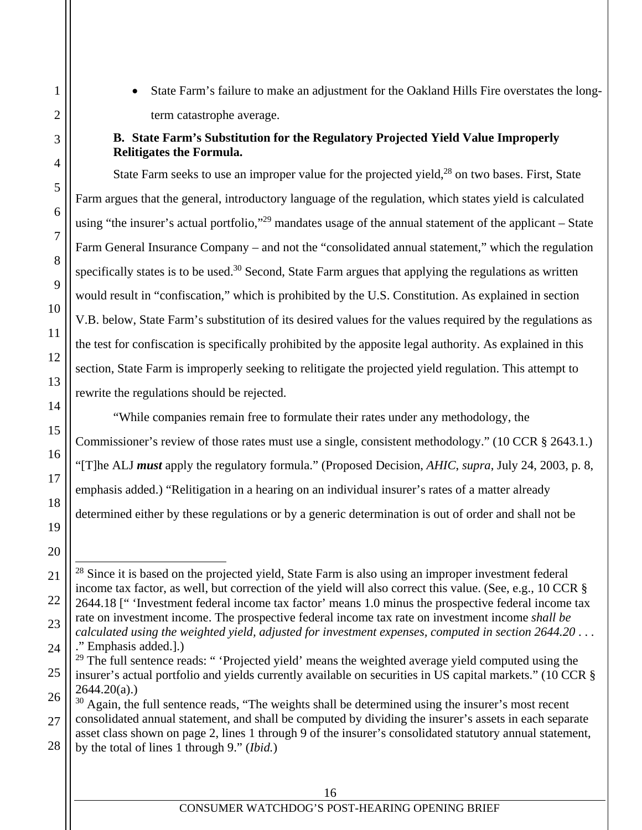State Farm's failure to make an adjustment for the Oakland Hills Fire overstates the longterm catastrophe average.

#### **B. State Farm's Substitution for the Regulatory Projected Yield Value Improperly Relitigates the Formula.**

State Farm seeks to use an improper value for the projected yield, $28$  on two bases. First, State Farm argues that the general, introductory language of the regulation, which states yield is calculated using "the insurer's actual portfolio,"<sup>29</sup> mandates usage of the annual statement of the applicant – State Farm General Insurance Company – and not the "consolidated annual statement," which the regulation specifically states is to be used.<sup>30</sup> Second, State Farm argues that applying the regulations as written would result in "confiscation," which is prohibited by the U.S. Constitution. As explained in section V.B. below, State Farm's substitution of its desired values for the values required by the regulations as the test for confiscation is specifically prohibited by the apposite legal authority. As explained in this section, State Farm is improperly seeking to relitigate the projected yield regulation. This attempt to rewrite the regulations should be rejected.

"While companies remain free to formulate their rates under any methodology, the Commissioner's review of those rates must use a single, consistent methodology." (10 CCR § 2643.1.) "[T]he ALJ *must* apply the regulatory formula." (Proposed Decision, *AHIC*, *supra*, July 24, 2003, p. 8, emphasis added.) "Relitigation in a hearing on an individual insurer's rates of a matter already determined either by these regulations or by a generic determination is out of order and shall not be

 $\overline{a}$ <sup>28</sup> Since it is based on the projected yield, State Farm is also using an improper investment federal income tax factor, as well, but correction of the yield will also correct this value. (See, e.g., 10 CCR § 2644.18 [" 'Investment federal income tax factor' means 1.0 minus the prospective federal income tax rate on investment income. The prospective federal income tax rate on investment income *shall be calculated using the weighted yield, adjusted for investment expenses, computed in section 2644.20* . . .

<sup>.&</sup>quot; Emphasis added.].)

<sup>&</sup>lt;sup>29</sup> The full sentence reads: " 'Projected yield' means the weighted average yield computed using the insurer's actual portfolio and yields currently available on securities in US capital markets." (10 CCR §  $2644.20(a)$ .)

<sup>&</sup>lt;sup>30</sup> Again, the full sentence reads, "The weights shall be determined using the insurer's most recent consolidated annual statement, and shall be computed by dividing the insurer's assets in each separate asset class shown on page 2, lines 1 through 9 of the insurer's consolidated statutory annual statement, by the total of lines 1 through 9." (*Ibid.*)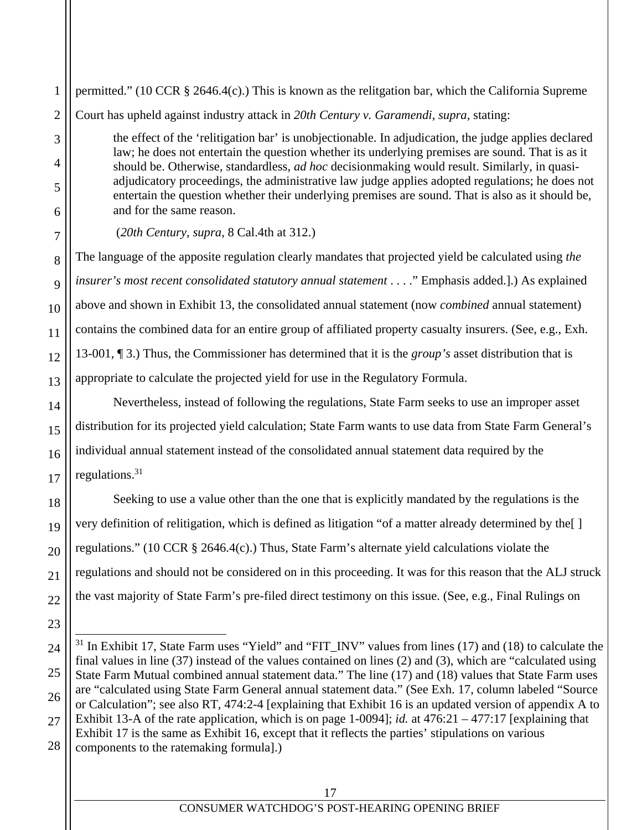1 2 3 4 5 6 7 8 9 10 11 12 13 14 15 16 17 18 19 20 21 22 23 24 25 26 permitted." (10 CCR § 2646.4(c).) This is known as the relitgation bar, which the California Supreme Court has upheld against industry attack in *20th Century v. Garamendi*, *supra*, stating: the effect of the 'relitigation bar' is unobjectionable. In adjudication, the judge applies declared law; he does not entertain the question whether its underlying premises are sound. That is as it should be. Otherwise, standardless, *ad hoc* decisionmaking would result. Similarly, in quasiadjudicatory proceedings, the administrative law judge applies adopted regulations; he does not entertain the question whether their underlying premises are sound. That is also as it should be, and for the same reason. (*20th Century*, *supra*, 8 Cal.4th at 312.) The language of the apposite regulation clearly mandates that projected yield be calculated using *the insurer's most recent consolidated statutory annual statement* . . . ." Emphasis added.].) As explained above and shown in Exhibit 13, the consolidated annual statement (now *combined* annual statement) contains the combined data for an entire group of affiliated property casualty insurers. (See, e.g., Exh. 13-001, ¶ 3.) Thus, the Commissioner has determined that it is the *group's* asset distribution that is appropriate to calculate the projected yield for use in the Regulatory Formula. Nevertheless, instead of following the regulations, State Farm seeks to use an improper asset distribution for its projected yield calculation; State Farm wants to use data from State Farm General's individual annual statement instead of the consolidated annual statement data required by the regulations.31 Seeking to use a value other than the one that is explicitly mandated by the regulations is the very definition of relitigation, which is defined as litigation "of a matter already determined by the[ ] regulations." (10 CCR § 2646.4(c).) Thus, State Farm's alternate yield calculations violate the regulations and should not be considered on in this proceeding. It was for this reason that the ALJ struck the vast majority of State Farm's pre-filed direct testimony on this issue. (See, e.g., Final Rulings on  $\overline{a}$  $31$  In Exhibit 17, State Farm uses "Yield" and "FIT\_INV" values from lines (17) and (18) to calculate the final values in line (37) instead of the values contained on lines (2) and (3), which are "calculated using State Farm Mutual combined annual statement data." The line (17) and (18) values that State Farm uses are "calculated using State Farm General annual statement data." (See Exh. 17, column labeled "Source or Calculation"; see also RT, 474:2-4 [explaining that Exhibit 16 is an updated version of appendix A to

27 28 Exhibit 13-A of the rate application, which is on page 1-0094]; *id.* at 476:21 – 477:17 [explaining that Exhibit 17 is the same as Exhibit 16, except that it reflects the parties' stipulations on various components to the ratemaking formula].)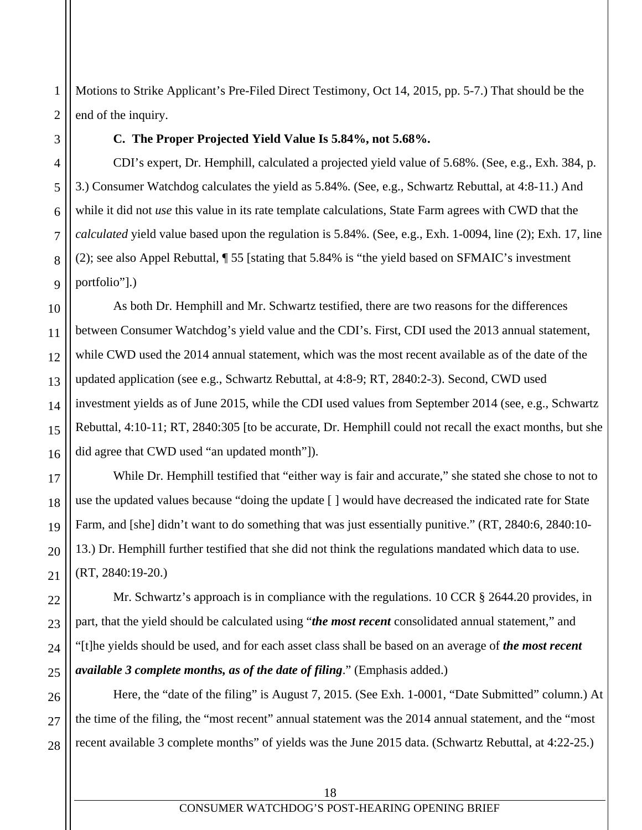Motions to Strike Applicant's Pre-Filed Direct Testimony, Oct 14, 2015, pp. 5-7.) That should be the end of the inquiry.

#### **C. The Proper Projected Yield Value Is 5.84%, not 5.68%.**

CDI's expert, Dr. Hemphill, calculated a projected yield value of 5.68%. (See, e.g., Exh. 384, p. 3.) Consumer Watchdog calculates the yield as 5.84%. (See, e.g., Schwartz Rebuttal, at 4:8-11.) And while it did not *use* this value in its rate template calculations, State Farm agrees with CWD that the *calculated* yield value based upon the regulation is 5.84%. (See, e.g., Exh. 1-0094, line (2); Exh. 17, line (2); see also Appel Rebuttal, ¶ 55 [stating that 5.84% is "the yield based on SFMAIC's investment portfolio"].)

As both Dr. Hemphill and Mr. Schwartz testified, there are two reasons for the differences between Consumer Watchdog's yield value and the CDI's. First, CDI used the 2013 annual statement, while CWD used the 2014 annual statement, which was the most recent available as of the date of the updated application (see e.g., Schwartz Rebuttal, at 4:8-9; RT, 2840:2-3). Second, CWD used investment yields as of June 2015, while the CDI used values from September 2014 (see, e.g., Schwartz Rebuttal, 4:10-11; RT, 2840:305 [to be accurate, Dr. Hemphill could not recall the exact months, but she did agree that CWD used "an updated month"]).

While Dr. Hemphill testified that "either way is fair and accurate," she stated she chose to not to use the updated values because "doing the update [ ] would have decreased the indicated rate for State Farm, and [she] didn't want to do something that was just essentially punitive." (RT, 2840:6, 2840:10- 13.) Dr. Hemphill further testified that she did not think the regulations mandated which data to use. (RT, 2840:19-20.)

Mr. Schwartz's approach is in compliance with the regulations. 10 CCR § 2644.20 provides, in part, that the yield should be calculated using "*the most recent* consolidated annual statement," and "[t]he yields should be used, and for each asset class shall be based on an average of *the most recent available 3 complete months, as of the date of filing*." (Emphasis added.)

Here, the "date of the filing" is August 7, 2015. (See Exh. 1-0001, "Date Submitted" column.) At the time of the filing, the "most recent" annual statement was the 2014 annual statement, and the "most recent available 3 complete months" of yields was the June 2015 data. (Schwartz Rebuttal, at 4:22-25.)

1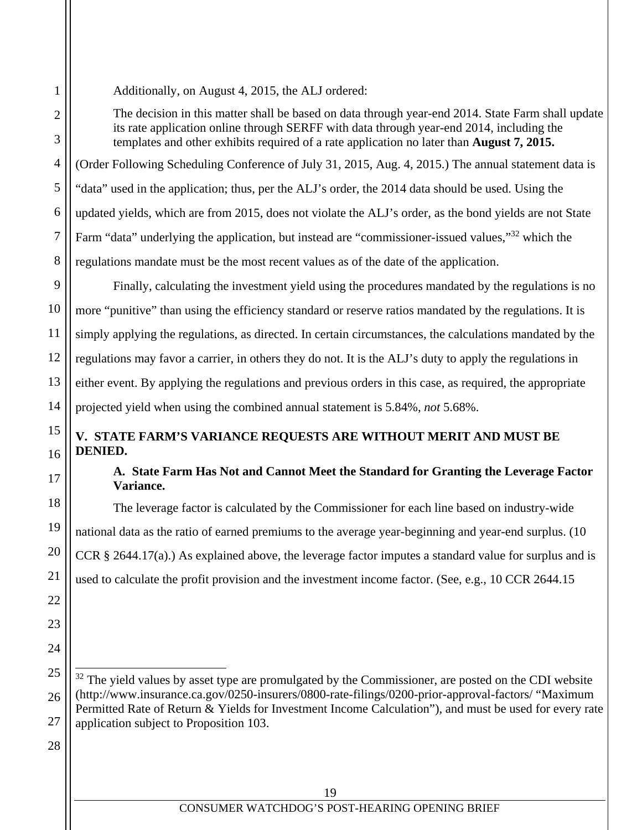Additionally, on August 4, 2015, the ALJ ordered:

The decision in this matter shall be based on data through year-end 2014. State Farm shall update its rate application online through SERFF with data through year-end 2014, including the templates and other exhibits required of a rate application no later than **August 7, 2015.**

(Order Following Scheduling Conference of July 31, 2015, Aug. 4, 2015.) The annual statement data is "data" used in the application; thus, per the ALJ's order, the 2014 data should be used. Using the updated yields, which are from 2015, does not violate the ALJ's order, as the bond yields are not State Farm "data" underlying the application, but instead are "commissioner-issued values,"32 which the regulations mandate must be the most recent values as of the date of the application.

 Finally, calculating the investment yield using the procedures mandated by the regulations is no more "punitive" than using the efficiency standard or reserve ratios mandated by the regulations. It is simply applying the regulations, as directed. In certain circumstances, the calculations mandated by the regulations may favor a carrier, in others they do not. It is the ALJ's duty to apply the regulations in either event. By applying the regulations and previous orders in this case, as required, the appropriate projected yield when using the combined annual statement is 5.84%, *not* 5.68%.

# **V. STATE FARM'S VARIANCE REQUESTS ARE WITHOUT MERIT AND MUST BE DENIED.**

# **A. State Farm Has Not and Cannot Meet the Standard for Granting the Leverage Factor Variance.**

The leverage factor is calculated by the Commissioner for each line based on industry-wide national data as the ratio of earned premiums to the average year-beginning and year-end surplus. (10 CCR § 2644.17(a).) As explained above, the leverage factor imputes a standard value for surplus and is used to calculate the profit provision and the investment income factor. (See, e.g., 10 CCR 2644.15

28

1

2

3

4

5

6

7

8

9

10

11

12

13

14

15

16

17

18

19

20

21

22

23

24

25

26

l  $32$  The yield values by asset type are promulgated by the Commissioner, are posted on the CDI website (http://www.insurance.ca.gov/0250-insurers/0800-rate-filings/0200-prior-approval-factors/ "Maximum Permitted Rate of Return & Yields for Investment Income Calculation"), and must be used for every rate application subject to Proposition 103.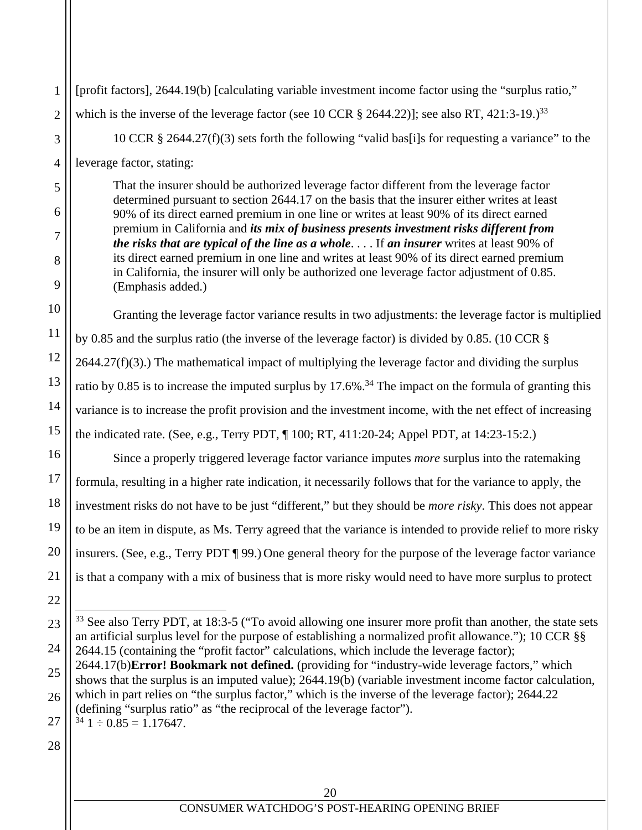[profit factors], 2644.19(b) [calculating variable investment income factor using the "surplus ratio," which is the inverse of the leverage factor (see 10 CCR  $\S$  2644.22)]; see also RT, 421:3-19.)<sup>33</sup> 10 CCR § 2644.27(f)(3) sets forth the following "valid bas[i]s for requesting a variance" to the leverage factor, stating:

That the insurer should be authorized leverage factor different from the leverage factor determined pursuant to section 2644.17 on the basis that the insurer either writes at least 90% of its direct earned premium in one line or writes at least 90% of its direct earned premium in California and *its mix of business presents investment risks different from the risks that are typical of the line as a whole*. . . . If *an insurer* writes at least 90% of its direct earned premium in one line and writes at least 90% of its direct earned premium in California, the insurer will only be authorized one leverage factor adjustment of 0.85. (Emphasis added.)

Granting the leverage factor variance results in two adjustments: the leverage factor is multiplied by 0.85 and the surplus ratio (the inverse of the leverage factor) is divided by 0.85. (10 CCR §  $2644.27(f)(3)$ .) The mathematical impact of multiplying the leverage factor and dividing the surplus ratio by 0.85 is to increase the imputed surplus by 17.6%.<sup>34</sup> The impact on the formula of granting this variance is to increase the profit provision and the investment income, with the net effect of increasing the indicated rate. (See, e.g., Terry PDT, ¶ 100; RT, 411:20-24; Appel PDT, at 14:23-15:2.)

Since a properly triggered leverage factor variance imputes *more* surplus into the ratemaking formula, resulting in a higher rate indication, it necessarily follows that for the variance to apply, the investment risks do not have to be just "different," but they should be *more risky*. This does not appear to be an item in dispute, as Ms. Terry agreed that the variance is intended to provide relief to more risky insurers. (See, e.g., Terry PDT ¶ 99.) One general theory for the purpose of the leverage factor variance is that a company with a mix of business that is more risky would need to have more surplus to protect

28

1

2

3

4

5

6

7

8

9

10

11

12

13

14

15

16

17

18

19

20

21

<sup>23</sup> 24 25 26 27  $\overline{a}$ <sup>33</sup> See also Terry PDT, at 18:3-5 ("To avoid allowing one insurer more profit than another, the state sets an artificial surplus level for the purpose of establishing a normalized profit allowance."); 10 CCR §§ 2644.15 (containing the "profit factor" calculations, which include the leverage factor); 2644.17(b)**Error! Bookmark not defined.** (providing for "industry-wide leverage factors," which shows that the surplus is an imputed value); 2644.19(b) (variable investment income factor calculation, which in part relies on "the surplus factor," which is the inverse of the leverage factor); 2644.22 (defining "surplus ratio" as "the reciprocal of the leverage factor").  $34 \text{ } 1 \div 0.85 = 1.17647.$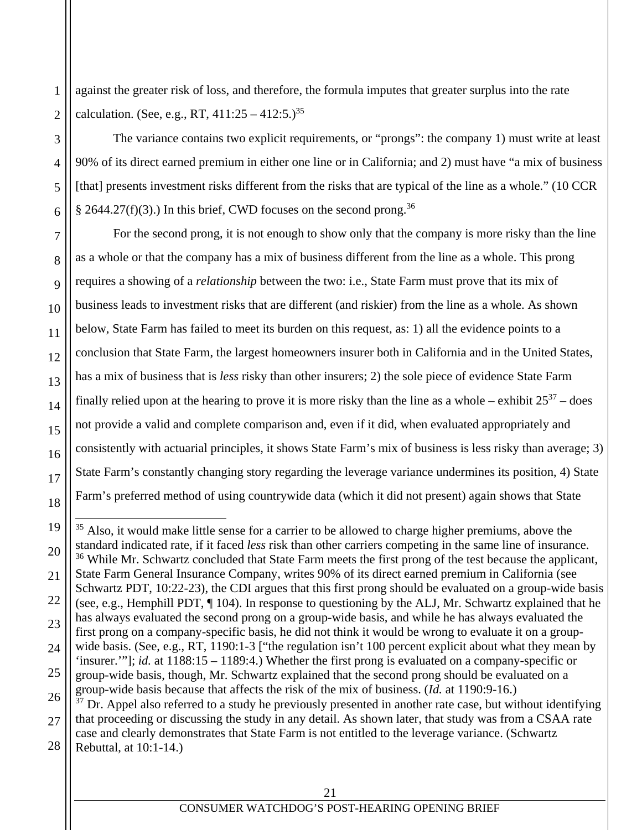against the greater risk of loss, and therefore, the formula imputes that greater surplus into the rate calculation. (See, e.g., RT,  $411:25 - 412:5.$ )<sup>35</sup>

1

2

3

4

5

6

7

8

9

10

11

12

13

14

15

16

17

18

 $\overline{a}$ 

The variance contains two explicit requirements, or "prongs": the company 1) must write at least 90% of its direct earned premium in either one line or in California; and 2) must have "a mix of business [that] presents investment risks different from the risks that are typical of the line as a whole." (10 CCR § 2644.27(f)(3).) In this brief, CWD focuses on the second prong.<sup>36</sup>

For the second prong, it is not enough to show only that the company is more risky than the line as a whole or that the company has a mix of business different from the line as a whole. This prong requires a showing of a *relationship* between the two: i.e., State Farm must prove that its mix of business leads to investment risks that are different (and riskier) from the line as a whole. As shown below, State Farm has failed to meet its burden on this request, as: 1) all the evidence points to a conclusion that State Farm, the largest homeowners insurer both in California and in the United States, has a mix of business that is *less* risky than other insurers; 2) the sole piece of evidence State Farm finally relied upon at the hearing to prove it is more risky than the line as a whole – exhibit  $25^{37}$  – does not provide a valid and complete comparison and, even if it did, when evaluated appropriately and consistently with actuarial principles, it shows State Farm's mix of business is less risky than average; 3) State Farm's constantly changing story regarding the leverage variance undermines its position, 4) State Farm's preferred method of using countrywide data (which it did not present) again shows that State

<sup>19</sup> 20 21 22 23 24 25 26 27 28 <sup>35</sup> Also, it would make little sense for a carrier to be allowed to charge higher premiums, above the standard indicated rate, if it faced *less* risk than other carriers competing in the same line of insurance. <sup>36</sup> While Mr. Schwartz concluded that State Farm meets the first prong of the test because the applicant, State Farm General Insurance Company, writes 90% of its direct earned premium in California (see Schwartz PDT, 10:22-23), the CDI argues that this first prong should be evaluated on a group-wide basis (see, e.g., Hemphill PDT, ¶ 104). In response to questioning by the ALJ, Mr. Schwartz explained that he has always evaluated the second prong on a group-wide basis, and while he has always evaluated the first prong on a company-specific basis, he did not think it would be wrong to evaluate it on a groupwide basis. (See, e.g., RT, 1190:1-3 ["the regulation isn't 100 percent explicit about what they mean by 'insurer.'"]; *id.* at 1188:15 – 1189:4.) Whether the first prong is evaluated on a company-specific or group-wide basis, though, Mr. Schwartz explained that the second prong should be evaluated on a group-wide basis because that affects the risk of the mix of business. (*Id.* at 1190:9-16.)  $37$  Dr. Appel also referred to a study he previously presented in another rate case, but without identifying that proceeding or discussing the study in any detail. As shown later, that study was from a CSAA rate case and clearly demonstrates that State Farm is not entitled to the leverage variance. (Schwartz Rebuttal, at 10:1-14.)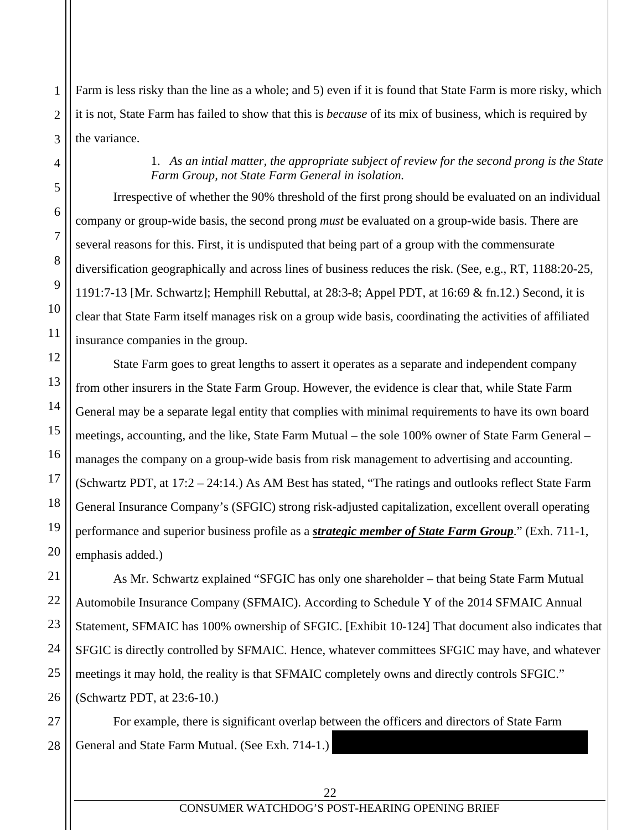Farm is less risky than the line as a whole; and 5) even if it is found that State Farm is more risky, which it is not, State Farm has failed to show that this is *because* of its mix of business, which is required by the variance.

# 1. *As an intial matter, the appropriate subject of review for the second prong is the State Farm Group, not State Farm General in isolation.*

Irrespective of whether the 90% threshold of the first prong should be evaluated on an individual company or group-wide basis, the second prong *must* be evaluated on a group-wide basis. There are several reasons for this. First, it is undisputed that being part of a group with the commensurate diversification geographically and across lines of business reduces the risk. (See, e.g., RT, 1188:20-25, 1191:7-13 [Mr. Schwartz]; Hemphill Rebuttal, at 28:3-8; Appel PDT, at 16:69 & fn.12.) Second, it is clear that State Farm itself manages risk on a group wide basis, coordinating the activities of affiliated insurance companies in the group.

State Farm goes to great lengths to assert it operates as a separate and independent company from other insurers in the State Farm Group. However, the evidence is clear that, while State Farm General may be a separate legal entity that complies with minimal requirements to have its own board meetings, accounting, and the like, State Farm Mutual – the sole 100% owner of State Farm General – manages the company on a group-wide basis from risk management to advertising and accounting. (Schwartz PDT, at 17:2 – 24:14.) As AM Best has stated, "The ratings and outlooks reflect State Farm General Insurance Company's (SFGIC) strong risk-adjusted capitalization, excellent overall operating performance and superior business profile as a *strategic member of State Farm Group*." (Exh. 711-1, emphasis added.)

As Mr. Schwartz explained "SFGIC has only one shareholder – that being State Farm Mutual Automobile Insurance Company (SFMAIC). According to Schedule Y of the 2014 SFMAIC Annual Statement, SFMAIC has 100% ownership of SFGIC. [Exhibit 10-124] That document also indicates that SFGIC is directly controlled by SFMAIC. Hence, whatever committees SFGIC may have, and whatever meetings it may hold, the reality is that SFMAIC completely owns and directly controls SFGIC." (Schwartz PDT, at 23:6-10.)

For example, there is significant overlap between the officers and directors of State Farm General and State Farm Mutual. (See Exh. 714-1.)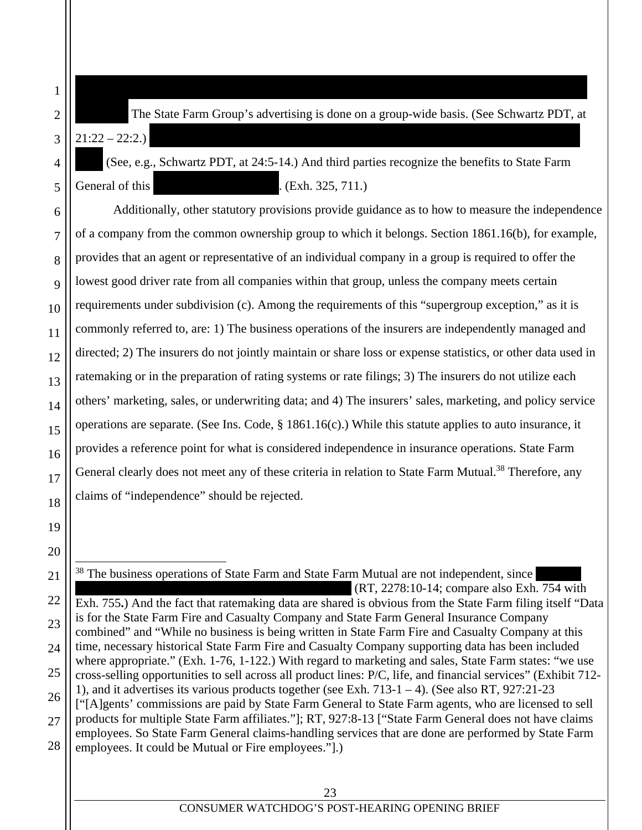The State Farm Group's advertising is done on a group-wide basis. (See Schwartz PDT, at  $21:22 - 22:2.$ 

are exclusively officers and directors of State Farm Mutual. (RT, 2278:10-14; compare Exh. 754 with

1

2

3

4

5

6

7

8

9

10

11

12

13

14

15

16

17

18

19

20

21

22

23

24

25

26

27

28

(See, e.g., Schwartz PDT, at  $24:5-14$ .) And third parties recognize the benefits to State Farm General of this  $(Sch. 325, 711)$ 

Additionally, other statutory provisions provide guidance as to how to measure the independence of a company from the common ownership group to which it belongs. Section 1861.16(b), for example, provides that an agent or representative of an individual company in a group is required to offer the lowest good driver rate from all companies within that group, unless the company meets certain requirements under subdivision (c). Among the requirements of this "supergroup exception," as it is commonly referred to, are: 1) The business operations of the insurers are independently managed and directed; 2) The insurers do not jointly maintain or share loss or expense statistics, or other data used in ratemaking or in the preparation of rating systems or rate filings; 3) The insurers do not utilize each others' marketing, sales, or underwriting data; and 4) The insurers' sales, marketing, and policy service operations are separate. (See Ins. Code, § 1861.16(c).) While this statute applies to auto insurance, it provides a reference point for what is considered independence in insurance operations. State Farm General clearly does not meet any of these criteria in relation to State Farm Mutual.<sup>38</sup> Therefore, any claims of "independence" should be rejected.

 $\overline{a}$ <sup>38</sup> The business operations of State Farm and State Farm Mutual are not independent, since  $(RT, 2278:10-14$ ; compare also Exh. 754 with Exh. 755**.**) And the fact that ratemaking data are shared is obvious from the State Farm filing itself "Data is for the State Farm Fire and Casualty Company and State Farm General Insurance Company combined" and "While no business is being written in State Farm Fire and Casualty Company at this time, necessary historical State Farm Fire and Casualty Company supporting data has been included where appropriate." (Exh. 1-76, 1-122.) With regard to marketing and sales, State Farm states: "we use cross-selling opportunities to sell across all product lines: P/C, life, and financial services" (Exhibit 712- 1), and it advertises its various products together (see Exh.  $713-1-4$ ). (See also RT,  $927:21-23$ ["[A]gents' commissions are paid by State Farm General to State Farm agents, who are licensed to sell products for multiple State Farm affiliates."]; RT, 927:8-13 ["State Farm General does not have claims employees. So State Farm General claims-handling services that are done are performed by State Farm employees. It could be Mutual or Fire employees."].)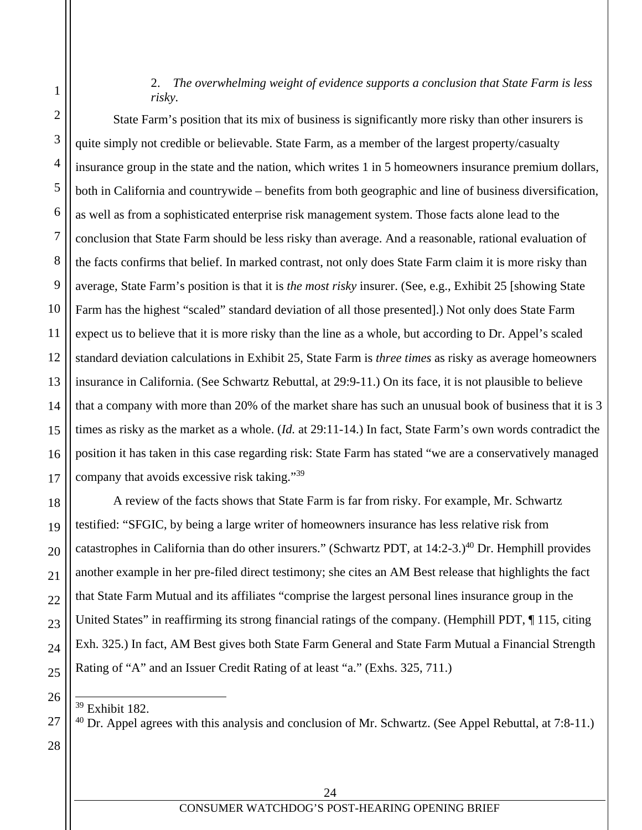## 2. *The overwhelming weight of evidence supports a conclusion that State Farm is less risky.*

State Farm's position that its mix of business is significantly more risky than other insurers is quite simply not credible or believable. State Farm, as a member of the largest property/casualty insurance group in the state and the nation, which writes 1 in 5 homeowners insurance premium dollars, both in California and countrywide – benefits from both geographic and line of business diversification, as well as from a sophisticated enterprise risk management system. Those facts alone lead to the conclusion that State Farm should be less risky than average. And a reasonable, rational evaluation of the facts confirms that belief. In marked contrast, not only does State Farm claim it is more risky than average, State Farm's position is that it is *the most risky* insurer. (See, e.g., Exhibit 25 [showing State Farm has the highest "scaled" standard deviation of all those presented].) Not only does State Farm expect us to believe that it is more risky than the line as a whole, but according to Dr. Appel's scaled standard deviation calculations in Exhibit 25, State Farm is *three times* as risky as average homeowners insurance in California. (See Schwartz Rebuttal, at 29:9-11.) On its face, it is not plausible to believe that a company with more than 20% of the market share has such an unusual book of business that it is 3 times as risky as the market as a whole. (*Id.* at 29:11-14.) In fact, State Farm's own words contradict the position it has taken in this case regarding risk: State Farm has stated "we are a conservatively managed company that avoids excessive risk taking."<sup>39</sup>

A review of the facts shows that State Farm is far from risky. For example, Mr. Schwartz testified: "SFGIC, by being a large writer of homeowners insurance has less relative risk from catastrophes in California than do other insurers." (Schwartz PDT, at 14:2-3.)<sup>40</sup> Dr. Hemphill provides another example in her pre-filed direct testimony; she cites an AM Best release that highlights the fact that State Farm Mutual and its affiliates "comprise the largest personal lines insurance group in the United States" in reaffirming its strong financial ratings of the company. (Hemphill PDT, 115, citing Exh. 325.) In fact, AM Best gives both State Farm General and State Farm Mutual a Financial Strength Rating of "A" and an Issuer Credit Rating of at least "a." (Exhs. 325, 711.)

39 Exhibit 182.

 $40$  Dr. Appel agrees with this analysis and conclusion of Mr. Schwartz. (See Appel Rebuttal, at 7:8-11.)

28

1

2

3

4

5

6

7

8

9

10

11

12

13

14

15

16

17

18

19

20

21

22

23

24

25

26

 $\overline{a}$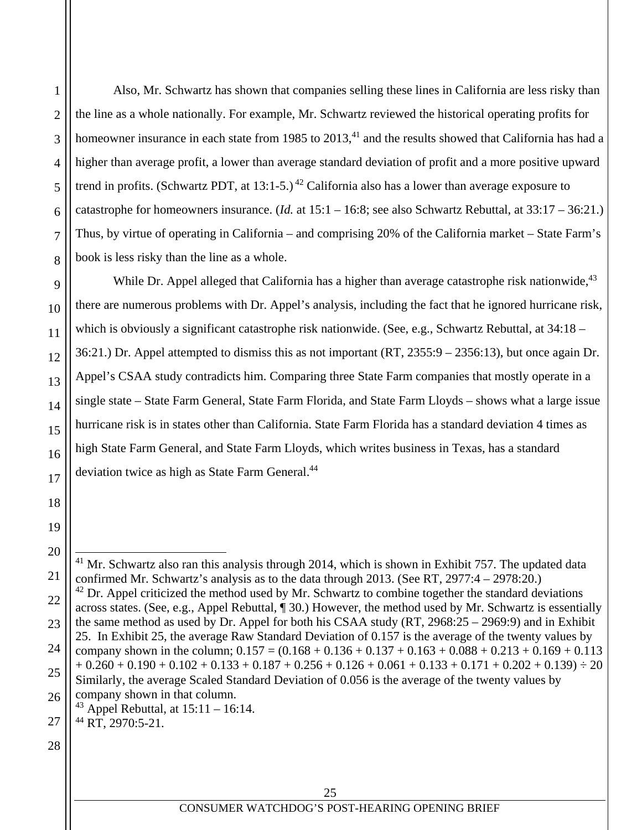Also, Mr. Schwartz has shown that companies selling these lines in California are less risky than the line as a whole nationally. For example, Mr. Schwartz reviewed the historical operating profits for homeowner insurance in each state from 1985 to 2013,<sup>41</sup> and the results showed that California has had a higher than average profit, a lower than average standard deviation of profit and a more positive upward trend in profits. (Schwartz PDT, at 13:1-5.)<sup>42</sup> California also has a lower than average exposure to catastrophe for homeowners insurance. (*Id.* at 15:1 – 16:8; see also Schwartz Rebuttal, at 33:17 – 36:21.) Thus, by virtue of operating in California – and comprising 20% of the California market – State Farm's book is less risky than the line as a whole.

While Dr. Appel alleged that California has a higher than average catastrophe risk nationwide.<sup>43</sup> there are numerous problems with Dr. Appel's analysis, including the fact that he ignored hurricane risk, which is obviously a significant catastrophe risk nationwide. (See, e.g., Schwartz Rebuttal, at 34:18 – 36:21.) Dr. Appel attempted to dismiss this as not important (RT, 2355:9 – 2356:13), but once again Dr. Appel's CSAA study contradicts him. Comparing three State Farm companies that mostly operate in a single state – State Farm General, State Farm Florida, and State Farm Lloyds – shows what a large issue hurricane risk is in states other than California. State Farm Florida has a standard deviation 4 times as high State Farm General, and State Farm Lloyds, which writes business in Texas, has a standard deviation twice as high as State Farm General.<sup>44</sup>

28

1

2

3

4

5

6

7

8

9

10

11

12

13

14

15

16

17

18

19

20

21

22

23

24

25

26

 $\overline{a}$  $41$  Mr. Schwartz also ran this analysis through 2014, which is shown in Exhibit 757. The updated data confirmed Mr. Schwartz's analysis as to the data through 2013. (See RT, 2977:4 – 2978:20.)  $42$  Dr. Appel criticized the method used by Mr. Schwartz to combine together the standard deviations across states. (See, e.g., Appel Rebuttal, ¶ 30.) However, the method used by Mr. Schwartz is essentially the same method as used by Dr. Appel for both his CSAA study (RT, 2968:25 – 2969:9) and in Exhibit 25. In Exhibit 25, the average Raw Standard Deviation of 0.157 is the average of the twenty values by company shown in the column;  $0.157 = (0.168 + 0.136 + 0.137 + 0.163 + 0.088 + 0.213 + 0.169 + 0.113$  $+ 0.260 + 0.190 + 0.102 + 0.133 + 0.187 + 0.256 + 0.126 + 0.061 + 0.133 + 0.171 + 0.202 + 0.139) \div 20$ Similarly, the average Scaled Standard Deviation of 0.056 is the average of the twenty values by company shown in that column. <sup>43</sup> Appel Rebuttal, at  $15:11 - 16:14$ .

 $^{44}$  RT, 2970:5-21.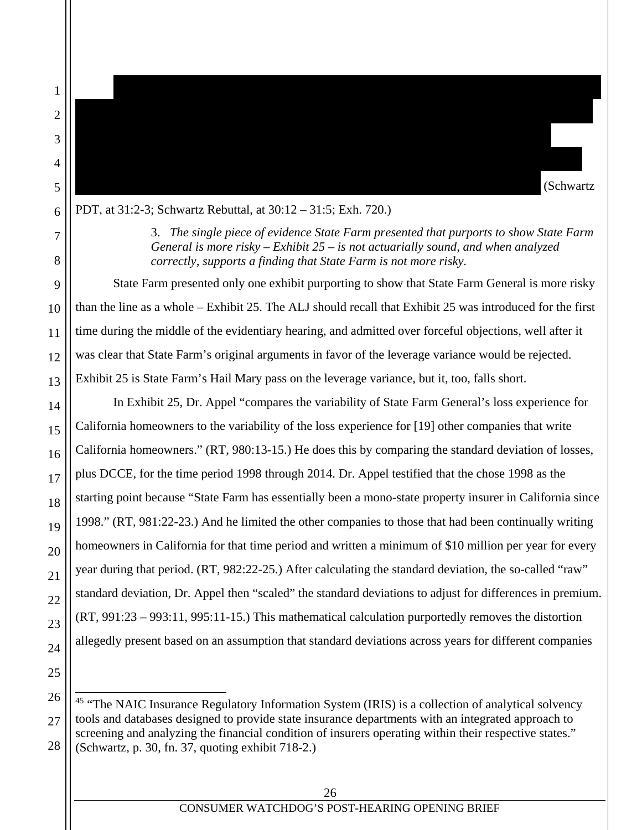$\overline{a}$ 

less risky than both: 1) the companies listed in Exhibit 25; and 2) other State Farm affiliates. (Schwartz

PDT, at 31:2-3; Schwartz Rebuttal, at 30:12 – 31:5; Exh. 720.)

3. *The single piece of evidence State Farm presented that purports to show State Farm General is more risky – Exhibit 25 – is not actuarially sound, and when analyzed correctly, supports a finding that State Farm is not more risky.* 

Mr. Schwartz also looked at Insurance Regulatory Information System ("IRIS") ratios45 for State

Farm General and the companies listed in State Farm's Exhibit 25 (Schwartz Rebuttal, at 29:24-25), as

(Schwartz PDT, at 30:6 – 31:3). The IRIS Ratios and the stress tests show that State Farm General is

well as the results of internal stress tests for State Farm General and other States for State Farm affiliates

State Farm presented only one exhibit purporting to show that State Farm General is more risky than the line as a whole – Exhibit 25. The ALJ should recall that Exhibit 25 was introduced for the first time during the middle of the evidentiary hearing, and admitted over forceful objections, well after it was clear that State Farm's original arguments in favor of the leverage variance would be rejected. Exhibit 25 is State Farm's Hail Mary pass on the leverage variance, but it, too, falls short.

In Exhibit 25, Dr. Appel "compares the variability of State Farm General's loss experience for California homeowners to the variability of the loss experience for [19] other companies that write California homeowners." (RT, 980:13-15.) He does this by comparing the standard deviation of losses, plus DCCE, for the time period 1998 through 2014. Dr. Appel testified that the chose 1998 as the starting point because "State Farm has essentially been a mono-state property insurer in California since 1998." (RT, 981:22-23.) And he limited the other companies to those that had been continually writing homeowners in California for that time period and written a minimum of \$10 million per year for every year during that period. (RT, 982:22-25.) After calculating the standard deviation, the so-called "raw" standard deviation, Dr. Appel then "scaled" the standard deviations to adjust for differences in premium. (RT, 991:23 – 993:11, 995:11-15.) This mathematical calculation purportedly removes the distortion allegedly present based on an assumption that standard deviations across years for different companies

<sup>&</sup>lt;sup>45</sup> "The NAIC Insurance Regulatory Information System (IRIS) is a collection of analytical solvency tools and databases designed to provide state insurance departments with an integrated approach to screening and analyzing the financial condition of insurers operating within their respective states." (Schwartz, p. 30, fn. 37, quoting exhibit 718-2.)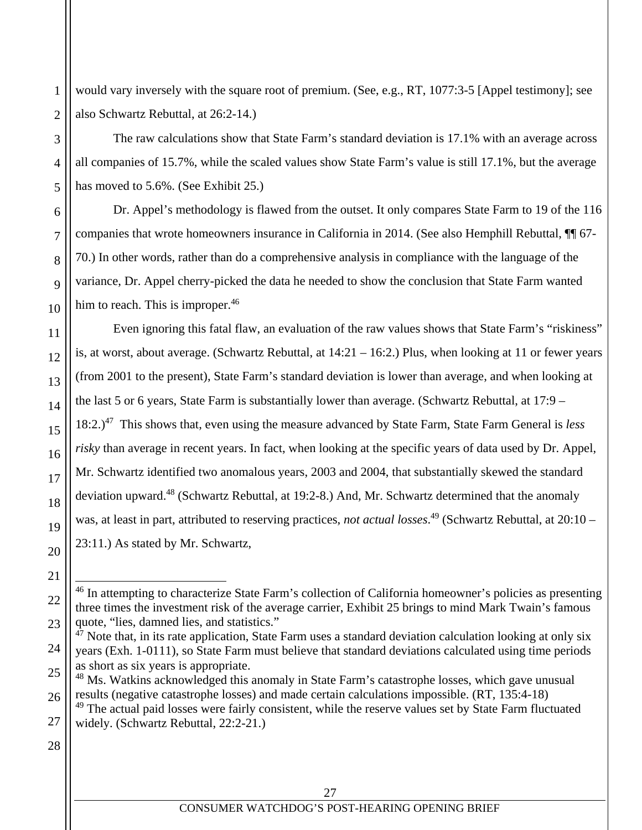would vary inversely with the square root of premium. (See, e.g., RT, 1077:3-5 [Appel testimony]; see also Schwartz Rebuttal, at 26:2-14.)

The raw calculations show that State Farm's standard deviation is 17.1% with an average across all companies of 15.7%, while the scaled values show State Farm's value is still 17.1%, but the average has moved to 5.6%. (See Exhibit 25.)

Dr. Appel's methodology is flawed from the outset. It only compares State Farm to 19 of the 116 companies that wrote homeowners insurance in California in 2014. (See also Hemphill Rebuttal, ¶¶ 67- 70.) In other words, rather than do a comprehensive analysis in compliance with the language of the variance, Dr. Appel cherry-picked the data he needed to show the conclusion that State Farm wanted him to reach. This is improper.<sup>46</sup>

Even ignoring this fatal flaw, an evaluation of the raw values shows that State Farm's "riskiness" is, at worst, about average. (Schwartz Rebuttal, at 14:21 – 16:2.) Plus, when looking at 11 or fewer years (from 2001 to the present), State Farm's standard deviation is lower than average, and when looking at the last 5 or 6 years, State Farm is substantially lower than average. (Schwartz Rebuttal, at 17:9 – 18:2.)47 This shows that, even using the measure advanced by State Farm, State Farm General is *less risky* than average in recent years. In fact, when looking at the specific years of data used by Dr. Appel, Mr. Schwartz identified two anomalous years, 2003 and 2004, that substantially skewed the standard deviation upward.48 (Schwartz Rebuttal, at 19:2-8.) And, Mr. Schwartz determined that the anomaly was, at least in part, attributed to reserving practices, *not actual losses*. 49 (Schwartz Rebuttal, at 20:10 – 23:11.) As stated by Mr. Schwartz,

28

26

27

1

2

3

4

5

6

7

8

9

10

11

12

13

14

15

16

17

18

19

20

21

 $\overline{a}$ 

22

<sup>&</sup>lt;sup>46</sup> In attempting to characterize State Farm's collection of California homeowner's policies as presenting three times the investment risk of the average carrier, Exhibit 25 brings to mind Mark Twain's famous quote, "lies, damned lies, and statistics."

<sup>24</sup> 25  $47$  Note that, in its rate application, State Farm uses a standard deviation calculation looking at only six years (Exh. 1-0111), so State Farm must believe that standard deviations calculated using time periods as short as six years is appropriate.

<sup>&</sup>lt;sup>48</sup> Ms. Watkins acknowledged this anomaly in State Farm's catastrophe losses, which gave unusual results (negative catastrophe losses) and made certain calculations impossible. (RT, 135:4-18)

<sup>&</sup>lt;sup>49</sup> The actual paid losses were fairly consistent, while the reserve values set by State Farm fluctuated widely. (Schwartz Rebuttal, 22:2-21.)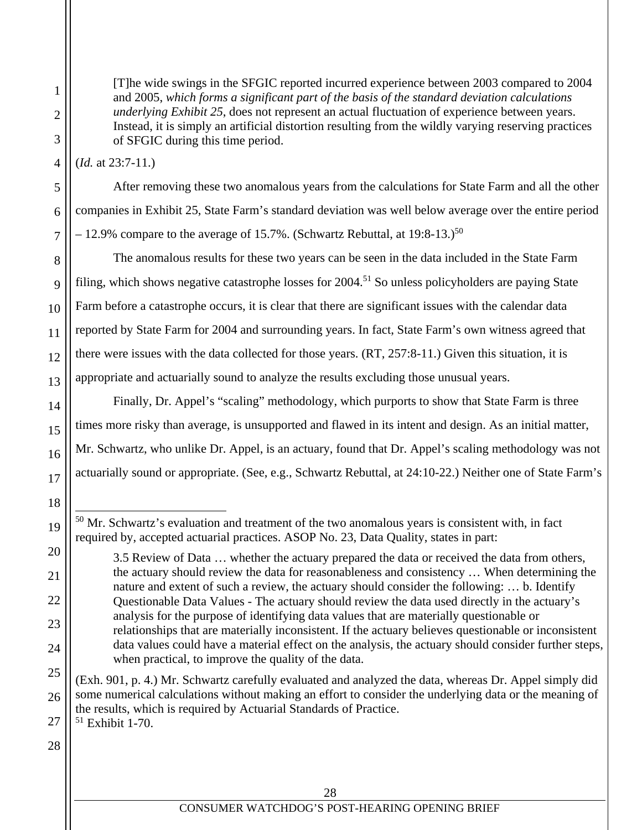2 3 4 5 6 7 8 10 11 12 13 14 15 16 [T]he wide swings in the SFGIC reported incurred experience between 2003 compared to 2004 and 2005, *which forms a significant part of the basis of the standard deviation calculations underlying Exhibit 25*, does not represent an actual fluctuation of experience between years. Instead, it is simply an artificial distortion resulting from the wildly varying reserving practices of SFGIC during this time period. (*Id.* at 23:7-11.) After removing these two anomalous years from the calculations for State Farm and all the other companies in Exhibit 25, State Farm's standard deviation was well below average over the entire period  $-12.9\%$  compare to the average of 15.7%. (Schwartz Rebuttal, at 19:8-13.)<sup>50</sup> The anomalous results for these two years can be seen in the data included in the State Farm filing, which shows negative catastrophe losses for 2004.<sup>51</sup> So unless policyholders are paying State Farm before a catastrophe occurs, it is clear that there are significant issues with the calendar data

1

9

17

18

19

20

21

22

23

24

25

26

reported by State Farm for 2004 and surrounding years. In fact, State Farm's own witness agreed that there were issues with the data collected for those years. (RT, 257:8-11.) Given this situation, it is appropriate and actuarially sound to analyze the results excluding those unusual years. Finally, Dr. Appel's "scaling" methodology, which purports to show that State Farm is three times more risky than average, is unsupported and flawed in its intent and design. As an initial matter,

Mr. Schwartz, who unlike Dr. Appel, is an actuary, found that Dr. Appel's scaling methodology was not actuarially sound or appropriate. (See, e.g., Schwartz Rebuttal, at 24:10-22.) Neither one of State Farm's

(Exh. 901, p. 4.) Mr. Schwartz carefully evaluated and analyzed the data, whereas Dr. Appel simply did some numerical calculations without making an effort to consider the underlying data or the meaning of the results, which is required by Actuarial Standards of Practice.

27  $51$  Exhibit 1-70.

l  $50$  Mr. Schwartz's evaluation and treatment of the two anomalous years is consistent with, in fact required by, accepted actuarial practices. ASOP No. 23, Data Quality, states in part:

<sup>3.5</sup> Review of Data … whether the actuary prepared the data or received the data from others, the actuary should review the data for reasonableness and consistency … When determining the nature and extent of such a review, the actuary should consider the following: … b. Identify Questionable Data Values - The actuary should review the data used directly in the actuary's analysis for the purpose of identifying data values that are materially questionable or relationships that are materially inconsistent. If the actuary believes questionable or inconsistent data values could have a material effect on the analysis, the actuary should consider further steps, when practical, to improve the quality of the data.

<sup>28</sup>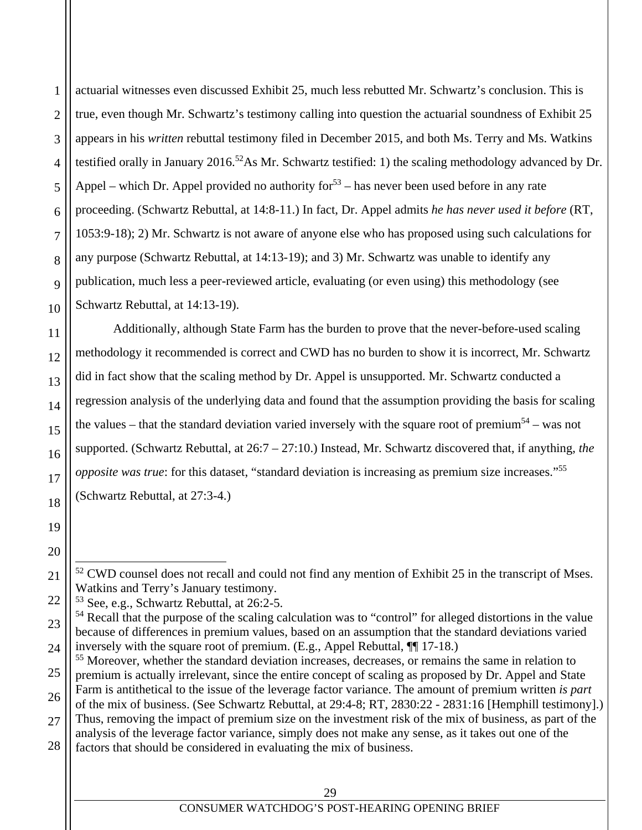actuarial witnesses even discussed Exhibit 25, much less rebutted Mr. Schwartz's conclusion. This is true, even though Mr. Schwartz's testimony calling into question the actuarial soundness of Exhibit 25 appears in his *written* rebuttal testimony filed in December 2015, and both Ms. Terry and Ms. Watkins testified orally in January 2016.52As Mr. Schwartz testified: 1) the scaling methodology advanced by Dr. Appel – which Dr. Appel provided no authority for  $53$  – has never been used before in any rate proceeding. (Schwartz Rebuttal, at 14:8-11.) In fact, Dr. Appel admits *he has never used it before* (RT, 1053:9-18); 2) Mr. Schwartz is not aware of anyone else who has proposed using such calculations for any purpose (Schwartz Rebuttal, at 14:13-19); and 3) Mr. Schwartz was unable to identify any publication, much less a peer-reviewed article, evaluating (or even using) this methodology (see Schwartz Rebuttal, at 14:13-19).

Additionally, although State Farm has the burden to prove that the never-before-used scaling methodology it recommended is correct and CWD has no burden to show it is incorrect, Mr. Schwartz did in fact show that the scaling method by Dr. Appel is unsupported. Mr. Schwartz conducted a regression analysis of the underlying data and found that the assumption providing the basis for scaling the values – that the standard deviation varied inversely with the square root of premium<sup>54</sup> – was not supported. (Schwartz Rebuttal, at 26:7 – 27:10.) Instead, Mr. Schwartz discovered that, if anything, *the opposite was true*: for this dataset, "standard deviation is increasing as premium size increases."<sup>55</sup> (Schwartz Rebuttal, at 27:3-4.)

1

2

3

4

5

6

7

8

9

10

11

12

13

14

15

16

17

18

19

20

 $\overline{a}$ 

21

22

<sup>&</sup>lt;sup>52</sup> CWD counsel does not recall and could not find any mention of Exhibit 25 in the transcript of Mses. Watkins and Terry's January testimony.

<sup>53</sup> See, e.g., Schwartz Rebuttal, at 26:2-5.

<sup>23</sup> 24 <sup>54</sup> Recall that the purpose of the scaling calculation was to "control" for alleged distortions in the value because of differences in premium values, based on an assumption that the standard deviations varied inversely with the square root of premium. (E.g., Appel Rebuttal, ¶¶ 17-18.)

<sup>25</sup> 26 27 28 <sup>55</sup> Moreover, whether the standard deviation increases, decreases, or remains the same in relation to premium is actually irrelevant, since the entire concept of scaling as proposed by Dr. Appel and State Farm is antithetical to the issue of the leverage factor variance. The amount of premium written *is part* of the mix of business. (See Schwartz Rebuttal, at 29:4-8; RT, 2830:22 - 2831:16 [Hemphill testimony].) Thus, removing the impact of premium size on the investment risk of the mix of business, as part of the analysis of the leverage factor variance, simply does not make any sense, as it takes out one of the factors that should be considered in evaluating the mix of business.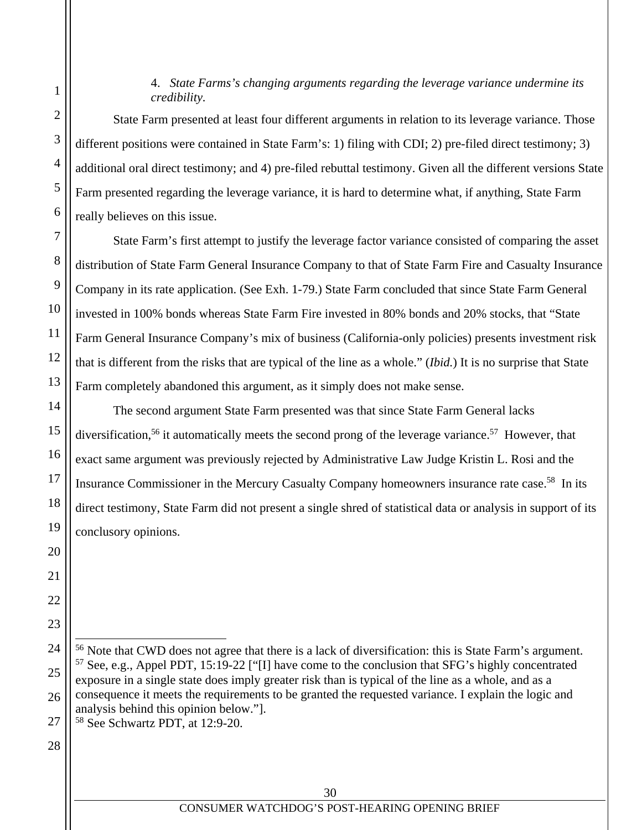#### 4. *State Farms's changing arguments regarding the leverage variance undermine its credibility.*

State Farm presented at least four different arguments in relation to its leverage variance. Those different positions were contained in State Farm's: 1) filing with CDI; 2) pre-filed direct testimony; 3) additional oral direct testimony; and 4) pre-filed rebuttal testimony. Given all the different versions State Farm presented regarding the leverage variance, it is hard to determine what, if anything, State Farm really believes on this issue.

State Farm's first attempt to justify the leverage factor variance consisted of comparing the asset distribution of State Farm General Insurance Company to that of State Farm Fire and Casualty Insurance Company in its rate application. (See Exh. 1-79.) State Farm concluded that since State Farm General invested in 100% bonds whereas State Farm Fire invested in 80% bonds and 20% stocks, that "State Farm General Insurance Company's mix of business (California-only policies) presents investment risk that is different from the risks that are typical of the line as a whole." (*Ibid.*) It is no surprise that State Farm completely abandoned this argument, as it simply does not make sense.

The second argument State Farm presented was that since State Farm General lacks diversification,<sup>56</sup> it automatically meets the second prong of the leverage variance.<sup>57</sup> However, that exact same argument was previously rejected by Administrative Law Judge Kristin L. Rosi and the Insurance Commissioner in the Mercury Casualty Company homeowners insurance rate case.<sup>58</sup> In its direct testimony, State Farm did not present a single shred of statistical data or analysis in support of its conclusory opinions.

27 58 See Schwartz PDT, at 12:9-20.

28

1

2

3

4

5

6

7

8

9

10

11

12

13

14

15

16

17

18

19

20

21

22

23

24

 $\overline{a}$ 

25

<sup>56</sup> Note that CWD does not agree that there is a lack of diversification: this is State Farm's argument.  $57$  See, e.g., Appel PDT, 15:19-22 ["I] have come to the conclusion that SFG's highly concentrated exposure in a single state does imply greater risk than is typical of the line as a whole, and as a consequence it meets the requirements to be granted the requested variance. I explain the logic and analysis behind this opinion below."].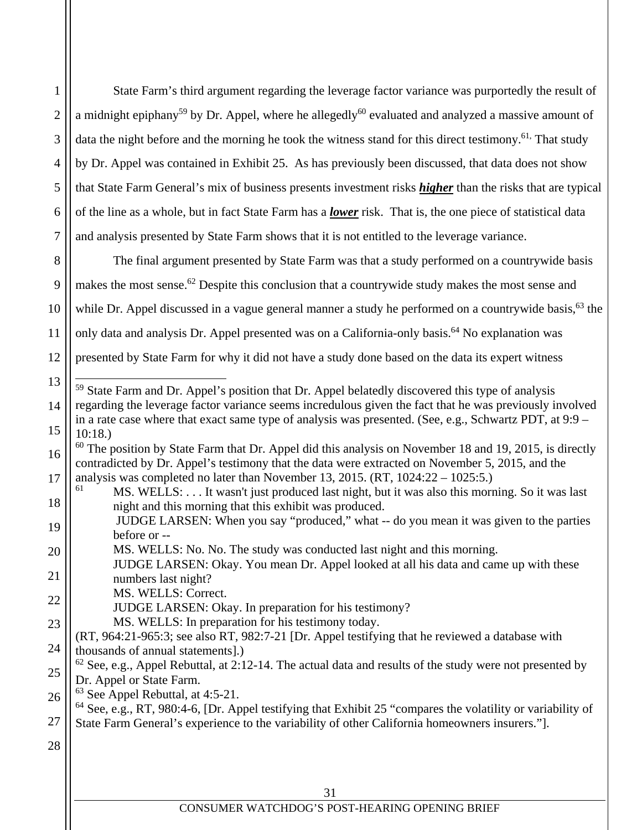31 CONSUMER WATCHDOG'S POST-HEARING OPENING BRIEF 4 5 6 7 8 9 10 12 13 14 15 16 17 18 20 21 22 23 25 27 by Dr. Appel was contained in Exhibit 25. As has previously been discussed, that data does not show of the line as a whole, but in fact State Farm has a *lower* risk. That is, the one piece of statistical data and analysis presented by State Farm shows that it is not entitled to the leverage variance. The final argument presented by State Farm was that a study performed on a countrywide basis makes the most sense.<sup>62</sup> Despite this conclusion that a countrywide study makes the most sense and only data and analysis Dr. Appel presented was on a California-only basis.<sup>64</sup> No explanation was presented by State Farm for why it did not have a study done based on the data its expert witness l  $59$  State Farm and Dr. Appel's position that Dr. Appel belatedly discovered this type of analysis in a rate case where that exact same type of analysis was presented. (See, e.g., Schwartz PDT, at 9:9 – 10:18.)  $60$  The position by State Farm that Dr. Appel did this analysis on November 18 and 19, 2015, is directly contradicted by Dr. Appel's testimony that the data were extracted on November 5, 2015, and the analysis was completed no later than November 13, 2015.  $(RT, 1024:22 - 1025:5)$ MS. WELLS: . . . It wasn't just produced last night, but it was also this morning. So it was last night and this morning that this exhibit was produced. JUDGE LARSEN: When you say "produced," what -- do you mean it was given to the parties before or -- MS. WELLS: No. No. The study was conducted last night and this morning. JUDGE LARSEN: Okay. You mean Dr. Appel looked at all his data and came up with these numbers last night? MS. WELLS: Correct. JUDGE LARSEN: Okay. In preparation for his testimony? MS. WELLS: In preparation for his testimony today. (RT, 964:21-965:3; see also RT, 982:7-21 [Dr. Appel testifying that he reviewed a database with thousands of annual statements].)  $62$  See, e.g., Appel Rebuttal, at 2:12-14. The actual data and results of the study were not presented by Dr. Appel or State Farm. <sup>63</sup> See Appel Rebuttal, at 4:5-21. State Farm General's experience to the variability of other California homeowners insurers."].

1

2

3

State Farm's third argument regarding the leverage factor variance was purportedly the result of a midnight epiphany<sup>59</sup> by Dr. Appel, where he allegedly<sup>60</sup> evaluated and analyzed a massive amount of data the night before and the morning he took the witness stand for this direct testimony.<sup>61,</sup> That study that State Farm General's mix of business presents investment risks *higher* than the risks that are typical

while Dr. Appel discussed in a vague general manner a study he performed on a countrywide basis,<sup>63</sup> the

- 19
- 24
- 26

<sup>64</sup> See, e.g., RT, 980:4-6, [Dr. Appel testifying that Exhibit 25 "compares the volatility or variability of

regarding the leverage factor variance seems incredulous given the fact that he was previously involved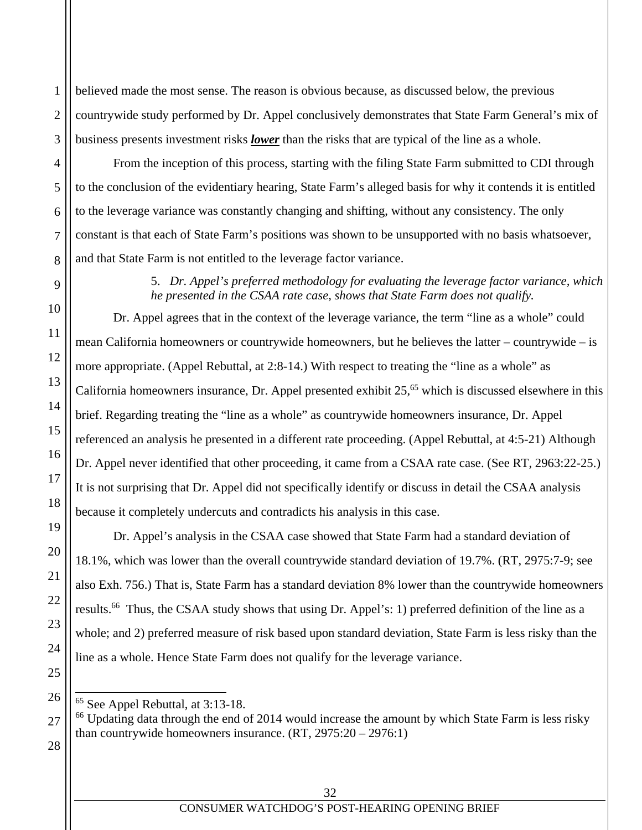believed made the most sense. The reason is obvious because, as discussed below, the previous countrywide study performed by Dr. Appel conclusively demonstrates that State Farm General's mix of business presents investment risks *lower* than the risks that are typical of the line as a whole.

From the inception of this process, starting with the filing State Farm submitted to CDI through to the conclusion of the evidentiary hearing, State Farm's alleged basis for why it contends it is entitled to the leverage variance was constantly changing and shifting, without any consistency. The only constant is that each of State Farm's positions was shown to be unsupported with no basis whatsoever, and that State Farm is not entitled to the leverage factor variance.

> 5. *Dr. Appel's preferred methodology for evaluating the leverage factor variance, which he presented in the CSAA rate case, shows that State Farm does not qualify.*

Dr. Appel agrees that in the context of the leverage variance, the term "line as a whole" could mean California homeowners or countrywide homeowners, but he believes the latter – countrywide – is more appropriate. (Appel Rebuttal, at 2:8-14.) With respect to treating the "line as a whole" as California homeowners insurance, Dr. Appel presented exhibit  $25<sup>65</sup>$  which is discussed elsewhere in this brief. Regarding treating the "line as a whole" as countrywide homeowners insurance, Dr. Appel referenced an analysis he presented in a different rate proceeding. (Appel Rebuttal, at 4:5-21) Although Dr. Appel never identified that other proceeding, it came from a CSAA rate case. (See RT, 2963:22-25.) It is not surprising that Dr. Appel did not specifically identify or discuss in detail the CSAA analysis because it completely undercuts and contradicts his analysis in this case.

Dr. Appel's analysis in the CSAA case showed that State Farm had a standard deviation of 18.1%, which was lower than the overall countrywide standard deviation of 19.7%. (RT, 2975:7-9; see also Exh. 756.) That is, State Farm has a standard deviation 8% lower than the countrywide homeowners results.66 Thus, the CSAA study shows that using Dr. Appel's: 1) preferred definition of the line as a whole; and 2) preferred measure of risk based upon standard deviation, State Farm is less risky than the line as a whole. Hence State Farm does not qualify for the leverage variance.

<sup>66</sup> Updating data through the end of 2014 would increase the amount by which State Farm is less risky than countrywide homeowners insurance.  $(RT, 2975:20 - 2976:1)$ 

 $\overline{a}$ 65 See Appel Rebuttal, at 3:13-18.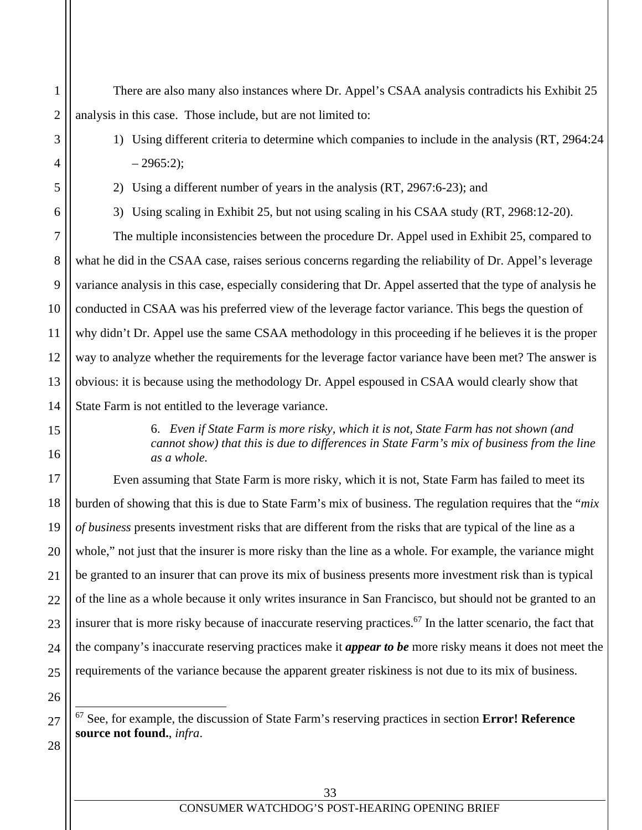There are also many also instances where Dr. Appel's CSAA analysis contradicts his Exhibit 25 analysis in this case. Those include, but are not limited to:

1) Using different criteria to determine which companies to include in the analysis (RT, 2964:24  $-2965:2$ :

2) Using a different number of years in the analysis (RT, 2967:6-23); and

1

2

3

4

5

6

7

8

9

10

11

12

13

14

15

16

17

18

19

20

21

22

23

24

25

26

 $\overline{a}$ 

27

28

3) Using scaling in Exhibit 25, but not using scaling in his CSAA study (RT, 2968:12-20).

The multiple inconsistencies between the procedure Dr. Appel used in Exhibit 25, compared to what he did in the CSAA case, raises serious concerns regarding the reliability of Dr. Appel's leverage variance analysis in this case, especially considering that Dr. Appel asserted that the type of analysis he conducted in CSAA was his preferred view of the leverage factor variance. This begs the question of why didn't Dr. Appel use the same CSAA methodology in this proceeding if he believes it is the proper way to analyze whether the requirements for the leverage factor variance have been met? The answer is obvious: it is because using the methodology Dr. Appel espoused in CSAA would clearly show that State Farm is not entitled to the leverage variance.

> 6. *Even if State Farm is more risky, which it is not, State Farm has not shown (and cannot show) that this is due to differences in State Farm's mix of business from the line as a whole.*

Even assuming that State Farm is more risky, which it is not, State Farm has failed to meet its burden of showing that this is due to State Farm's mix of business. The regulation requires that the "*mix of business* presents investment risks that are different from the risks that are typical of the line as a whole," not just that the insurer is more risky than the line as a whole. For example, the variance might be granted to an insurer that can prove its mix of business presents more investment risk than is typical of the line as a whole because it only writes insurance in San Francisco, but should not be granted to an insurer that is more risky because of inaccurate reserving practices.<sup>67</sup> In the latter scenario, the fact that the company's inaccurate reserving practices make it *appear to be* more risky means it does not meet the requirements of the variance because the apparent greater riskiness is not due to its mix of business.

67 See, for example, the discussion of State Farm's reserving practices in section **Error! Reference source not found.**, *infra*.

33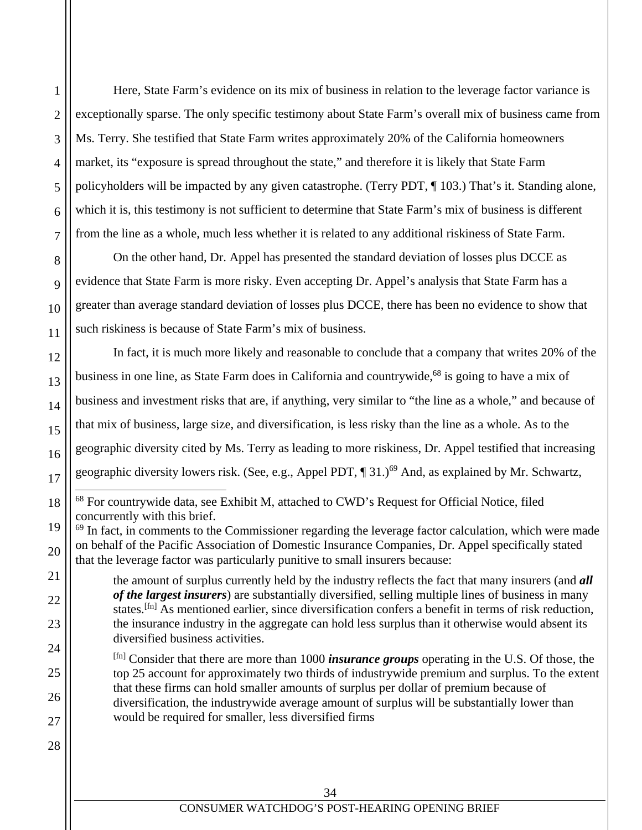Here, State Farm's evidence on its mix of business in relation to the leverage factor variance is exceptionally sparse. The only specific testimony about State Farm's overall mix of business came from Ms. Terry. She testified that State Farm writes approximately 20% of the California homeowners market, its "exposure is spread throughout the state," and therefore it is likely that State Farm policyholders will be impacted by any given catastrophe. (Terry PDT, ¶ 103.) That's it. Standing alone, which it is, this testimony is not sufficient to determine that State Farm's mix of business is different from the line as a whole, much less whether it is related to any additional riskiness of State Farm.

On the other hand, Dr. Appel has presented the standard deviation of losses plus DCCE as evidence that State Farm is more risky. Even accepting Dr. Appel's analysis that State Farm has a greater than average standard deviation of losses plus DCCE, there has been no evidence to show that such riskiness is because of State Farm's mix of business.

In fact, it is much more likely and reasonable to conclude that a company that writes 20% of the business in one line, as State Farm does in California and countrywide,<sup>68</sup> is going to have a mix of business and investment risks that are, if anything, very similar to "the line as a whole," and because of that mix of business, large size, and diversification, is less risky than the line as a whole. As to the geographic diversity cited by Ms. Terry as leading to more riskiness, Dr. Appel testified that increasing geographic diversity lowers risk. (See, e.g., Appel PDT,  $\P$  31.)<sup>69</sup> And, as explained by Mr. Schwartz,

[fn] Consider that there are more than 1000 *insurance groups* operating in the U.S. Of those, the top 25 account for approximately two thirds of industrywide premium and surplus. To the extent that these firms can hold smaller amounts of surplus per dollar of premium because of diversification, the industrywide average amount of surplus will be substantially lower than would be required for smaller, less diversified firms

 $\overline{a}$ 

1

2

<sup>&</sup>lt;sup>68</sup> For countrywide data, see Exhibit M, attached to CWD's Request for Official Notice, filed concurrently with this brief.

<sup>&</sup>lt;sup>69</sup> In fact, in comments to the Commissioner regarding the leverage factor calculation, which were made on behalf of the Pacific Association of Domestic Insurance Companies, Dr. Appel specifically stated that the leverage factor was particularly punitive to small insurers because:

the amount of surplus currently held by the industry reflects the fact that many insurers (and *all of the largest insurers*) are substantially diversified, selling multiple lines of business in many states.<sup>[fn]</sup> As mentioned earlier, since diversification confers a benefit in terms of risk reduction, the insurance industry in the aggregate can hold less surplus than it otherwise would absent its diversified business activities.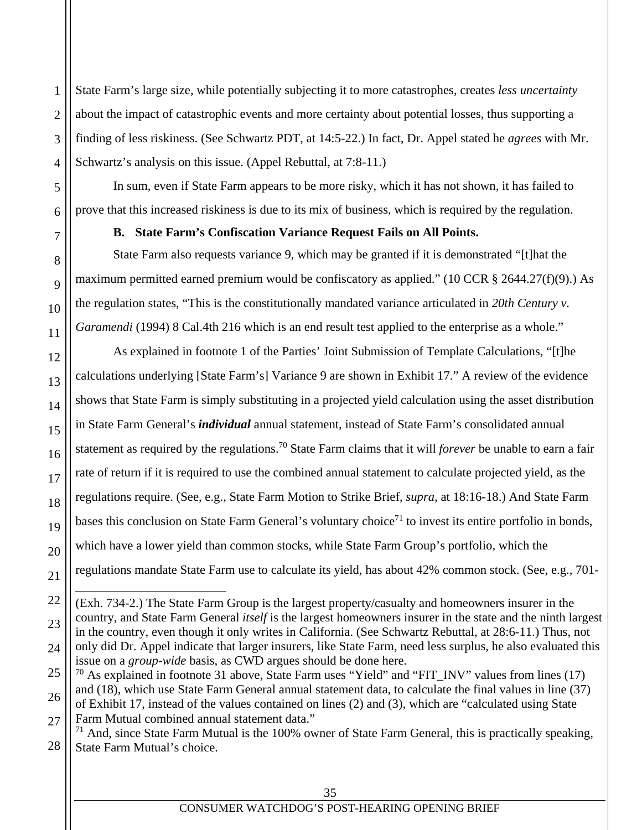State Farm's large size, while potentially subjecting it to more catastrophes, creates *less uncertainty* about the impact of catastrophic events and more certainty about potential losses, thus supporting a finding of less riskiness. (See Schwartz PDT, at 14:5-22.) In fact, Dr. Appel stated he *agrees* with Mr. Schwartz's analysis on this issue. (Appel Rebuttal, at 7:8-11.)

In sum, even if State Farm appears to be more risky, which it has not shown, it has failed to prove that this increased riskiness is due to its mix of business, which is required by the regulation.

#### **B. State Farm's Confiscation Variance Request Fails on All Points.**

State Farm also requests variance 9, which may be granted if it is demonstrated "[t]hat the maximum permitted earned premium would be confiscatory as applied." (10 CCR § 2644.27(f)(9).) As the regulation states, "This is the constitutionally mandated variance articulated in *20th Century v. Garamendi* (1994) 8 Cal.4th 216 which is an end result test applied to the enterprise as a whole."

As explained in footnote 1 of the Parties' Joint Submission of Template Calculations, "[t]he calculations underlying [State Farm's] Variance 9 are shown in Exhibit 17." A review of the evidence shows that State Farm is simply substituting in a projected yield calculation using the asset distribution in State Farm General's *individual* annual statement, instead of State Farm's consolidated annual statement as required by the regulations.70 State Farm claims that it will *forever* be unable to earn a fair rate of return if it is required to use the combined annual statement to calculate projected yield, as the regulations require. (See, e.g., State Farm Motion to Strike Brief, *supra*, at 18:16-18.) And State Farm bases this conclusion on State Farm General's voluntary choice<sup>71</sup> to invest its entire portfolio in bonds, which have a lower yield than common stocks, while State Farm Group's portfolio, which the regulations mandate State Farm use to calculate its yield, has about 42% common stock. (See, e.g., 701-

28  $71$  And, since State Farm Mutual is the 100% owner of State Farm General, this is practically speaking, State Farm Mutual's choice.

1

 $\overline{a}$ (Exh. 734-2.) The State Farm Group is the largest property/casualty and homeowners insurer in the country, and State Farm General *itself* is the largest homeowners insurer in the state and the ninth largest in the country, even though it only writes in California. (See Schwartz Rebuttal, at 28:6-11.) Thus, not only did Dr. Appel indicate that larger insurers, like State Farm, need less surplus, he also evaluated this issue on a *group-wide* basis, as CWD argues should be done here.

 $70$  As explained in footnote 31 above, State Farm uses "Yield" and "FIT\_INV" values from lines (17) and (18), which use State Farm General annual statement data, to calculate the final values in line (37) of Exhibit 17, instead of the values contained on lines (2) and (3), which are "calculated using State Farm Mutual combined annual statement data."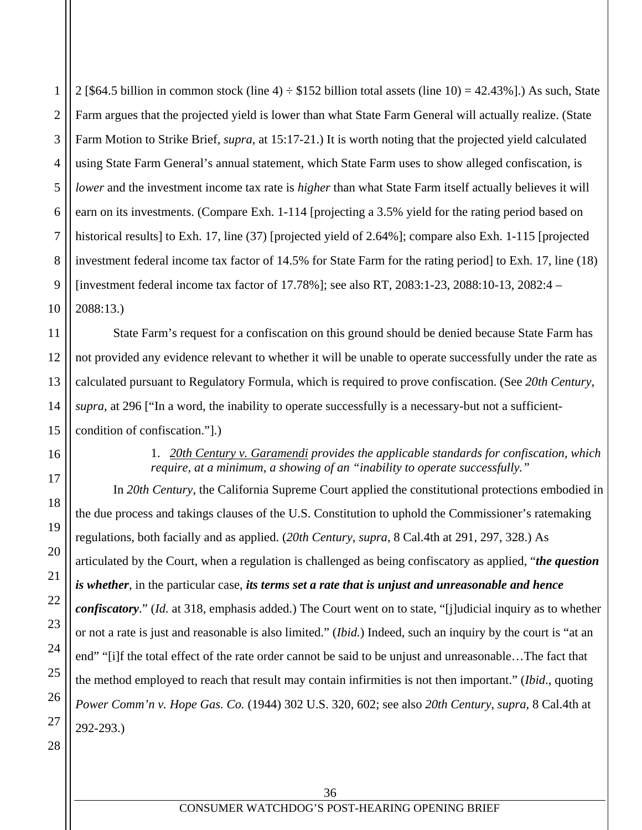2 3 4 5 6 7 8 9 10 2 [\$64.5 billion in common stock (line 4)  $\div$  \$152 billion total assets (line 10) = 42.43%].) As such, State Farm argues that the projected yield is lower than what State Farm General will actually realize. (State Farm Motion to Strike Brief, *supra*, at 15:17-21.) It is worth noting that the projected yield calculated using State Farm General's annual statement, which State Farm uses to show alleged confiscation, is *lower* and the investment income tax rate is *higher* than what State Farm itself actually believes it will earn on its investments. (Compare Exh. 1-114 [projecting a 3.5% yield for the rating period based on historical results] to Exh. 17, line (37) [projected yield of 2.64%]; compare also Exh. 1-115 [projected investment federal income tax factor of 14.5% for State Farm for the rating period] to Exh. 17, line (18) [investment federal income tax factor of 17.78%]; see also RT, 2083:1-23, 2088:10-13, 2082:4 – 2088:13.)

State Farm's request for a confiscation on this ground should be denied because State Farm has not provided any evidence relevant to whether it will be unable to operate successfully under the rate as calculated pursuant to Regulatory Formula, which is required to prove confiscation. (See *20th Century*, *supra*, at 296 ["In a word, the inability to operate successfully is a necessary-but not a sufficientcondition of confiscation."].)

## 1. *20th Century v. Garamendi provides the applicable standards for confiscation, which require, at a minimum, a showing of an "inability to operate successfully."*

In *20th Century*, the California Supreme Court applied the constitutional protections embodied in the due process and takings clauses of the U.S. Constitution to uphold the Commissioner's ratemaking regulations, both facially and as applied. (*20th Century*, *supra*, 8 Cal.4th at 291, 297, 328.) As articulated by the Court, when a regulation is challenged as being confiscatory as applied, "*the question is whether*, in the particular case, *its terms set a rate that is unjust and unreasonable and hence confiscatory*." (*Id.* at 318, emphasis added.) The Court went on to state, "[j]udicial inquiry as to whether or not a rate is just and reasonable is also limited." (*Ibid.*) Indeed, such an inquiry by the court is "at an end" "[i]f the total effect of the rate order cannot be said to be unjust and unreasonable…The fact that the method employed to reach that result may contain infirmities is not then important." (*Ibid*., quoting *Power Comm'n v. Hope Gas. Co.* (1944) 302 U.S. 320, 602; see also *20th Century*, *supra*, 8 Cal.4th at 292-293.)

28

1

11

12

13

14

15

16

17

18

19

20

21

22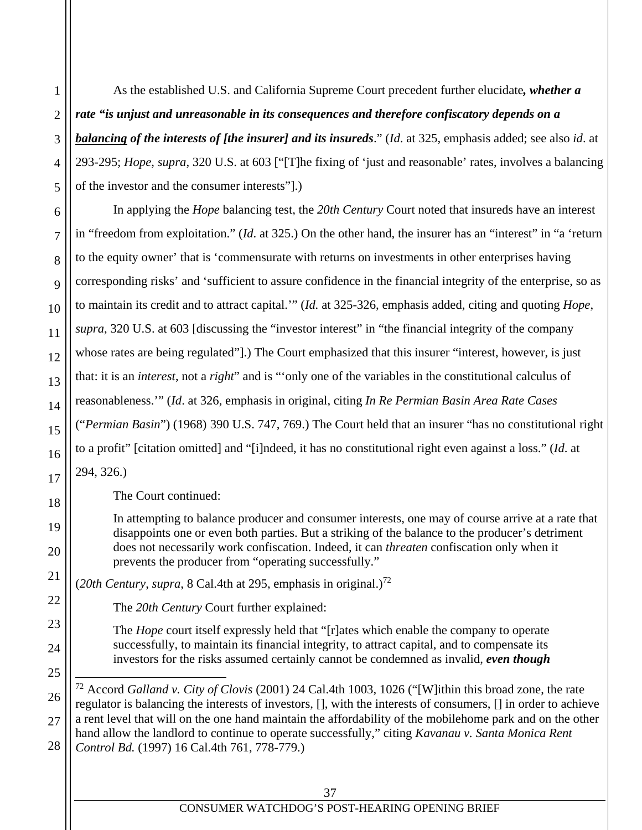As the established U.S. and California Supreme Court precedent further elucidate*, whether a rate "is unjust and unreasonable in its consequences and therefore confiscatory depends on a balancing of the interests of [the insurer] and its insureds*." (*Id*. at 325, emphasis added; see also *id*. at 293-295; *Hope*, *supra*, 320 U.S. at 603 ["[T]he fixing of 'just and reasonable' rates, involves a balancing of the investor and the consumer interests"].)

In applying the *Hope* balancing test, the *20th Century* Court noted that insureds have an interest in "freedom from exploitation." (*Id*. at 325.) On the other hand, the insurer has an "interest" in "a 'return to the equity owner' that is 'commensurate with returns on investments in other enterprises having corresponding risks' and 'sufficient to assure confidence in the financial integrity of the enterprise, so as to maintain its credit and to attract capital.'" (*Id.* at 325-326, emphasis added, citing and quoting *Hope*, *supra*, 320 U.S. at 603 [discussing the "investor interest" in "the financial integrity of the company whose rates are being regulated"].) The Court emphasized that this insurer "interest, however, is just that: it is an *interest*, not a *right*" and is "'only one of the variables in the constitutional calculus of reasonableness.'" (*Id*. at 326, emphasis in original, citing *In Re Permian Basin Area Rate Cases* ("*Permian Basin*") (1968) 390 U.S. 747, 769.) The Court held that an insurer "has no constitutional right to a profit" [citation omitted] and "[i]ndeed, it has no constitutional right even against a loss." (*Id*. at 294, 326.)

The Court continued:

1

2

3

4

5

6

7

8

9

10

11

12

13

14

15

16

17

18

19

20

21

22

23

24

25

l

26

27

In attempting to balance producer and consumer interests, one may of course arrive at a rate that disappoints one or even both parties. But a striking of the balance to the producer's detriment does not necessarily work confiscation. Indeed, it can *threaten* confiscation only when it prevents the producer from "operating successfully."

(*20th Century*, *supra*, 8 Cal.4th at 295, emphasis in original.)<sup>72</sup>

The *20th Century* Court further explained:

The *Hope* court itself expressly held that "[r]ates which enable the company to operate successfully, to maintain its financial integrity, to attract capital, and to compensate its investors for the risks assumed certainly cannot be condemned as invalid, *even though* 

<sup>28</sup> 72 Accord *Galland v. City of Clovis* (2001) 24 Cal.4th 1003, 1026 ("[W]ithin this broad zone, the rate regulator is balancing the interests of investors, [], with the interests of consumers, [] in order to achieve a rent level that will on the one hand maintain the affordability of the mobilehome park and on the other hand allow the landlord to continue to operate successfully," citing *Kavanau v. Santa Monica Rent Control Bd.* (1997) 16 Cal.4th 761, 778-779.)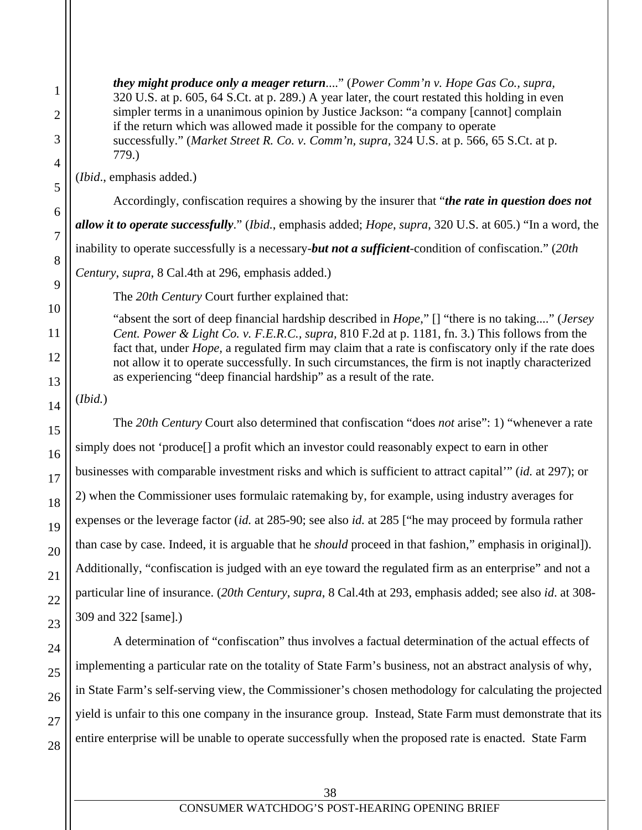*they might produce only a meager return*...." (*Power Comm'n v. Hope Gas Co., supra,* 320 U.S. at p. 605, 64 S.Ct. at p. 289.) A year later, the court restated this holding in even simpler terms in a unanimous opinion by Justice Jackson: "a company [cannot] complain if the return which was allowed made it possible for the company to operate successfully." (*Market Street R. Co. v. Comm'n, supra,* 324 U.S. at p. 566, 65 S.Ct. at p. 779.)

(*Ibid*., emphasis added.)

Accordingly, confiscation requires a showing by the insurer that "*the rate in question does not allow it to operate successfully*." (*Ibid.*, emphasis added; *Hope*, *supra*, 320 U.S. at 605.) "In a word, the inability to operate successfully is a necessary-*but not a sufficient*-condition of confiscation." (*20th* 

*Century*, *supra*, 8 Cal.4th at 296, emphasis added.)

The *20th Century* Court further explained that:

"absent the sort of deep financial hardship described in *Hope*," [] "there is no taking...." (*Jersey Cent. Power & Light Co. v. F.E.R.C., supra,* 810 F.2d at p. 1181, fn. 3.) This follows from the fact that, under *Hope,* a regulated firm may claim that a rate is confiscatory only if the rate does not allow it to operate successfully. In such circumstances, the firm is not inaptly characterized as experiencing "deep financial hardship" as a result of the rate.

(*Ibid.*)

The *20th Century* Court also determined that confiscation "does *not* arise": 1) "whenever a rate simply does not 'produce[] a profit which an investor could reasonably expect to earn in other businesses with comparable investment risks and which is sufficient to attract capital'" (*id.* at 297); or 2) when the Commissioner uses formulaic ratemaking by, for example, using industry averages for expenses or the leverage factor (*id.* at 285-90; see also *id.* at 285 ["he may proceed by formula rather than case by case. Indeed, it is arguable that he *should* proceed in that fashion," emphasis in original]). Additionally, "confiscation is judged with an eye toward the regulated firm as an enterprise" and not a particular line of insurance. (*20th Century*, *supra*, 8 Cal.4th at 293, emphasis added; see also *id*. at 308- 309 and 322 [same].)

A determination of "confiscation" thus involves a factual determination of the actual effects of implementing a particular rate on the totality of State Farm's business, not an abstract analysis of why, in State Farm's self-serving view, the Commissioner's chosen methodology for calculating the projected yield is unfair to this one company in the insurance group. Instead, State Farm must demonstrate that its entire enterprise will be unable to operate successfully when the proposed rate is enacted. State Farm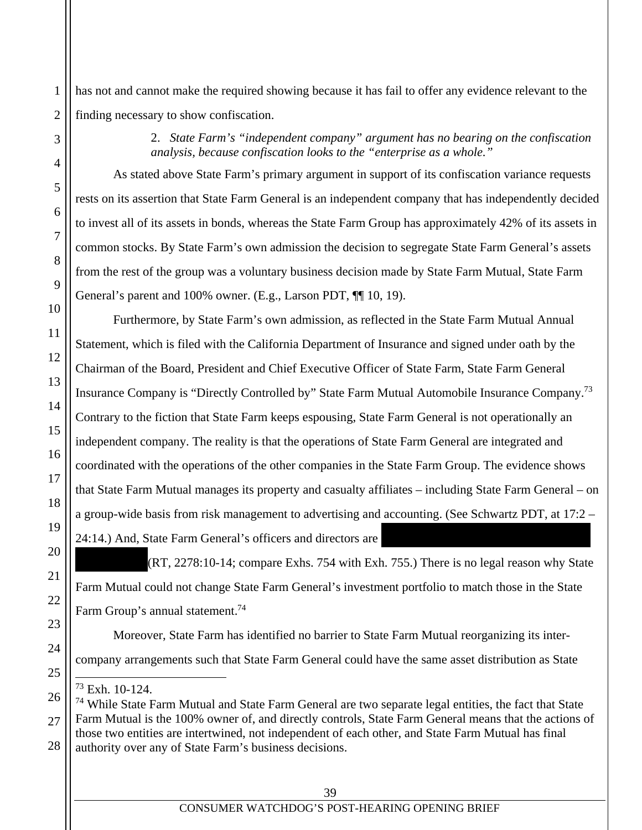has not and cannot make the required showing because it has fail to offer any evidence relevant to the finding necessary to show confiscation.

> 2. *State Farm's "independent company" argument has no bearing on the confiscation analysis, because confiscation looks to the "enterprise as a whole."*

As stated above State Farm's primary argument in support of its confiscation variance requests rests on its assertion that State Farm General is an independent company that has independently decided to invest all of its assets in bonds, whereas the State Farm Group has approximately 42% of its assets in common stocks. By State Farm's own admission the decision to segregate State Farm General's assets from the rest of the group was a voluntary business decision made by State Farm Mutual, State Farm General's parent and 100% owner. (E.g., Larson PDT, ¶¶ 10, 19).

Furthermore, by State Farm's own admission, as reflected in the State Farm Mutual Annual Statement, which is filed with the California Department of Insurance and signed under oath by the Chairman of the Board, President and Chief Executive Officer of State Farm, State Farm General Insurance Company is "Directly Controlled by" State Farm Mutual Automobile Insurance Company.73 Contrary to the fiction that State Farm keeps espousing, State Farm General is not operationally an independent company. The reality is that the operations of State Farm General are integrated and coordinated with the operations of the other companies in the State Farm Group. The evidence shows that State Farm Mutual manages its property and casualty affiliates – including State Farm General – on a group-wide basis from risk management to advertising and accounting. (See Schwartz PDT, at 17:2 – 24:14.) And, State Farm General's officers and directors are

 $(RT, 2278:10-14$ ; compare Exhs. 754 with Exh. 755.) There is no legal reason why State Farm Mutual could not change State Farm General's investment portfolio to match those in the State Farm Group's annual statement.<sup>74</sup>

Moreover, State Farm has identified no barrier to State Farm Mutual reorganizing its intercompany arrangements such that State Farm General could have the same asset distribution as State

l 73 Exh. 10-124.

<sup>&</sup>lt;sup>74</sup> While State Farm Mutual and State Farm General are two separate legal entities, the fact that State Farm Mutual is the 100% owner of, and directly controls, State Farm General means that the actions of those two entities are intertwined, not independent of each other, and State Farm Mutual has final authority over any of State Farm's business decisions.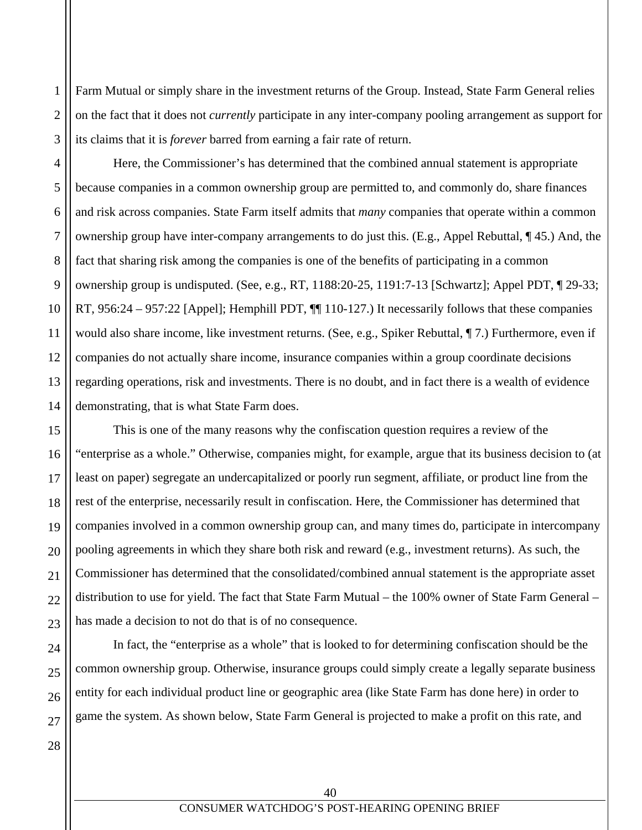Farm Mutual or simply share in the investment returns of the Group. Instead, State Farm General relies on the fact that it does not *currently* participate in any inter-company pooling arrangement as support for its claims that it is *forever* barred from earning a fair rate of return.

Here, the Commissioner's has determined that the combined annual statement is appropriate because companies in a common ownership group are permitted to, and commonly do, share finances and risk across companies. State Farm itself admits that *many* companies that operate within a common ownership group have inter-company arrangements to do just this. (E.g., Appel Rebuttal, ¶ 45.) And, the fact that sharing risk among the companies is one of the benefits of participating in a common ownership group is undisputed. (See, e.g., RT, 1188:20-25, 1191:7-13 [Schwartz]; Appel PDT, ¶ 29-33; RT, 956:24 – 957:22 [Appel]; Hemphill PDT, ¶¶ 110-127.) It necessarily follows that these companies would also share income, like investment returns. (See, e.g., Spiker Rebuttal, ¶ 7.) Furthermore, even if companies do not actually share income, insurance companies within a group coordinate decisions regarding operations, risk and investments. There is no doubt, and in fact there is a wealth of evidence demonstrating, that is what State Farm does.

This is one of the many reasons why the confiscation question requires a review of the "enterprise as a whole." Otherwise, companies might, for example, argue that its business decision to (at least on paper) segregate an undercapitalized or poorly run segment, affiliate, or product line from the rest of the enterprise, necessarily result in confiscation. Here, the Commissioner has determined that companies involved in a common ownership group can, and many times do, participate in intercompany pooling agreements in which they share both risk and reward (e.g., investment returns). As such, the Commissioner has determined that the consolidated/combined annual statement is the appropriate asset distribution to use for yield. The fact that State Farm Mutual – the 100% owner of State Farm General – has made a decision to not do that is of no consequence.

 In fact, the "enterprise as a whole" that is looked to for determining confiscation should be the common ownership group. Otherwise, insurance groups could simply create a legally separate business entity for each individual product line or geographic area (like State Farm has done here) in order to game the system. As shown below, State Farm General is projected to make a profit on this rate, and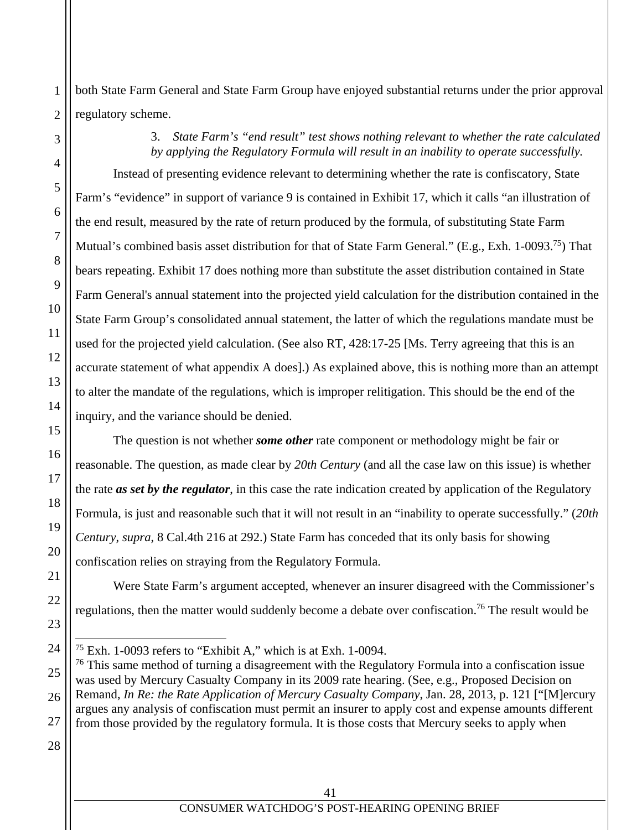both State Farm General and State Farm Group have enjoyed substantial returns under the prior approval regulatory scheme.

> 3. *State Farm's "end result" test shows nothing relevant to whether the rate calculated by applying the Regulatory Formula will result in an inability to operate successfully.*

Instead of presenting evidence relevant to determining whether the rate is confiscatory, State Farm's "evidence" in support of variance 9 is contained in Exhibit 17, which it calls "an illustration of the end result, measured by the rate of return produced by the formula, of substituting State Farm Mutual's combined basis asset distribution for that of State Farm General." (E.g., Exh. 1-0093.<sup>75</sup>) That bears repeating. Exhibit 17 does nothing more than substitute the asset distribution contained in State Farm General's annual statement into the projected yield calculation for the distribution contained in the State Farm Group's consolidated annual statement, the latter of which the regulations mandate must be used for the projected yield calculation. (See also RT, 428:17-25 [Ms. Terry agreeing that this is an accurate statement of what appendix A does].) As explained above, this is nothing more than an attempt to alter the mandate of the regulations, which is improper relitigation. This should be the end of the inquiry, and the variance should be denied.

The question is not whether *some other* rate component or methodology might be fair or reasonable. The question, as made clear by *20th Century* (and all the case law on this issue) is whether the rate *as set by the regulator*, in this case the rate indication created by application of the Regulatory Formula, is just and reasonable such that it will not result in an "inability to operate successfully." (*20th Century*, *supra*, 8 Cal.4th 216 at 292.) State Farm has conceded that its only basis for showing confiscation relies on straying from the Regulatory Formula.

Were State Farm's argument accepted, whenever an insurer disagreed with the Commissioner's regulations, then the matter would suddenly become a debate over confiscation.<sup>76</sup> The result would be

 $76$  This same method of turning a disagreement with the Regulatory Formula into a confiscation issue was used by Mercury Casualty Company in its 2009 rate hearing. (See, e.g., Proposed Decision on Remand, *In Re: the Rate Application of Mercury Casualty Company*, Jan. 28, 2013, p. 121 ["[M]ercury argues any analysis of confiscation must permit an insurer to apply cost and expense amounts different from those provided by the regulatory formula. It is those costs that Mercury seeks to apply when

 $\overline{a}$ 

 $75$  Exh. 1-0093 refers to "Exhibit A," which is at Exh. 1-0094.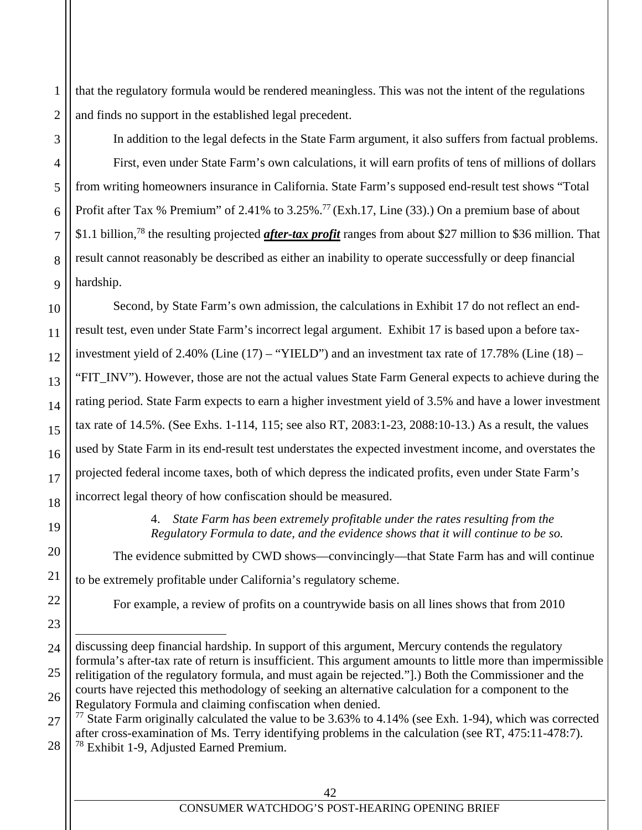that the regulatory formula would be rendered meaningless. This was not the intent of the regulations and finds no support in the established legal precedent.

1

2

3

4

5

6

7

8

9

10

11

12

13

14

15

16

17

18

19

20

21

22

23

24

In addition to the legal defects in the State Farm argument, it also suffers from factual problems. First, even under State Farm's own calculations, it will earn profits of tens of millions of dollars from writing homeowners insurance in California. State Farm's supposed end-result test shows "Total Profit after Tax % Premium" of 2.41% to 3.25%.<sup>77</sup> (Exh.17, Line (33).) On a premium base of about \$1.1 billion,78 the resulting projected *after-tax profit* ranges from about \$27 million to \$36 million. That result cannot reasonably be described as either an inability to operate successfully or deep financial hardship.

Second, by State Farm's own admission, the calculations in Exhibit 17 do not reflect an endresult test, even under State Farm's incorrect legal argument. Exhibit 17 is based upon a before taxinvestment yield of 2.40% (Line  $(17)$  – "YIELD") and an investment tax rate of 17.78% (Line  $(18)$  – "FIT\_INV"). However, those are not the actual values State Farm General expects to achieve during the rating period. State Farm expects to earn a higher investment yield of 3.5% and have a lower investment tax rate of 14.5%. (See Exhs. 1-114, 115; see also RT, 2083:1-23, 2088:10-13.) As a result, the values used by State Farm in its end-result test understates the expected investment income, and overstates the projected federal income taxes, both of which depress the indicated profits, even under State Farm's incorrect legal theory of how confiscation should be measured.

> 4. *State Farm has been extremely profitable under the rates resulting from the Regulatory Formula to date, and the evidence shows that it will continue to be so.*

 The evidence submitted by CWD shows—convincingly—that State Farm has and will continue to be extremely profitable under California's regulatory scheme.

For example, a review of profits on a countrywide basis on all lines shows that from 2010

27 28  $77$  State Farm originally calculated the value to be 3.63% to 4.14% (see Exh. 1-94), which was corrected after cross-examination of Ms. Terry identifying problems in the calculation (see RT, 475:11-478:7). 78 Exhibit 1-9, Adjusted Earned Premium.

<sup>25</sup> 26  $\overline{a}$ discussing deep financial hardship. In support of this argument, Mercury contends the regulatory formula's after-tax rate of return is insufficient. This argument amounts to little more than impermissible relitigation of the regulatory formula, and must again be rejected."].) Both the Commissioner and the courts have rejected this methodology of seeking an alternative calculation for a component to the Regulatory Formula and claiming confiscation when denied.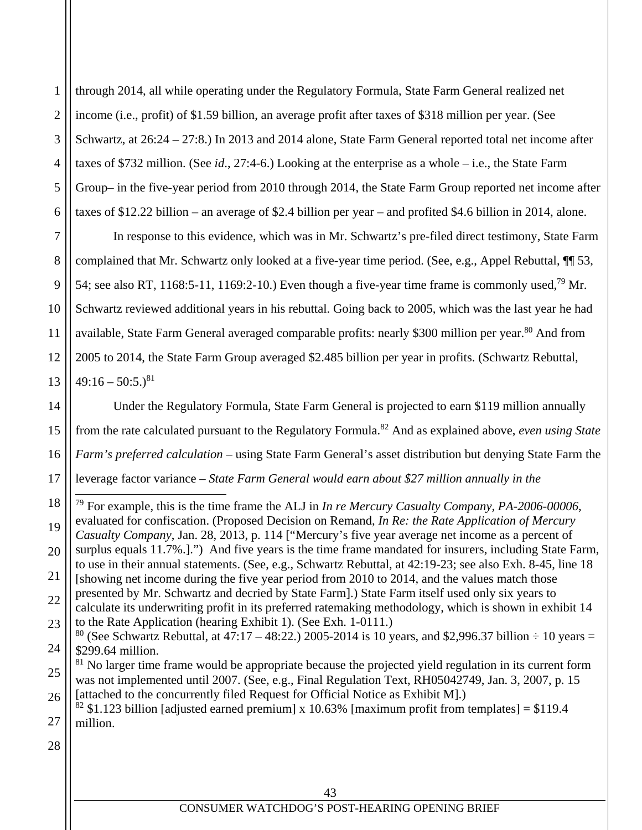1 2 3 4 5 6 through 2014, all while operating under the Regulatory Formula, State Farm General realized net income (i.e., profit) of \$1.59 billion, an average profit after taxes of \$318 million per year. (See Schwartz, at 26:24 – 27:8.) In 2013 and 2014 alone, State Farm General reported total net income after taxes of \$732 million. (See *id*., 27:4-6.) Looking at the enterprise as a whole – i.e., the State Farm Group– in the five-year period from 2010 through 2014, the State Farm Group reported net income after taxes of \$12.22 billion – an average of \$2.4 billion per year – and profited \$4.6 billion in 2014, alone.

7 8 9 10 11 12 13 In response to this evidence, which was in Mr. Schwartz's pre-filed direct testimony, State Farm complained that Mr. Schwartz only looked at a five-year time period. (See, e.g., Appel Rebuttal, ¶¶ 53, 54; see also RT, 1168:5-11, 1169:2-10.) Even though a five-year time frame is commonly used,<sup>79</sup> Mr. Schwartz reviewed additional years in his rebuttal. Going back to 2005, which was the last year he had available, State Farm General averaged comparable profits: nearly \$300 million per year.<sup>80</sup> And from 2005 to 2014, the State Farm Group averaged \$2.485 billion per year in profits. (Schwartz Rebuttal,  $49:16 - 50:5.$ <sup>81</sup>

14 15 16 17 Under the Regulatory Formula, State Farm General is projected to earn \$119 million annually from the rate calculated pursuant to the Regulatory Formula.82 And as explained above, *even using State Farm's preferred calculation* – using State Farm General's asset distribution but denying State Farm the leverage factor variance *– State Farm General would earn about \$27 million annually in the* 

18 19 20 21 22 23 24 79 For example, this is the time frame the ALJ in *In re Mercury Casualty Company, PA-2006-00006*, evaluated for confiscation. (Proposed Decision on Remand, *In Re: the Rate Application of Mercury Casualty Company*, Jan. 28, 2013, p. 114 ["Mercury's five year average net income as a percent of surplus equals 11.7%.].") And five years is the time frame mandated for insurers, including State Farm, to use in their annual statements. (See, e.g., Schwartz Rebuttal, at 42:19-23; see also Exh. 8-45, line 18 [showing net income during the five year period from 2010 to 2014, and the values match those presented by Mr. Schwartz and decried by State Farm].) State Farm itself used only six years to calculate its underwriting profit in its preferred ratemaking methodology, which is shown in exhibit 14 to the Rate Application (hearing Exhibit 1). (See Exh. 1-0111.) <sup>80</sup> (See Schwartz Rebuttal, at 47:17 – 48:22.) 2005-2014 is 10 years, and \$2,996.37 billion  $\div$  10 years = \$299.64 million.

25 26  $81$  No larger time frame would be appropriate because the projected yield regulation in its current form was not implemented until 2007. (See, e.g., Final Regulation Text, RH05042749, Jan. 3, 2007, p. 15 [attached to the concurrently filed Request for Official Notice as Exhibit M].)

27 <sup>82</sup> \$1.123 billion [adjusted earned premium] x 10.63% [maximum profit from templates] = \$119.4 million.

28

 $\overline{a}$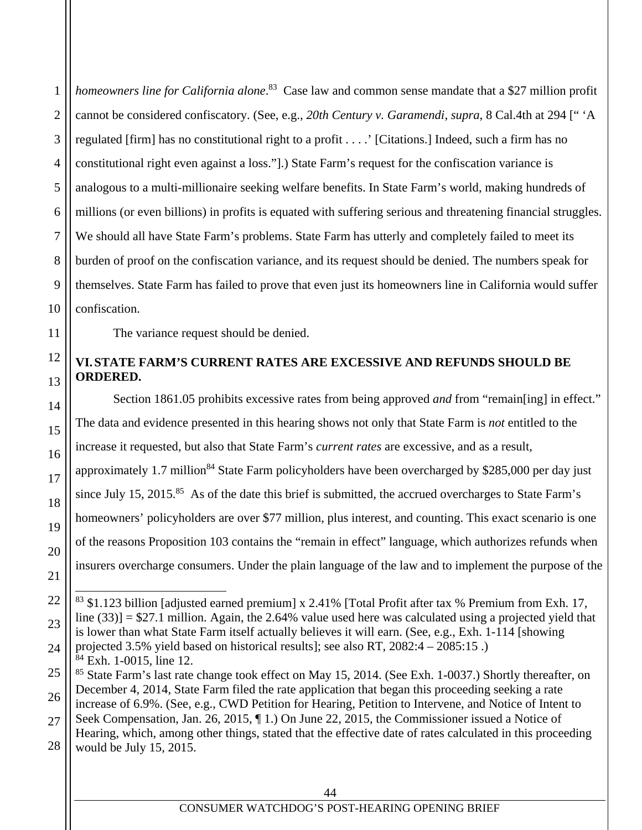4 5 6 7 8 9 10 *homeowners line for California alone*. <sup>83</sup> Case law and common sense mandate that a \$27 million profit cannot be considered confiscatory. (See, e.g., *20th Century v. Garamendi*, *supra*, 8 Cal.4th at 294 [" 'A regulated [firm] has no constitutional right to a profit . . . .' [Citations.] Indeed, such a firm has no constitutional right even against a loss."].) State Farm's request for the confiscation variance is analogous to a multi-millionaire seeking welfare benefits. In State Farm's world, making hundreds of millions (or even billions) in profits is equated with suffering serious and threatening financial struggles. We should all have State Farm's problems. State Farm has utterly and completely failed to meet its burden of proof on the confiscation variance, and its request should be denied. The numbers speak for themselves. State Farm has failed to prove that even just its homeowners line in California would suffer confiscation.

The variance request should be denied.

1

2

3

11

12

13

14

15

16

17

18

19

20

21

22

23

24

# **VI. STATE FARM'S CURRENT RATES ARE EXCESSIVE AND REFUNDS SHOULD BE ORDERED.**

Section 1861.05 prohibits excessive rates from being approved *and* from "remain[ing] in effect." The data and evidence presented in this hearing shows not only that State Farm is *not* entitled to the increase it requested, but also that State Farm's *current rates* are excessive, and as a result, approximately 1.7 million<sup>84</sup> State Farm policyholders have been overcharged by \$285,000 per day just since July 15, 2015.<sup>85</sup> As of the date this brief is submitted, the accrued overcharges to State Farm's homeowners' policyholders are over \$77 million, plus interest, and counting. This exact scenario is one of the reasons Proposition 103 contains the "remain in effect" language, which authorizes refunds when insurers overcharge consumers. Under the plain language of the law and to implement the purpose of the

 $\overline{a}$  $83$  \$1.123 billion [adjusted earned premium] x 2.41% [Total Profit after tax % Premium from Exh. 17, line  $(33)$ ] = \$27.1 million. Again, the 2.64% value used here was calculated using a projected yield that is lower than what State Farm itself actually believes it will earn. (See, e.g., Exh. 1-114 [showing projected 3.5% yield based on historical results]; see also RT, 2082:4 – 2085:15 .) 84 Exh. 1-0015, line 12.

<sup>25</sup> 26 <sup>85</sup> State Farm's last rate change took effect on May 15, 2014. (See Exh. 1-0037.) Shortly thereafter, on December 4, 2014, State Farm filed the rate application that began this proceeding seeking a rate

<sup>27</sup> 28 increase of 6.9%. (See, e.g., CWD Petition for Hearing, Petition to Intervene, and Notice of Intent to Seek Compensation, Jan. 26, 2015, ¶ 1.) On June 22, 2015, the Commissioner issued a Notice of Hearing, which, among other things, stated that the effective date of rates calculated in this proceeding would be July 15, 2015.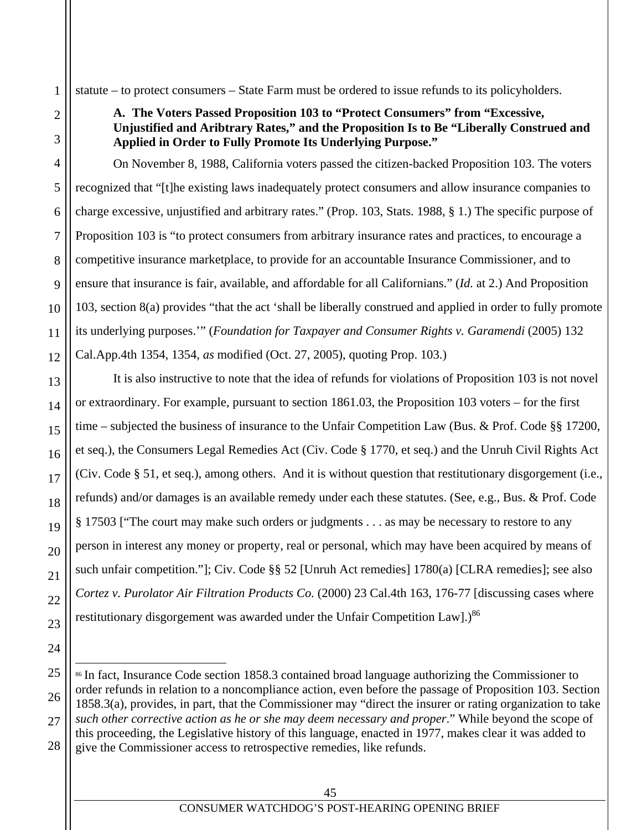statute – to protect consumers – State Farm must be ordered to issue refunds to its policyholders.

1

2

3

4

5

6

7

8

9

10

11

12

13

14

15

16

17

18

19

20

21

22

23

24

25

26

27

28

# **A. The Voters Passed Proposition 103 to "Protect Consumers" from "Excessive, Unjustified and Aribtrary Rates," and the Proposition Is to Be "Liberally Construed and Applied in Order to Fully Promote Its Underlying Purpose."**

On November 8, 1988, California voters passed the citizen-backed Proposition 103. The voters recognized that "[t]he existing laws inadequately protect consumers and allow insurance companies to charge excessive, unjustified and arbitrary rates." (Prop. 103, Stats. 1988, § 1.) The specific purpose of Proposition 103 is "to protect consumers from arbitrary insurance rates and practices, to encourage a competitive insurance marketplace, to provide for an accountable Insurance Commissioner, and to ensure that insurance is fair, available, and affordable for all Californians." (*Id.* at 2.) And Proposition 103, section 8(a) provides "that the act 'shall be liberally construed and applied in order to fully promote its underlying purposes.'" (*Foundation for Taxpayer and Consumer Rights v. Garamendi* (2005) 132 Cal.App.4th 1354, 1354, *as* modified (Oct. 27, 2005), quoting Prop. 103.)

It is also instructive to note that the idea of refunds for violations of Proposition 103 is not novel or extraordinary. For example, pursuant to section 1861.03, the Proposition 103 voters – for the first time – subjected the business of insurance to the Unfair Competition Law (Bus. & Prof. Code §§ 17200, et seq.), the Consumers Legal Remedies Act (Civ. Code § 1770, et seq.) and the Unruh Civil Rights Act (Civ. Code § 51, et seq.), among others. And it is without question that restitutionary disgorgement (i.e., refunds) and/or damages is an available remedy under each these statutes. (See, e.g., Bus. & Prof. Code § 17503 ["The court may make such orders or judgments . . . as may be necessary to restore to any person in interest any money or property, real or personal, which may have been acquired by means of such unfair competition."]; Civ. Code §§ 52 [Unruh Act remedies] 1780(a) [CLRA remedies]; see also *Cortez v. Purolator Air Filtration Products Co.* (2000) 23 Cal.4th 163, 176-77 [discussing cases where restitutionary disgorgement was awarded under the Unfair Competition Law].)<sup>86</sup>

 $\overline{a}$ <sup>86</sup> In fact, Insurance Code section 1858.3 contained broad language authorizing the Commissioner to order refunds in relation to a noncompliance action, even before the passage of Proposition 103. Section 1858.3(a), provides, in part, that the Commissioner may "direct the insurer or rating organization to take *such other corrective action as he or she may deem necessary and proper*." While beyond the scope of this proceeding, the Legislative history of this language, enacted in 1977, makes clear it was added to give the Commissioner access to retrospective remedies, like refunds.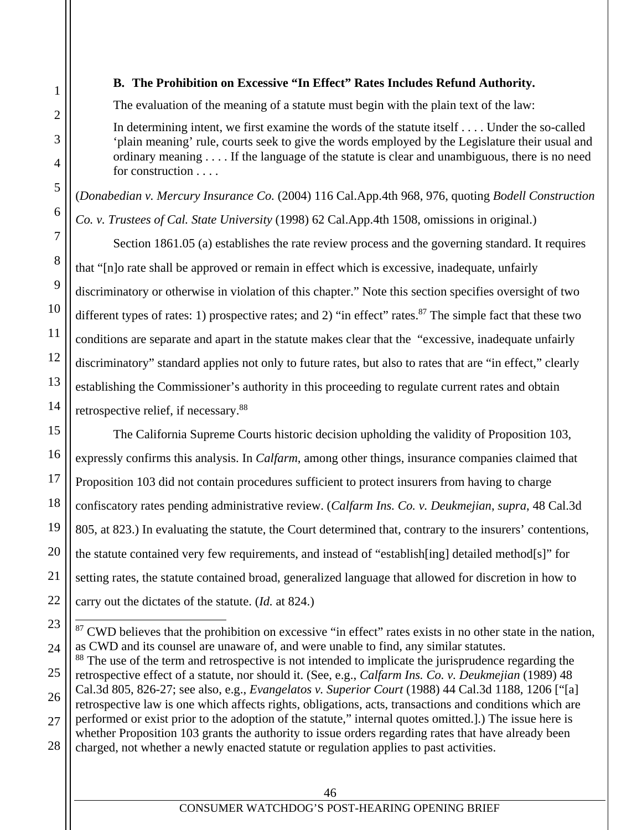$\overline{a}$ 

#### **B. The Prohibition on Excessive "In Effect" Rates Includes Refund Authority.**

The evaluation of the meaning of a statute must begin with the plain text of the law:

In determining intent, we first examine the words of the statute itself . . . . Under the so-called 'plain meaning' rule, courts seek to give the words employed by the Legislature their usual and ordinary meaning . . . . If the language of the statute is clear and unambiguous, there is no need for construction . . . .

(*Donabedian v. Mercury Insurance Co.* (2004) 116 Cal.App.4th 968, 976, quoting *Bodell Construction Co. v. Trustees of Cal. State University* (1998) 62 Cal.App.4th 1508, omissions in original.)

Section 1861.05 (a) establishes the rate review process and the governing standard. It requires that "[n]o rate shall be approved or remain in effect which is excessive, inadequate, unfairly discriminatory or otherwise in violation of this chapter." Note this section specifies oversight of two different types of rates: 1) prospective rates; and 2) "in effect" rates. <sup>87</sup> The simple fact that these two conditions are separate and apart in the statute makes clear that the "excessive, inadequate unfairly discriminatory" standard applies not only to future rates, but also to rates that are "in effect," clearly establishing the Commissioner's authority in this proceeding to regulate current rates and obtain retrospective relief, if necessary.88

The California Supreme Courts historic decision upholding the validity of Proposition 103, expressly confirms this analysis. In *Calfarm*, among other things, insurance companies claimed that Proposition 103 did not contain procedures sufficient to protect insurers from having to charge confiscatory rates pending administrative review. (*Calfarm Ins. Co. v. Deukmejian*, *supra*, 48 Cal.3d 805, at 823.) In evaluating the statute, the Court determined that, contrary to the insurers' contentions, the statute contained very few requirements, and instead of "establish[ing] detailed method[s]" for setting rates, the statute contained broad, generalized language that allowed for discretion in how to carry out the dictates of the statute. (*Id.* at 824.)

<sup>&</sup>lt;sup>87</sup> CWD believes that the prohibition on excessive "in effect" rates exists in no other state in the nation, as CWD and its counsel are unaware of, and were unable to find, any similar statutes.

<sup>&</sup>lt;sup>88</sup> The use of the term and retrospective is not intended to implicate the jurisprudence regarding the retrospective effect of a statute, nor should it. (See, e.g., *Calfarm Ins. Co. v. Deukmejian* (1989) 48 Cal.3d 805, 826-27; see also, e.g., *Evangelatos v. Superior Court* (1988) 44 Cal.3d 1188, 1206 ["[a] retrospective law is one which affects rights, obligations, acts, transactions and conditions which are performed or exist prior to the adoption of the statute," internal quotes omitted.].) The issue here is whether Proposition 103 grants the authority to issue orders regarding rates that have already been charged, not whether a newly enacted statute or regulation applies to past activities.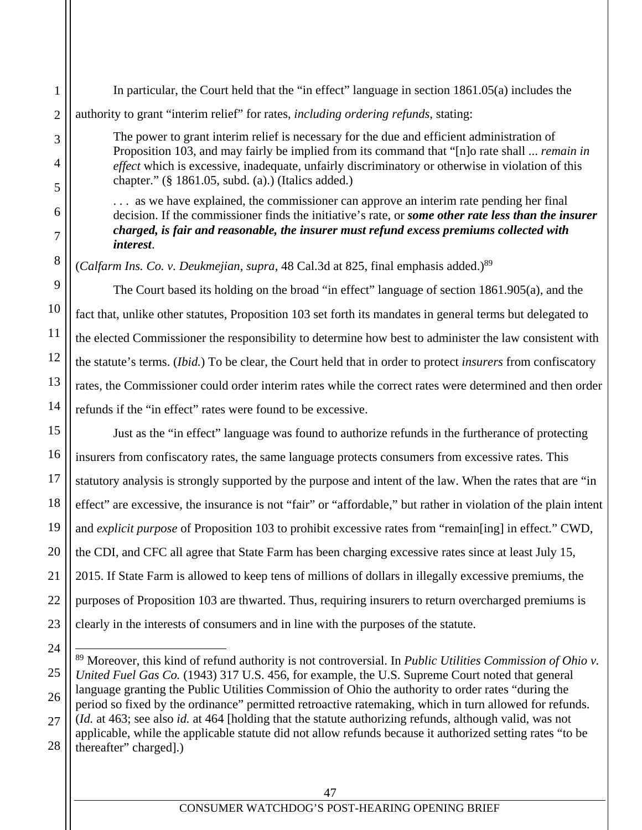authority to grant "interim relief" for rates, *including ordering refunds*, stating: The power to grant interim relief is necessary for the due and efficient administration of Proposition 103, and may fairly be implied from its command that "[n]o rate shall ... *remain in effect* which is excessive, inadequate, unfairly discriminatory or otherwise in violation of this chapter." (§ 1861.05, subd. (a).) (Italics added.) . . . as we have explained, the commissioner can approve an interim rate pending her final decision. If the commissioner finds the initiative's rate, or *some other rate less than the insurer charged, is fair and reasonable, the insurer must refund excess premiums collected with interest*. (*Calfarm Ins. Co. v. Deukmejian, supra,* 48 Cal.3d at 825, final emphasis added.)<sup>89</sup> The Court based its holding on the broad "in effect" language of section 1861.905(a), and the fact that, unlike other statutes, Proposition 103 set forth its mandates in general terms but delegated to the elected Commissioner the responsibility to determine how best to administer the law consistent with the statute's terms. (*Ibid.*) To be clear, the Court held that in order to protect *insurers* from confiscatory rates, the Commissioner could order interim rates while the correct rates were determined and then order refunds if the "in effect" rates were found to be excessive. Just as the "in effect" language was found to authorize refunds in the furtherance of protecting insurers from confiscatory rates, the same language protects consumers from excessive rates. This statutory analysis is strongly supported by the purpose and intent of the law. When the rates that are "in effect" are excessive, the insurance is not "fair" or "affordable," but rather in violation of the plain intent and *explicit purpose* of Proposition 103 to prohibit excessive rates from "remain[ing] in effect." CWD,

In particular, the Court held that the "in effect" language in section 1861.05(a) includes the

1

2

3

4

5

6

7

8

9

10

11

12

13

14

15

16

17

18

19

21

24

25

26

27

28

20 22 23 the CDI, and CFC all agree that State Farm has been charging excessive rates since at least July 15, 2015. If State Farm is allowed to keep tens of millions of dollars in illegally excessive premiums, the purposes of Proposition 103 are thwarted. Thus, requiring insurers to return overcharged premiums is clearly in the interests of consumers and in line with the purposes of the statute.

 $\overline{a}$ 89 Moreover, this kind of refund authority is not controversial. In *Public Utilities Commission of Ohio v. United Fuel Gas Co.* (1943) 317 U.S. 456, for example, the U.S. Supreme Court noted that general language granting the Public Utilities Commission of Ohio the authority to order rates "during the period so fixed by the ordinance" permitted retroactive ratemaking, which in turn allowed for refunds. (*Id.* at 463; see also *id.* at 464 [holding that the statute authorizing refunds, although valid, was not applicable, while the applicable statute did not allow refunds because it authorized setting rates "to be thereafter" charged].)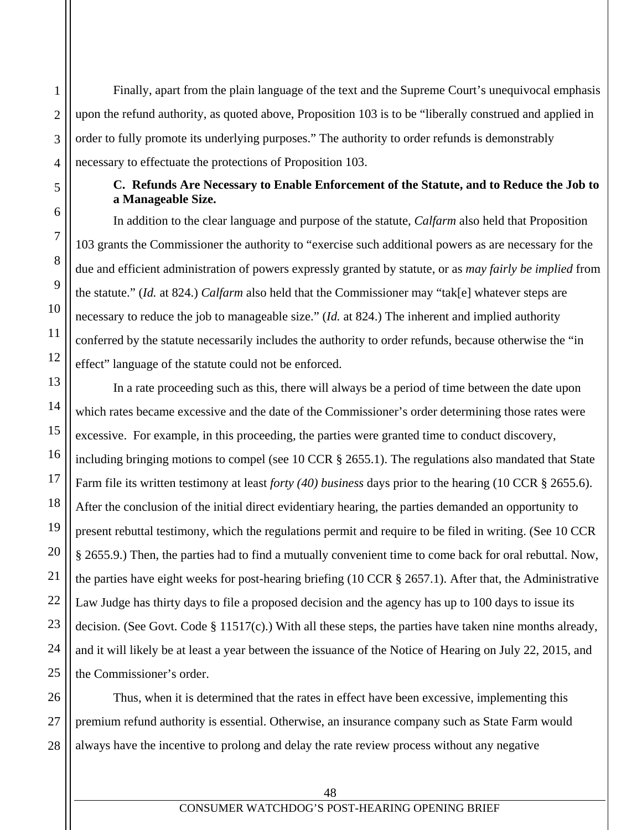Finally, apart from the plain language of the text and the Supreme Court's unequivocal emphasis upon the refund authority, as quoted above, Proposition 103 is to be "liberally construed and applied in order to fully promote its underlying purposes." The authority to order refunds is demonstrably necessary to effectuate the protections of Proposition 103.

## **C. Refunds Are Necessary to Enable Enforcement of the Statute, and to Reduce the Job to a Manageable Size.**

In addition to the clear language and purpose of the statute, *Calfarm* also held that Proposition 103 grants the Commissioner the authority to "exercise such additional powers as are necessary for the due and efficient administration of powers expressly granted by statute, or as *may fairly be implied* from the statute." (*Id.* at 824.) *Calfarm* also held that the Commissioner may "tak[e] whatever steps are necessary to reduce the job to manageable size." (*Id.* at 824.) The inherent and implied authority conferred by the statute necessarily includes the authority to order refunds, because otherwise the "in effect" language of the statute could not be enforced.

In a rate proceeding such as this, there will always be a period of time between the date upon which rates became excessive and the date of the Commissioner's order determining those rates were excessive. For example, in this proceeding, the parties were granted time to conduct discovery, including bringing motions to compel (see 10 CCR § 2655.1). The regulations also mandated that State Farm file its written testimony at least *forty (40) business* days prior to the hearing (10 CCR § 2655.6). After the conclusion of the initial direct evidentiary hearing, the parties demanded an opportunity to present rebuttal testimony, which the regulations permit and require to be filed in writing. (See 10 CCR § 2655.9.) Then, the parties had to find a mutually convenient time to come back for oral rebuttal. Now, the parties have eight weeks for post-hearing briefing (10 CCR § 2657.1). After that, the Administrative Law Judge has thirty days to file a proposed decision and the agency has up to 100 days to issue its decision. (See Govt. Code § 11517(c).) With all these steps, the parties have taken nine months already, and it will likely be at least a year between the issuance of the Notice of Hearing on July 22, 2015, and the Commissioner's order.

Thus, when it is determined that the rates in effect have been excessive, implementing this premium refund authority is essential. Otherwise, an insurance company such as State Farm would always have the incentive to prolong and delay the rate review process without any negative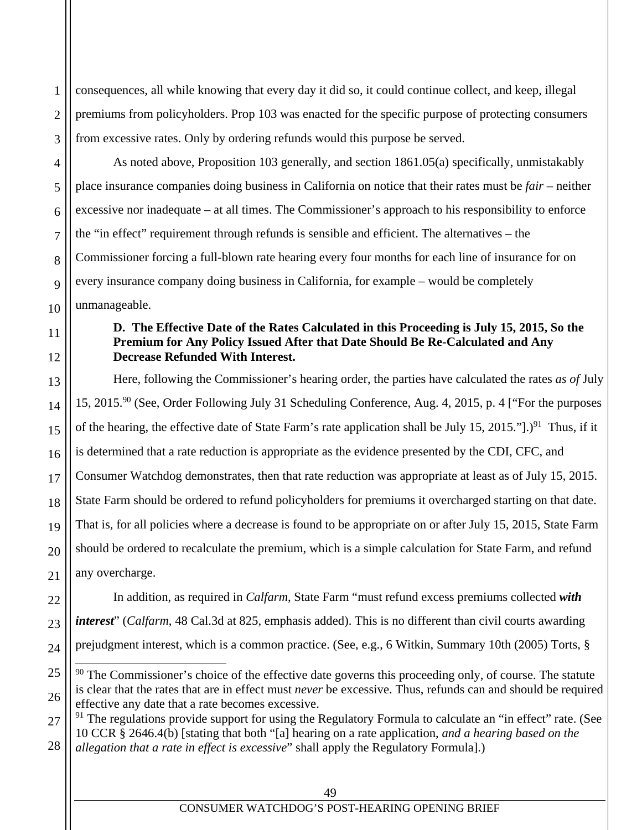consequences, all while knowing that every day it did so, it could continue collect, and keep, illegal premiums from policyholders. Prop 103 was enacted for the specific purpose of protecting consumers from excessive rates. Only by ordering refunds would this purpose be served.

As noted above, Proposition 103 generally, and section 1861.05(a) specifically, unmistakably place insurance companies doing business in California on notice that their rates must be *fair* – neither excessive nor inadequate – at all times. The Commissioner's approach to his responsibility to enforce the "in effect" requirement through refunds is sensible and efficient. The alternatives – the Commissioner forcing a full-blown rate hearing every four months for each line of insurance for on every insurance company doing business in California, for example – would be completely unmanageable.

#### **D. The Effective Date of the Rates Calculated in this Proceeding is July 15, 2015, So the Premium for Any Policy Issued After that Date Should Be Re-Calculated and Any Decrease Refunded With Interest.**

 Here, following the Commissioner's hearing order, the parties have calculated the rates *as of* July 15, 2015.90 (See, Order Following July 31 Scheduling Conference, Aug. 4, 2015, p. 4 ["For the purposes of the hearing, the effective date of State Farm's rate application shall be July 15, 2015."].)<sup>91</sup> Thus, if it is determined that a rate reduction is appropriate as the evidence presented by the CDI, CFC, and Consumer Watchdog demonstrates, then that rate reduction was appropriate at least as of July 15, 2015. State Farm should be ordered to refund policyholders for premiums it overcharged starting on that date. That is, for all policies where a decrease is found to be appropriate on or after July 15, 2015, State Farm should be ordered to recalculate the premium, which is a simple calculation for State Farm, and refund any overcharge.

In addition, as required in *Calfarm*, State Farm "must refund excess premiums collected *with interest*" (*Calfarm*, 48 Cal.3d at 825, emphasis added). This is no different than civil courts awarding prejudgment interest, which is a common practice. (See, e.g., 6 Witkin, Summary 10th (2005) Torts, §

1

2

3

4

5

6

7

8

9

10

11

12

13

14

15

16

17

18

19

20

21

22

23

24

25

 $90$  The Commissioner's choice of the effective date governs this proceeding only, of course. The statute is clear that the rates that are in effect must *never* be excessive. Thus, refunds can and should be required effective any date that a rate becomes excessive.

<sup>27</sup> 28 <sup>91</sup> The regulations provide support for using the Regulatory Formula to calculate an "in effect" rate. (See 10 CCR § 2646.4(b) [stating that both "[a] hearing on a rate application, *and a hearing based on the allegation that a rate in effect is excessive*" shall apply the Regulatory Formula].)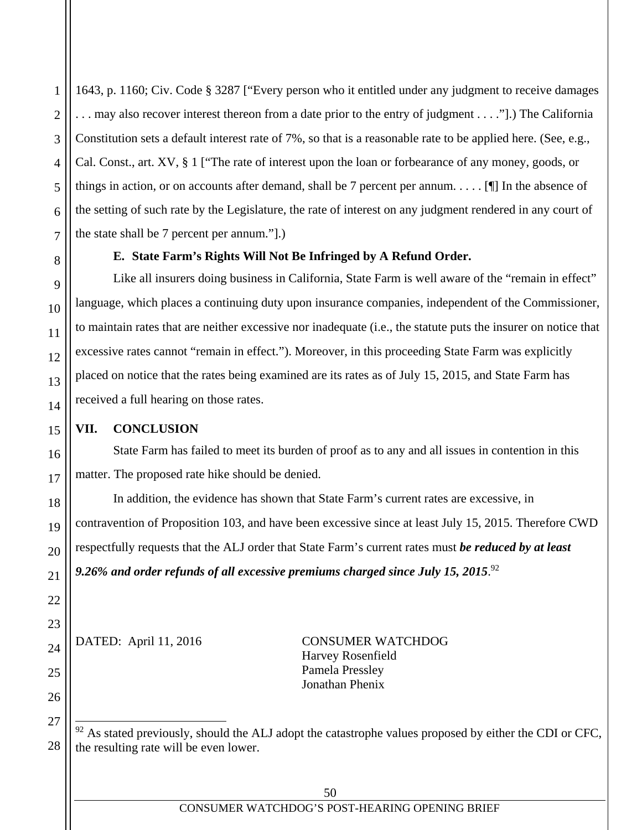1643, p. 1160; Civ. Code § 3287 ["Every person who it entitled under any judgment to receive damages . . . may also recover interest thereon from a date prior to the entry of judgment . . . ."].) The California Constitution sets a default interest rate of 7%, so that is a reasonable rate to be applied here. (See, e.g., Cal. Const., art. XV, § 1 ["The rate of interest upon the loan or forbearance of any money, goods, or things in action, or on accounts after demand, shall be 7 percent per annum. . . . . [¶] In the absence of the setting of such rate by the Legislature, the rate of interest on any judgment rendered in any court of the state shall be 7 percent per annum."].)

# **E. State Farm's Rights Will Not Be Infringed by A Refund Order.**

Like all insurers doing business in California, State Farm is well aware of the "remain in effect" language, which places a continuing duty upon insurance companies, independent of the Commissioner, to maintain rates that are neither excessive nor inadequate (i.e., the statute puts the insurer on notice that excessive rates cannot "remain in effect."). Moreover, in this proceeding State Farm was explicitly placed on notice that the rates being examined are its rates as of July 15, 2015, and State Farm has received a full hearing on those rates.

# **VII. CONCLUSION**

State Farm has failed to meet its burden of proof as to any and all issues in contention in this matter. The proposed rate hike should be denied.

In addition, the evidence has shown that State Farm's current rates are excessive, in contravention of Proposition 103, and have been excessive since at least July 15, 2015. Therefore CWD respectfully requests that the ALJ order that State Farm's current rates must *be reduced by at least 9.26% and order refunds of all excessive premiums charged since July 15, 2015*. 92

DATED: April 11, 2016 CONSUMER WATCHDOG Harvey Rosenfield Pamela Pressley Jonathan Phenix

 $92$  As stated previously, should the ALJ adopt the catastrophe values proposed by either the CDI or CFC, the resulting rate will be even lower.

 $\overline{a}$ 

1

2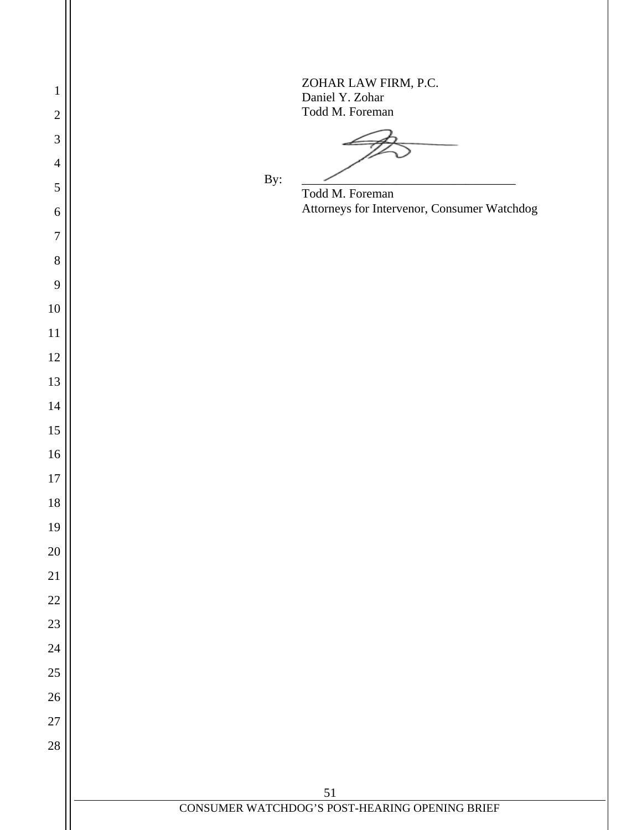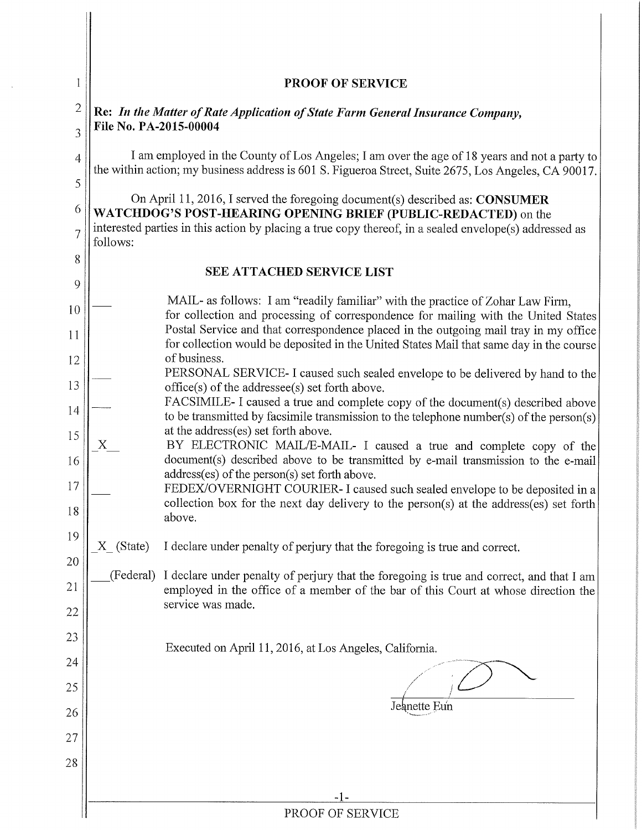| 1                   |                                                                                                                                                                                                                                                                      | <b>PROOF OF SERVICE</b>                                                                                                                                                                         |  |
|---------------------|----------------------------------------------------------------------------------------------------------------------------------------------------------------------------------------------------------------------------------------------------------------------|-------------------------------------------------------------------------------------------------------------------------------------------------------------------------------------------------|--|
| $\overline{2}$      | Re: In the Matter of Rate Application of State Farm General Insurance Company,                                                                                                                                                                                       |                                                                                                                                                                                                 |  |
| 3                   | File No. PA-2015-00004                                                                                                                                                                                                                                               |                                                                                                                                                                                                 |  |
| $\overline{4}$<br>5 | I am employed in the County of Los Angeles; I am over the age of 18 years and not a party to<br>the within action; my business address is 601 S. Figueroa Street, Suite 2675, Los Angeles, CA 90017.                                                                 |                                                                                                                                                                                                 |  |
| 6<br>$\overline{7}$ | On April 11, 2016, I served the foregoing document(s) described as: CONSUMER<br>WATCHDOG'S POST-HEARING OPENING BRIEF (PUBLIC-REDACTED) on the<br>interested parties in this action by placing a true copy thereof, in a sealed envelope(s) addressed as<br>follows: |                                                                                                                                                                                                 |  |
| 8                   |                                                                                                                                                                                                                                                                      |                                                                                                                                                                                                 |  |
| 9                   |                                                                                                                                                                                                                                                                      | <b>SEE ATTACHED SERVICE LIST</b>                                                                                                                                                                |  |
| 10                  |                                                                                                                                                                                                                                                                      | MAIL- as follows: I am "readily familiar" with the practice of Zohar Law Firm,<br>for collection and processing of correspondence for mailing with the United States                            |  |
| 11                  |                                                                                                                                                                                                                                                                      | Postal Service and that correspondence placed in the outgoing mail tray in my office<br>for collection would be deposited in the United States Mail that same day in the course<br>of business. |  |
| 12<br>13            |                                                                                                                                                                                                                                                                      | PERSONAL SERVICE-I caused such sealed envelope to be delivered by hand to the<br>office(s) of the addressee(s) set forth above.                                                                 |  |
| 14                  |                                                                                                                                                                                                                                                                      | FACSIMILE- I caused a true and complete copy of the document(s) described above<br>to be transmitted by facsimile transmission to the telephone number(s) of the person(s)                      |  |
| 15                  |                                                                                                                                                                                                                                                                      | at the address(es) set forth above.<br>BY ELECTRONIC MAIL/E-MAIL- I caused a true and complete copy of the                                                                                      |  |
| 16<br>17            | document(s) described above to be transmitted by e-mail transmission to the e-mail<br>address(es) of the person(s) set forth above.<br>FEDEX/OVERNIGHT COURIER- I caused such sealed envelope to be deposited in a                                                   |                                                                                                                                                                                                 |  |
| 18                  |                                                                                                                                                                                                                                                                      | collection box for the next day delivery to the person(s) at the address(es) set forth<br>above.                                                                                                |  |
| 19                  | X (State)                                                                                                                                                                                                                                                            | I declare under penalty of perjury that the foregoing is true and correct.                                                                                                                      |  |
| 20                  |                                                                                                                                                                                                                                                                      |                                                                                                                                                                                                 |  |
| 21                  | (Federal)                                                                                                                                                                                                                                                            | I declare under penalty of perjury that the foregoing is true and correct, and that I am<br>employed in the office of a member of the bar of this Court at whose direction the                  |  |
| 22                  |                                                                                                                                                                                                                                                                      | service was made.                                                                                                                                                                               |  |
| 23                  |                                                                                                                                                                                                                                                                      | Executed on April 11, 2016, at Los Angeles, California.                                                                                                                                         |  |
| 24                  |                                                                                                                                                                                                                                                                      |                                                                                                                                                                                                 |  |
| 25                  |                                                                                                                                                                                                                                                                      | Jeanette Eun                                                                                                                                                                                    |  |
| 26                  |                                                                                                                                                                                                                                                                      |                                                                                                                                                                                                 |  |
| 27                  |                                                                                                                                                                                                                                                                      |                                                                                                                                                                                                 |  |
| 28                  |                                                                                                                                                                                                                                                                      |                                                                                                                                                                                                 |  |
|                     |                                                                                                                                                                                                                                                                      | -1-                                                                                                                                                                                             |  |
|                     | PROOF OF SERVICE                                                                                                                                                                                                                                                     |                                                                                                                                                                                                 |  |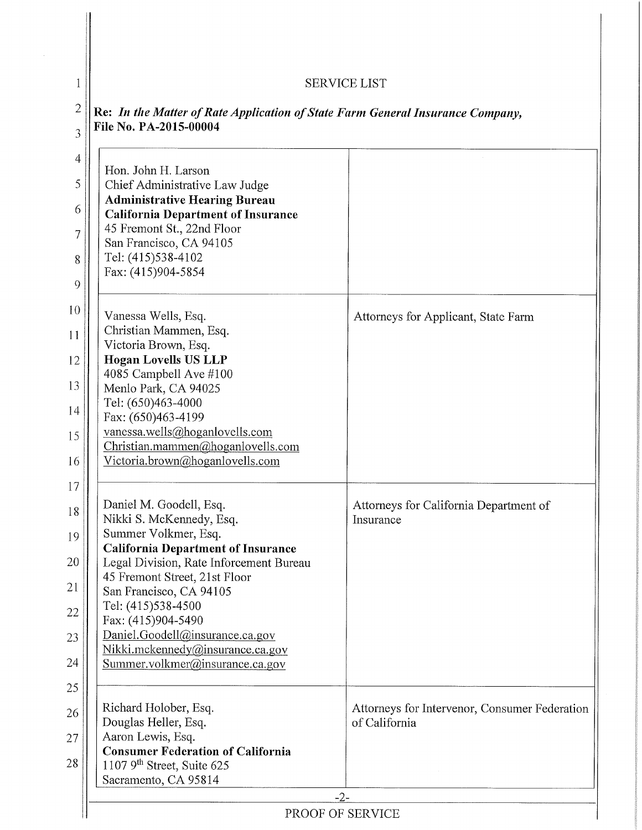# SERVICE LIST

 $\overline{1}$ 

| Hon. John H. Larson                                                                  |                                               |
|--------------------------------------------------------------------------------------|-----------------------------------------------|
| Chief Administrative Law Judge                                                       |                                               |
| <b>Administrative Hearing Bureau</b>                                                 |                                               |
| <b>California Department of Insurance</b>                                            |                                               |
| 45 Fremont St., 22nd Floor                                                           |                                               |
| San Francisco, CA 94105                                                              |                                               |
| Tel: (415)538-4102<br>Fax: (415)904-5854                                             |                                               |
|                                                                                      |                                               |
| Vanessa Wells, Esq.                                                                  | Attorneys for Applicant, State Farm           |
| Christian Mammen, Esq.                                                               |                                               |
| Victoria Brown, Esq.                                                                 |                                               |
| <b>Hogan Lovells US LLP</b>                                                          |                                               |
| 4085 Campbell Ave #100                                                               |                                               |
| Menlo Park, CA 94025                                                                 |                                               |
| Tel: (650)463-4000                                                                   |                                               |
| Fax: (650)463-4199                                                                   |                                               |
| vanessa.wells@hoganlovells.com<br>Christian.mammen@hoganlovells.com                  |                                               |
| Victoria.brown@hoganlovells.com                                                      |                                               |
|                                                                                      |                                               |
|                                                                                      |                                               |
| Daniel M. Goodell, Esq.                                                              | Attorneys for California Department of        |
| Nikki S. McKennedy, Esq.                                                             | Insurance                                     |
| Summer Volkmer, Esq.                                                                 |                                               |
| <b>California Department of Insurance</b><br>Legal Division, Rate Inforcement Bureau |                                               |
| 45 Fremont Street, 21st Floor                                                        |                                               |
| San Francisco, CA 94105                                                              |                                               |
| Tel: (415)538-4500                                                                   |                                               |
| Fax: (415)904-5490                                                                   |                                               |
| Daniel.Goodell@insurance.ca.gov                                                      |                                               |
| Nikki.mckennedy@insurance.ca.gov                                                     |                                               |
| Summer.volkmer@insurance.ca.gov                                                      |                                               |
|                                                                                      |                                               |
| Richard Holober, Esq.                                                                | Attorneys for Intervenor, Consumer Federation |
| Douglas Heller, Esq.                                                                 | of California                                 |
| Aaron Lewis, Esq.                                                                    |                                               |
| <b>Consumer Federation of California</b>                                             |                                               |
| 1107 $9th$ Street, Suite 625<br>Sacramento, CA 95814                                 |                                               |